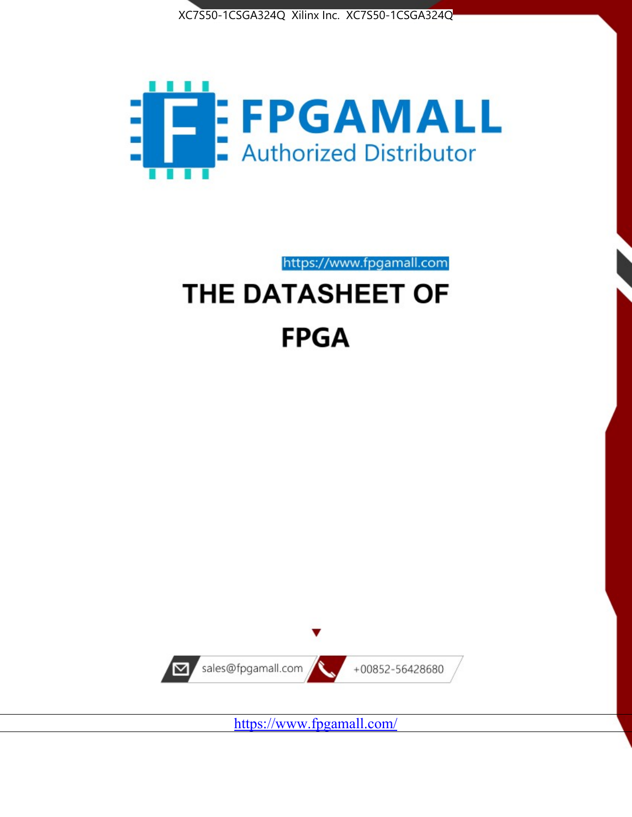



https://www.fpgamall.com

# THE DATASHEET OF **FPGA**



<https://www.fpgamall.com/>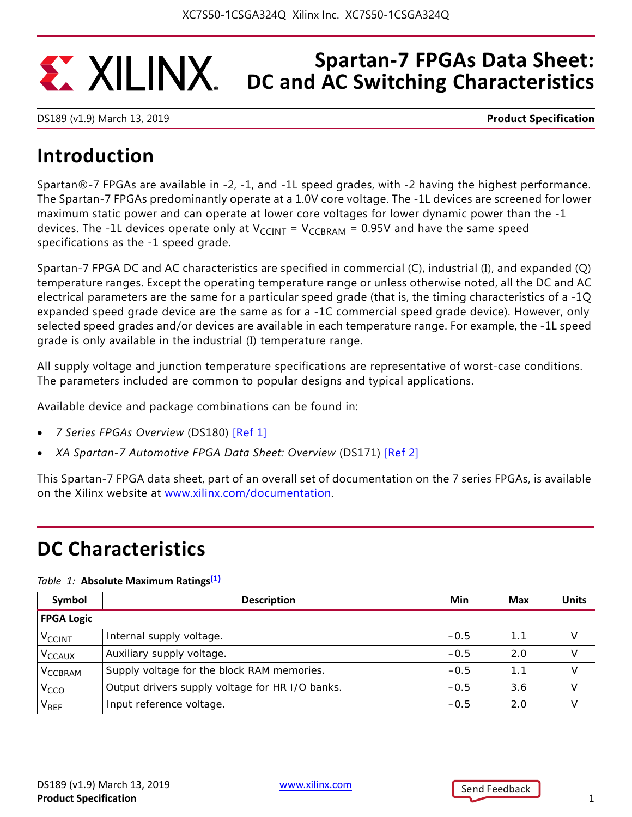## **Spartan-7 FPGAs Data Sheet: EXALINX DC and AC Switching Characteristics**

DS189 (v1.9) March 13, 2019 **Product Specification**

# **Introduction**

Spartan®-7 FPGAs are available in -2, -1, and -1L speed grades, with -2 having the highest performance. The Spartan-7 FPGAs predominantly operate at a 1.0V core voltage. The -1L devices are screened for lower maximum static power and can operate at lower core voltages for lower dynamic power than the -1 devices. The -1L devices operate only at  $V_{CCINT} = V_{CCBRAM} = 0.95V$  and have the same speed specifications as the -1 speed grade.

Spartan-7 FPGA DC and AC characteristics are specified in commercial (C), industrial (I), and expanded (Q) temperature ranges. Except the operating temperature range or unless otherwise noted, all the DC and AC electrical parameters are the same for a particular speed grade (that is, the timing characteristics of a -1Q expanded speed grade device are the same as for a -1C commercial speed grade device). However, only selected speed grades and/or devices are available in each temperature range. For example, the -1L speed grade is only available in the industrial (I) temperature range.

All supply voltage and junction temperature specifications are representative of worst-case conditions. The parameters included are common to popular designs and typical applications.

Available device and package combinations can be found in:

- *7 Series FPGAs Overview* (DS180) [Ref 1]
- *XA Spartan-7 Automotive FPGA Data Sheet: Overview* (DS171) [Ref 2]

This Spartan-7 FPGA data sheet, part of an overall set of documentation on the 7 series FPGAs, is available on the Xilinx website at <www.xilinx.com/documentation>.

# **DC Characteristics**

### *Table 1:* **Absolute Maximum Ratings(1)**

| Symbol                    | <b>Description</b>                              | Min    | <b>Max</b> | <b>Units</b> |
|---------------------------|-------------------------------------------------|--------|------------|--------------|
| <b>FPGA Logic</b>         |                                                 |        |            |              |
| <b>V<sub>CCINT</sub></b>  | Internal supply voltage.                        | $-0.5$ | 1.1        | V            |
| <b>V<sub>CCAUX</sub></b>  | Auxiliary supply voltage.                       | $-0.5$ | 2.0        | V            |
| <b>V<sub>CCBRAM</sub></b> | Supply voltage for the block RAM memories.      | $-0.5$ | 1.1        | $\vee$       |
| V <sub>CCO</sub>          | Output drivers supply voltage for HR I/O banks. | $-0.5$ | 3.6        | V            |
| V <sub>REF</sub>          | Input reference voltage.                        | $-0.5$ | 2.0        | V            |

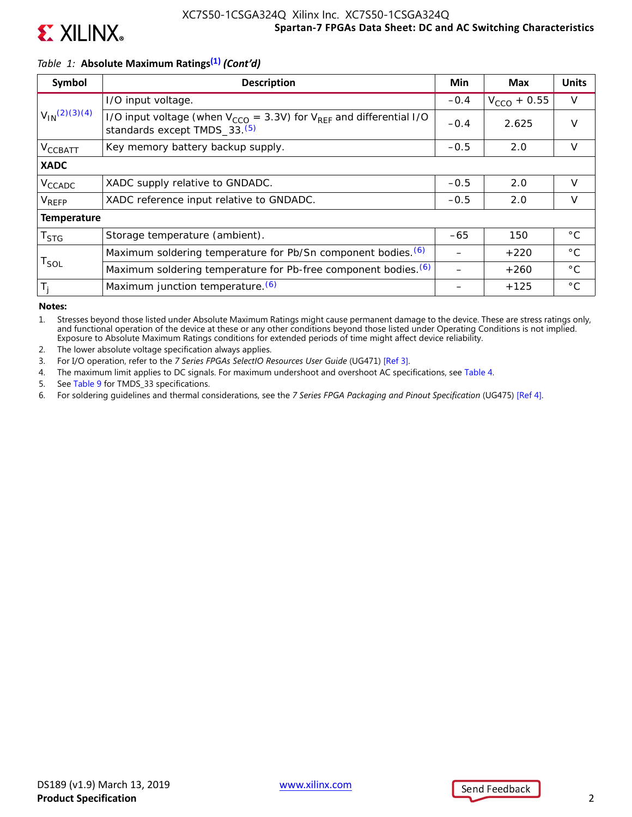

## *Table 1:* **Absolute Maximum Ratings(1)** *(Cont'd)*

| Symbol                      | <b>Description</b>                                                                                                       | Min    | <b>Max</b>       | <b>Units</b> |
|-----------------------------|--------------------------------------------------------------------------------------------------------------------------|--------|------------------|--------------|
|                             | I/O input voltage.                                                                                                       | $-0.4$ | $V_{CCO}$ + 0.55 | $\vee$       |
| $V_{1N}(2)(3)(4)$           | I/O input voltage (when $V_{CCO}$ = 3.3V) for $V_{RFF}$ and differential I/O<br>standards except TMDS_33. <sup>(5)</sup> | $-0.4$ | 2.625            | $\vee$       |
| V <sub>CCBATT</sub>         | Key memory battery backup supply.                                                                                        | $-0.5$ | 2.0              | $\vee$       |
| <b>XADC</b>                 |                                                                                                                          |        |                  |              |
| V <sub>CCADC</sub>          | XADC supply relative to GNDADC.                                                                                          | $-0.5$ | 2.0              | $\vee$       |
| V <sub>REFP</sub>           | XADC reference input relative to GNDADC.                                                                                 | $-0.5$ | 2.0              | $\vee$       |
| <b>Temperature</b>          |                                                                                                                          |        |                  |              |
| T <sub>STG</sub>            | Storage temperature (ambient).                                                                                           | $-65$  | 150              | $^{\circ}$ C |
|                             | Maximum soldering temperature for Pb/Sn component bodies. (6)                                                            |        | $+220$           | $^{\circ}$ C |
| $\mathsf{T}_{\mathsf{SOL}}$ | Maximum soldering temperature for Pb-free component bodies. (6)                                                          |        | $+260$           | $^{\circ}$ C |
| $T_i$                       | Maximum junction temperature. (6)                                                                                        |        | $+125$           | $^{\circ}$ C |

**Notes:** 

1. Stresses beyond those listed under Absolute Maximum Ratings might cause permanent damage to the device. These are stress ratings only, and functional operation of the device at these or any other conditions beyond those listed under Operating Conditions is not implied. Exposure to Absolute Maximum Ratings conditions for extended periods of time might affect device reliability.

2. The lower absolute voltage specification always applies.

3. For I/O operation, refer to the *7 Series FPGAs SelectIO Resources User Guide* (UG471) [Ref 3].

4. The maximum limit applies to DC signals. For maximum undershoot and overshoot AC specifications, see Table 4.

5. See Table 9 for TMDS\_33 specifications.

6. For soldering guidelines and thermal considerations, see the *7 Series FPGA Packaging and Pinout Specification* (UG475) [Ref 4].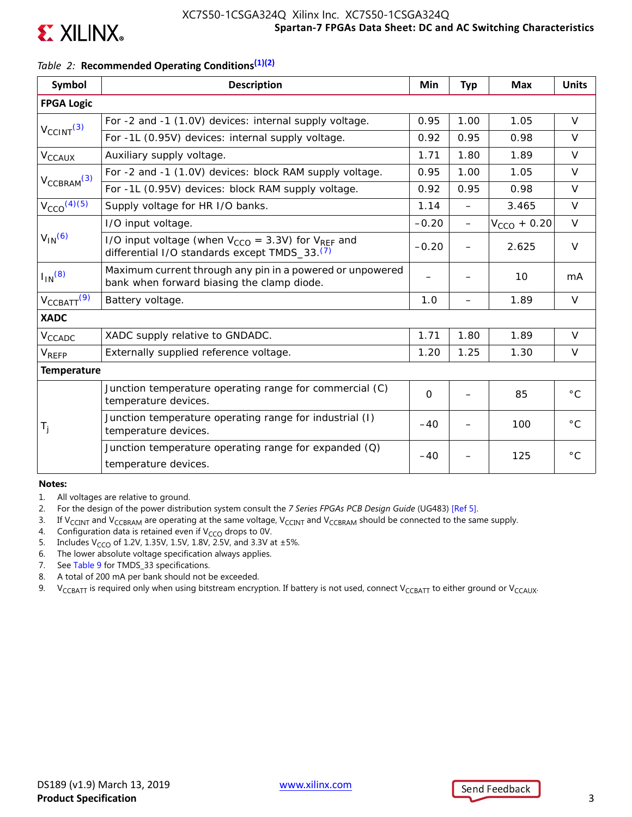

## *Table 2:* **Recommended Operating Conditions(1)(2)**

| Symbol                      | <b>Description</b>                                                                                                        | Min         | <b>Typ</b>               | <b>Max</b>       | <b>Units</b> |
|-----------------------------|---------------------------------------------------------------------------------------------------------------------------|-------------|--------------------------|------------------|--------------|
| <b>FPGA Logic</b>           |                                                                                                                           |             |                          |                  |              |
|                             | For -2 and -1 (1.0V) devices: internal supply voltage.                                                                    | 0.95        | 1.00                     | 1.05             | $\vee$       |
| $V_{\text{CCINT}}^{(3)}$    | For -1L (0.95V) devices: internal supply voltage.                                                                         | 0.92        | 0.95                     | 0.98             | $\vee$       |
| $V_{CCAUX}$                 | Auxiliary supply voltage.                                                                                                 | 1.71        | 1.80                     | 1.89             | $\vee$       |
|                             | For -2 and -1 (1.0V) devices: block RAM supply voltage.                                                                   | 0.95        | 1.00                     | 1.05             | $\vee$       |
| $V_{\text{CCBRAM}}^{(3)}$   | For -1L (0.95V) devices: block RAM supply voltage.                                                                        | 0.92        | 0.95                     | 0.98             | $\vee$       |
| $V_{CCO}$ <sup>(4)(5)</sup> | Supply voltage for HR I/O banks.                                                                                          | 1.14        | $\overline{\phantom{0}}$ | 3.465            | $\vee$       |
|                             | I/O input voltage.                                                                                                        | $-0.20$     |                          | $V_{CCO}$ + 0.20 | $\vee$       |
| $V_{IN}$ <sup>(6)</sup>     | I/O input voltage (when $V_{CCO} = 3.3V$ ) for $V_{REF}$ and<br>differential I/O standards except TMDS_33. <sup>(7)</sup> | $-0.20$     |                          | 2.625            | $\vee$       |
| $I_{IN}$ (8)                | Maximum current through any pin in a powered or unpowered<br>bank when forward biasing the clamp diode.                   |             |                          | 10               | mA           |
| $V_{\text{CCBATT}}(9)$      | Battery voltage.                                                                                                          | 1.0         | —                        | 1.89             | $\vee$       |
| <b>XADC</b>                 |                                                                                                                           |             |                          |                  |              |
| $V_{CCADC}$                 | XADC supply relative to GNDADC.                                                                                           | 1.71        | 1.80                     | 1.89             | $\vee$       |
| $V_{REFP}$                  | Externally supplied reference voltage.                                                                                    | 1.20        | 1.25                     | 1.30             | $\vee$       |
| <b>Temperature</b>          |                                                                                                                           |             |                          |                  |              |
|                             | Junction temperature operating range for commercial (C)<br>temperature devices.                                           | $\mathbf 0$ |                          | 85               | $^{\circ}$ C |
| $T_{j}$                     | Junction temperature operating range for industrial (I)<br>temperature devices.                                           | $-40$       |                          | 100              | $^{\circ}$ C |
|                             | Junction temperature operating range for expanded $(Q)$<br>temperature devices.                                           | $-40$       |                          | 125              | $^{\circ}$ C |

#### **Notes:**

- 1. All voltages are relative to ground.
- 2. For the design of the power distribution system consult the *7 Series FPGAs PCB Design Guide* (UG483) [Ref 5].
- 3. If V<sub>CCINT</sub> and V<sub>CCBRAM</sub> are operating at the same voltage, V<sub>CCINT</sub> and V<sub>CCBRAM</sub> should be connected to the same supply.
- 4. Configuration data is retained even if  $V_{CCO}$  drops to 0V.
- 5. Includes V<sub>CCO</sub> of 1.2V, 1.35V, 1.5V, 1.8V, 2.5V, and 3.3V at  $\pm$ 5%.
- 6. The lower absolute voltage specification always applies.
- 7. See Table 9 for TMDS\_33 specifications.
- 8. A total of 200 mA per bank should not be exceeded.
- 9. V<sub>CCBATT</sub> is required only when using bitstream encryption. If battery is not used, connect V<sub>CCBATT</sub> to either ground or V<sub>CCAUX</sub>.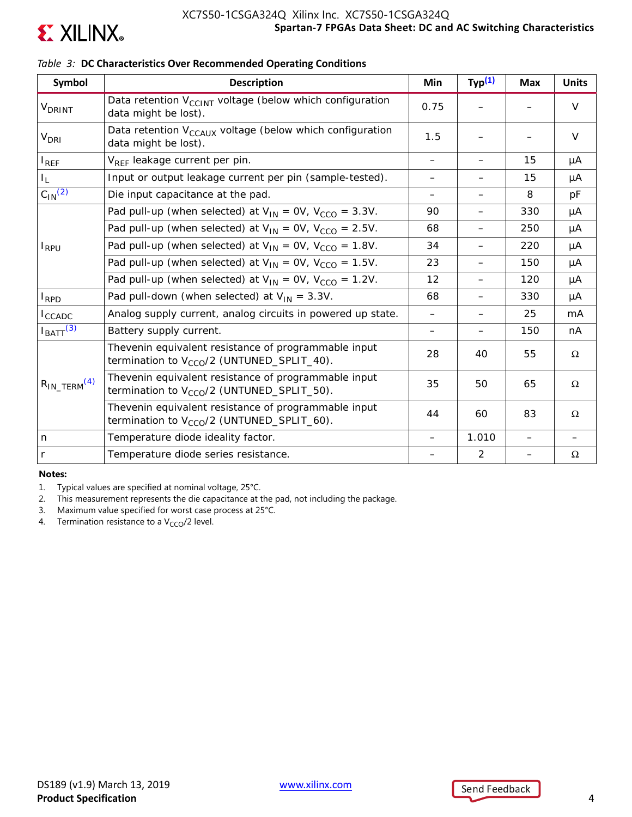

## **Symbol Description Min Typ(1) Max Units** V<sub>DRINT</sub> Data retention V<sub>CCINT</sub> voltage (below which configuration  $\left[\begin{array}{ccc} 0.75 \end{array}\right] = \left[\begin{array}{ccc} - & \end{array}\right]$  V V<sub>DRI</sub> Data retention V<sub>CCAUX</sub> voltage (below which configuration  $\begin{vmatrix} 1.5 \end{vmatrix}$  –  $\begin{vmatrix} - \end{vmatrix}$  –  $\begin{vmatrix} 1.5 \end{vmatrix}$  –  $\begin{vmatrix} - \end{vmatrix}$  –  $\begin{vmatrix} 1.5 \end{vmatrix}$  –  $\begin{vmatrix} 1.5 \end{vmatrix}$  –  $\begin{vmatrix} 1.5 \end{vmatrix}$  –  $\begin{vmatrix} 1.5 \end{vmatrix}$  –  $I_{REF}$   $V_{REF}$  leakage current per pin.  $| - | - | 15 | \mu A$  $I_L$  1nput or output leakage current per pin (sample-tested).  $\begin{vmatrix} - & | & - & | & 15 & | & \mu A \end{vmatrix}$  $C_{1N}^{(2)}$  Die input capacitance at the pad.  $\vert$   $\vert$   $\vert$  8  $\vert$  pF IRPU Pad pull-up (when selected) at  $V_{IN} = OV$ ,  $V_{CCO} = 3.3V$ .  $\begin{vmatrix} 90 & | & - \ 90 & | & - \end{vmatrix}$  330  $\begin{vmatrix} \mu A & | & \mu \end{vmatrix}$ Pad pull-up (when selected) at  $V_{IN} = OV$ ,  $V_{CCO} = 2.5V$ .  $\begin{vmatrix} 68 & - & 250 \\ - & 250 & \end{vmatrix}$  µA Pad pull-up (when selected) at  $V_{IN} = OV$ ,  $V_{CCO} = 1.8V$ .  $\begin{vmatrix} 34 & | & - \end{vmatrix}$  220  $\begin{vmatrix} \mu A & | & \end{vmatrix}$ Pad pull-up (when selected) at  $V_{IN} = OV$ ,  $V_{CCO} = 1.5V$ .  $\begin{vmatrix} 23 & | & -150 \\ 23 & | & -150 \end{vmatrix}$  µA Pad pull-up (when selected) at  $V_{IN} = OV$ ,  $V_{CCO} = 1.2V$ .  $\begin{vmatrix} 12 & | & -120 \\ 12 & | & -120 \end{vmatrix}$  µA  $I_{RPD}$   $|$  Pad pull-down (when selected) at  $V_{IN} = 3.3V$ . 68  $|$  -  $|$  330  $|$  µA  $I_{\text{CCADC}}$  Analog supply current, analog circuits in powered up state.  $|$  -  $|$  -  $|$  25  $|$  mA  $I_{\text{BAT}}^{(3)}$  Battery supply current.  $\begin{vmatrix} 1 & - & | & - & | & 150 & | & \text{nA} \end{vmatrix}$  $R_{IN\_TERM}$ <sup>(4)</sup> Thevenin equivalent resistance of programmable input termination to V<sub>CCO</sub>/2 (UNTUNED\_SPLIT\_40). 28 40 55  $\Omega$ Thevenin equivalent resistance of programmable input termination to V<sub>CCO</sub>/2 (UNTUNED\_SPLIT\_50).  $35 \begin{vmatrix} 35 & 50 \\ 40 & 65 \end{vmatrix}$  65  $\Omega$ Thevenin equivalent resistance of programmable input termination to V<sub>CCO</sub>/2 (UNTUNED\_SPLIT\_60). 44  $\begin{vmatrix} 44 & 60 \\ 83 & 83 \end{vmatrix}$   $\Omega$ n Temperature diode ideality factor. – 1.010 – – r  $\vert$  Temperature diode series resistance.  $\vert$   $\vert$  2  $\vert$   $\vert$  Ω

### *Table 3:* **DC Characteristics Over Recommended Operating Conditions**

**Notes:** 

1. Typical values are specified at nominal voltage, 25°C.

2. This measurement represents the die capacitance at the pad, not including the package.

3. Maximum value specified for worst case process at 25°C.

4. Termination resistance to a  $V_{CCO}/2$  level.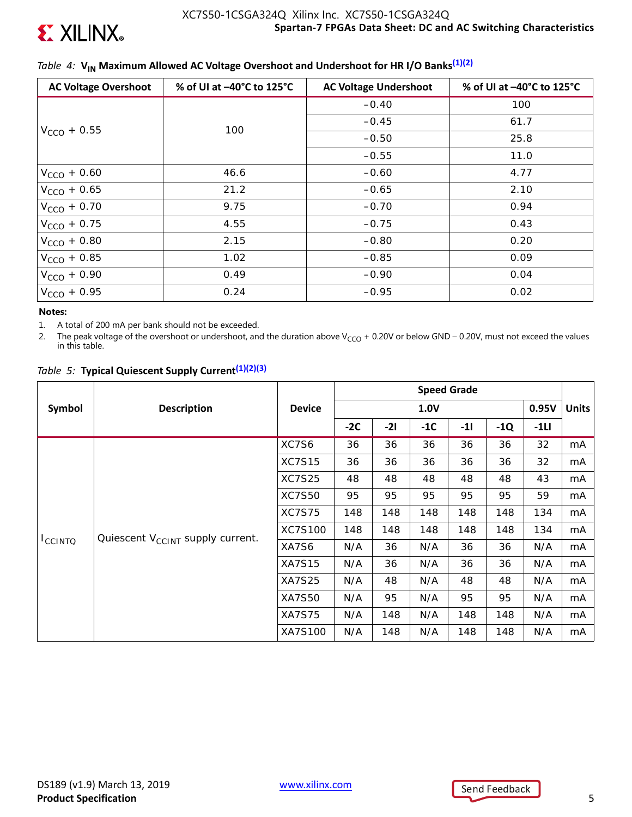

## *Table 4:* V<sub>IN</sub> Maximum Allowed AC Voltage Overshoot and Undershoot for HR I/O Banks<sup>(1)(2)</sup>

| <b>AC Voltage Overshoot</b> | % of UI at -40°C to 125°C | <b>AC Voltage Undershoot</b> | % of UI at -40°C to 125°C |
|-----------------------------|---------------------------|------------------------------|---------------------------|
|                             |                           | $-0.40$                      | 100                       |
|                             | 100                       | $-0.45$                      | 61.7                      |
| $V_{CCO}$ + 0.55            |                           | $-0.50$                      | 25.8                      |
|                             |                           | $-0.55$                      | 11.0                      |
| $V_{CCO}$ + 0.60            | 46.6                      | $-0.60$                      | 4.77                      |
| $V_{CCO} + 0.65$            | 21.2                      | $-0.65$                      | 2.10                      |
| $V_{CCO}$ + 0.70            | 9.75                      | $-0.70$                      | 0.94                      |
| $V_{CCO}$ + 0.75            | 4.55                      | $-0.75$                      | 0.43                      |
| $V_{CCO}$ + 0.80            | 2.15                      | $-0.80$                      | 0.20                      |
| $V_{CCO}$ + 0.85            | 1.02                      | $-0.85$                      | 0.09                      |
| $V_{CCO}$ + 0.90            | 0.49                      | $-0.90$                      | 0.04                      |
| $V_{CCO} + 0.95$            | 0.24                      | $-0.95$                      | 0.02                      |

### **Notes:**

1. A total of 200 mA per bank should not be exceeded.

2. The peak voltage of the overshoot or undershoot, and the duration above V<sub>CCO</sub> + 0.20V or below GND – 0.20V, must not exceed the values in this table.

|  |  |  |  |  | Table 5: Typical Quiescent Supply Current <sup>(1)(2)(3)</sup> |
|--|--|--|--|--|----------------------------------------------------------------|
|--|--|--|--|--|----------------------------------------------------------------|

|                |                                              |               | <b>Speed Grade</b> |       |       |       |       |        |              |
|----------------|----------------------------------------------|---------------|--------------------|-------|-------|-------|-------|--------|--------------|
| Symbol         | <b>Description</b>                           | <b>Device</b> |                    |       | 1.0V  |       |       | 0.95V  | <b>Units</b> |
|                |                                              |               | $-2C$              | $-21$ | $-1C$ | $-11$ | $-1Q$ | $-1LI$ |              |
|                |                                              | XC7S6         | 36                 | 36    | 36    | 36    | 36    | 32     | mA           |
|                |                                              | <b>XC7S15</b> | 36                 | 36    | 36    | 36    | 36    | 32     | mA           |
|                | Quiescent V <sub>CCINT</sub> supply current. | <b>XC7S25</b> | 48                 | 48    | 48    | 48    | 48    | 43     | mA           |
|                |                                              | <b>XC7S50</b> | 95                 | 95    | 95    | 95    | 95    | 59     | mA           |
|                |                                              | <b>XC7S75</b> | 148                | 148   | 148   | 148   | 148   | 134    | mA           |
|                |                                              | XC7S100       | 148                | 148   | 148   | 148   | 148   | 134    | mA           |
| <b>ICCINTO</b> |                                              | XA7S6         | N/A                | 36    | N/A   | 36    | 36    | N/A    | mA           |
|                |                                              | <b>XA7S15</b> | N/A                | 36    | N/A   | 36    | 36    | N/A    | mA           |
|                |                                              | <b>XA7S25</b> | N/A                | 48    | N/A   | 48    | 48    | N/A    | mA           |
|                |                                              | XA7S50        | N/A                | 95    | N/A   | 95    | 95    | N/A    | mA           |
|                |                                              | <b>XA7S75</b> | N/A                | 148   | N/A   | 148   | 148   | N/A    | mA           |
|                |                                              | XA7S100       | N/A                | 148   | N/A   | 148   | 148   | N/A    | mA           |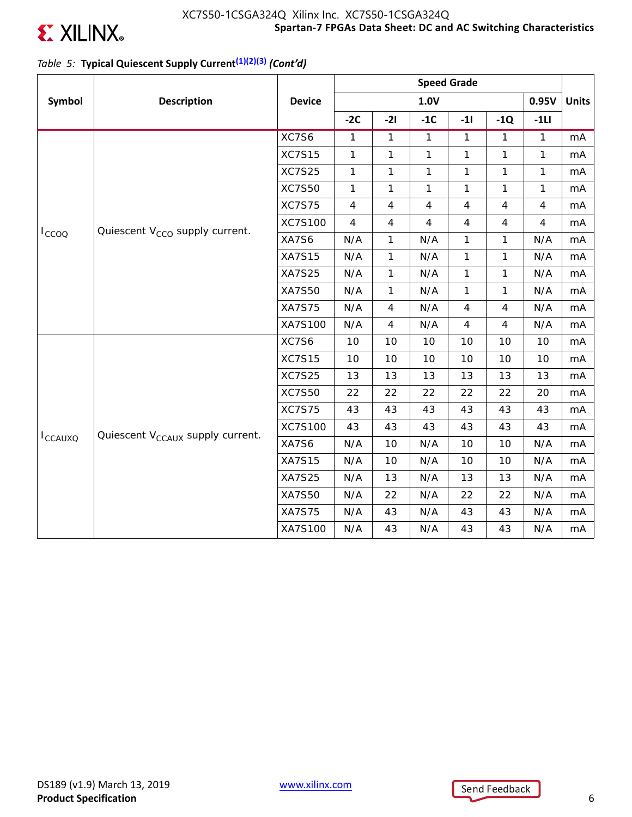

## *Table 5:* **Typical Quiescent Supply Current(1)(2)(3)** *(Cont'd)*

|                 |                                              |               | <b>Speed Grade</b> |                |                |                |                |                |              |
|-----------------|----------------------------------------------|---------------|--------------------|----------------|----------------|----------------|----------------|----------------|--------------|
| Symbol          | <b>Description</b>                           | <b>Device</b> |                    |                | 1.0V           |                |                | 0.95V          | <b>Units</b> |
|                 |                                              |               | $-2C$              | $-21$          | $-1C$          | $-11$          | $-1Q$          | $-1LI$         |              |
|                 |                                              | XC7S6         | $\mathbf{1}$       | $\mathbf{1}$   | $\mathbf{1}$   | $\mathbf{1}$   | $\mathbf{1}$   | $\mathbf{1}$   | mA           |
| $I_{CCOO}$      |                                              | <b>XC7S15</b> | $\mathbf{1}$       | $\mathbf{1}$   | $\mathbf{1}$   | $\mathbf{1}$   | $\mathbf{1}$   | $\mathbf{1}$   | mA           |
|                 |                                              | <b>XC7S25</b> | 1                  | 1              | $\mathbf{1}$   | $\mathbf{1}$   | 1              | 1              | mA           |
|                 |                                              | <b>XC7S50</b> | $\mathbf{1}$       | $\mathbf{1}$   | $\mathbf{1}$   | $\mathbf{1}$   | 1              | $\mathbf{1}$   | mA           |
|                 |                                              | <b>XC7S75</b> | $\overline{4}$     | $\overline{4}$ | 4              | $\overline{4}$ | $\overline{4}$ | $\overline{4}$ | mA           |
|                 |                                              | XC7S100       | $\overline{4}$     | 4              | $\overline{4}$ | $\overline{4}$ | 4              | $\overline{4}$ | mA           |
|                 | Quiescent V <sub>CCO</sub> supply current.   | XA7S6         | N/A                | 1              | N/A            | $\mathbf{1}$   | $\mathbf{1}$   | N/A            | mA           |
|                 |                                              | <b>XA7S15</b> | N/A                | $\mathbf{1}$   | N/A            | $\mathbf{1}$   | $\mathbf{1}$   | N/A            | mA           |
|                 |                                              | <b>XA7S25</b> | N/A                | $\mathbf{1}$   | N/A            | $\mathbf{1}$   | $\mathbf{1}$   | N/A            | mA           |
|                 |                                              | XA7S50        | N/A                | $\mathbf{1}$   | N/A            | $\mathbf{1}$   | $\mathbf{1}$   | N/A            | mA           |
|                 |                                              | <b>XA7S75</b> | N/A                | 4              | N/A            | $\overline{4}$ | 4              | N/A            | mA           |
|                 |                                              | XA7S100       | N/A                | $\overline{4}$ | N/A            | 4              | $\overline{4}$ | N/A            | mA           |
|                 |                                              | XC7S6         | 10                 | 10             | 10             | 10             | 10             | 10             | mA           |
|                 |                                              | <b>XC7S15</b> | 10                 | 10             | 10             | 10             | 10             | 10             | mA           |
|                 |                                              | <b>XC7S25</b> | 13                 | 13             | 13             | 13             | 13             | 13             | mA           |
|                 |                                              | <b>XC7S50</b> | 22                 | 22             | 22             | 22             | 22             | 20             | mA           |
|                 |                                              | <b>XC7S75</b> | 43                 | 43             | 43             | 43             | 43             | 43             | mA           |
|                 |                                              | XC7S100       | 43                 | 43             | 43             | 43             | 43             | 43             | mA           |
| <b>I</b> CCAUXQ | Quiescent V <sub>CCAUX</sub> supply current. | XA7S6         | N/A                | 10             | N/A            | 10             | 10             | N/A            | mA           |
|                 |                                              | <b>XA7S15</b> | N/A                | 10             | N/A            | 10             | 10             | N/A            | mA           |
|                 |                                              | <b>XA7S25</b> | N/A                | 13             | N/A            | 13             | 13             | N/A            | mA           |
|                 |                                              | <b>XA7S50</b> | N/A                | 22             | N/A            | 22             | 22             | N/A            | mA           |
|                 |                                              | <b>XA7S75</b> | N/A                | 43             | N/A            | 43             | 43             | N/A            | mA           |
|                 |                                              | XA7S100       | N/A                | 43             | N/A            | 43             | 43             | N/A            | mA           |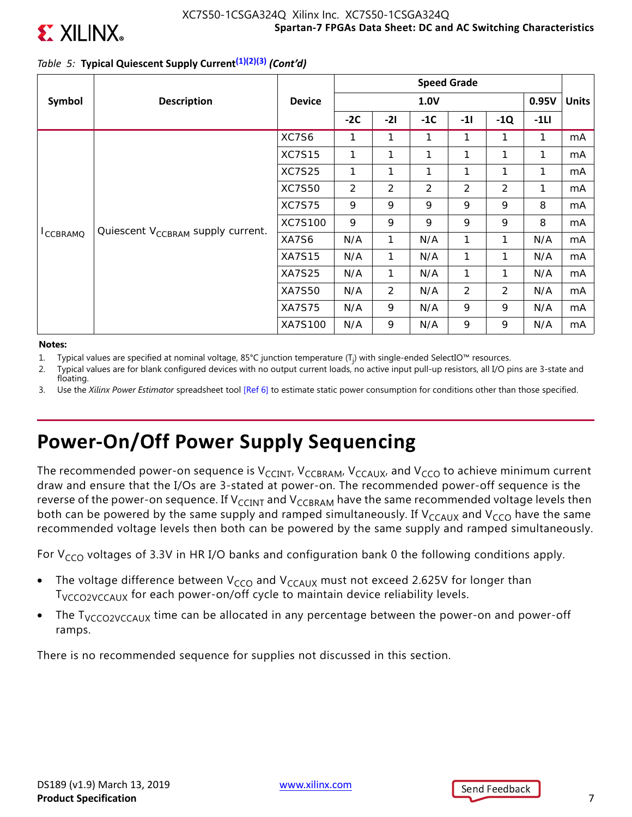

## *Table 5:* **Typical Quiescent Supply Current(1)(2)(3)** *(Cont'd)*

|                  |                                               |               | <b>Speed Grade</b> |                |                |                |       |        |              |
|------------------|-----------------------------------------------|---------------|--------------------|----------------|----------------|----------------|-------|--------|--------------|
| Symbol           | <b>Description</b>                            | <b>Device</b> |                    |                | 1.0V           |                |       | 0.95V  | <b>Units</b> |
|                  |                                               |               | $-2C$              | $-21$          | $-1C$          | $-11$          | $-1Q$ | $-1LI$ |              |
|                  | Quiescent V <sub>CCBRAM</sub> supply current. | XC7S6         | 1                  | 1              | 1              | 1              | 1     | 1      | mA           |
|                  |                                               | <b>XC7S15</b> | 1                  | 1              | 1              | 1              | 1     | 1      | mA           |
|                  |                                               | <b>XC7S25</b> | 1                  | 1              | 1              | 1              | 1     | 1      | mA           |
|                  |                                               | <b>XC7S50</b> | $\overline{2}$     | $\overline{2}$ | $\overline{2}$ | $\overline{2}$ | 2     | 1      | mA           |
|                  |                                               | <b>XC7S75</b> | 9                  | 9              | 9              | 9              | 9     | 8      | mA           |
|                  |                                               | XC7S100       | 9                  | 9              | 9              | 9              | 9     | 8      | mA           |
| <b>I</b> CCBRAMQ |                                               | XA7S6         | N/A                | 1              | N/A            | 1              | 1     | N/A    | mA           |
|                  |                                               | <b>XA7S15</b> | N/A                | $\mathbf{1}$   | N/A            | 1              | 1     | N/A    | mA           |
|                  |                                               | <b>XA7S25</b> | N/A                | $\mathbf{1}$   | N/A            | 1              | 1     | N/A    | mA           |
|                  |                                               | <b>XA7S50</b> | N/A                | $\overline{2}$ | N/A            | 2              | 2     | N/A    | mA           |
|                  |                                               | <b>XA7S75</b> | N/A                | 9              | N/A            | 9              | 9     | N/A    | mA           |
|                  |                                               | XA7S100       | N/A                | 9              | N/A            | 9              | 9     | N/A    | mA           |

### **Notes:**

- 1. Typical values are specified at nominal voltage, 85°C junction temperature (T<sub>j</sub>) with single-ended SelectIO™ resources.
- 2. Typical values are for blank configured devices with no output current loads, no active input pull-up resistors, all I/O pins are 3-state and floating.
- 3. Use the *Xilinx Power Estimator* spreadsheet tool [Ref 6] to estimate static power consumption for conditions other than those specified.

# **Power-On/Off Power Supply Sequencing**

The recommended power-on sequence is  $V_{CClNT}$ ,  $V_{CCBRAM}$ ,  $V_{CCAUX}$ , and  $V_{CCO}$  to achieve minimum current draw and ensure that the I/Os are 3-stated at power-on. The recommended power-off sequence is the reverse of the power-on sequence. If V<sub>CCINT</sub> and V<sub>CCBRAM</sub> have the same recommended voltage levels then both can be powered by the same supply and ramped simultaneously. If  $V_{CCAUX}$  and  $V_{CCO}$  have the same recommended voltage levels then both can be powered by the same supply and ramped simultaneously.

For  $V_{CCO}$  voltages of 3.3V in HR I/O banks and configuration bank 0 the following conditions apply.

- The voltage difference between  $V_{CCO}$  and  $V_{CCAUX}$  must not exceed 2.625V for longer than T<sub>VCCO2VCCAUX</sub> for each power-on/off cycle to maintain device reliability levels.
- The  $T<sub>VCCO2VCCAUX</sub>$  time can be allocated in any percentage between the power-on and power-off ramps.

There is no recommended sequence for supplies not discussed in this section.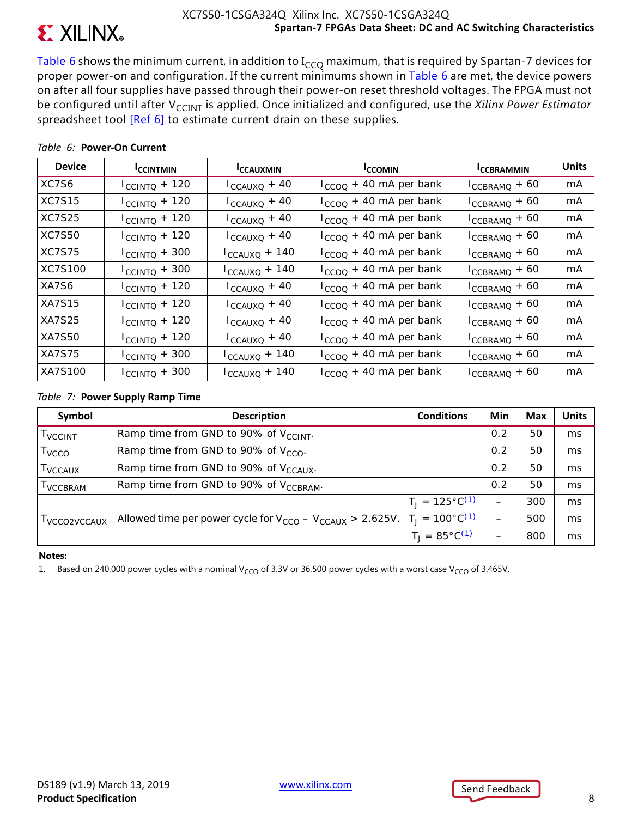

Table 6 shows the minimum current, in addition to  $I_{CCO}$  maximum, that is required by Spartan-7 devices for proper power-on and configuration. If the current minimums shown in Table 6 are met, the device powers on after all four supplies have passed through their power-on reset threshold voltages. The FPGA must not be configured until after V<sub>CCINT</sub> is applied. Once initialized and configured, use the *Xilinx Power Estimator* spreadsheet tool [Ref 6] to estimate current drain on these supplies.

| <b>Device</b> | <b>ICCINTMIN</b>          | <b>ICCAUXMIN</b>          | <b>ICCOMIN</b>              | <b>ICCBRAMMIN</b>  | <b>Units</b> |
|---------------|---------------------------|---------------------------|-----------------------------|--------------------|--------------|
| XC7S6         | $I_{\text{CCINTQ}} + 120$ | $I_{CCAUXQ} + 40$         | $I_{CCOO}$ + 40 mA per bank | $I_{CCBRAMQ} + 60$ | mA           |
| <b>XC7S15</b> | $I_{\text{CCINTQ}} + 120$ | $I_{CCAUXQ} + 40$         | $I_{CCOO}$ + 40 mA per bank | $I_{CCBRAMQ} + 60$ | mA           |
| XC7S25        | $I_{\text{CCINTQ}} + 120$ | $I_{CCAUXQ} + 40$         | $I_{CCOO}$ + 40 mA per bank | $I_{CCBRAMQ} + 60$ | mA           |
| XC7S50        | $I_{\text{CCINTQ}} + 120$ | $I_{CCAUXQ} + 40$         | $I_{CCOO}$ + 40 mA per bank | $I_{CCBRAMQ} + 60$ | mA           |
| <b>XC7S75</b> | $I_{\text{CCINTQ}} + 300$ | $I_{CCAUXQ} + 140$        | $I_{CCOO}$ + 40 mA per bank | $I_{CCBRAMQ} + 60$ | mA           |
| XC7S100       | $I_{\text{CCINTQ}} + 300$ | $I_{CCAUXQ}$ + 140        | $I_{CCOO}$ + 40 mA per bank | $I_{CCBRAMQ} + 60$ | mA           |
| XA7S6         | $I_{\text{CCINTQ}} + 120$ | $I_{CCAUXQ}$ + 40         | $I_{CCOO}$ + 40 mA per bank | $I_{CCBRAMQ} + 60$ | mA           |
| <b>XA7S15</b> | $I_{\text{CCINTQ}} + 120$ | $I_{CCAUXQ}$ + 40         | $I_{CCOO}$ + 40 mA per bank | $I_{CCBRAMQ} + 60$ | mA           |
| XA7S25        | $I_{\text{CCINTQ}} + 120$ | $I_{CCAUXQ} + 40$         | $I_{CCOO}$ + 40 mA per bank | $I_{CCBRAMQ} + 60$ | mA           |
| XA7S50        | $I_{\text{CCINTQ}} + 120$ | $I_{CCAUXQ} + 40$         | $I_{CCOO}$ + 40 mA per bank | $I_{CCBRAMQ} + 60$ | mA           |
| <b>XA7S75</b> | $I_{\text{CCINTQ}} + 300$ | $I_{\text{CCAUXQ}} + 140$ | $I_{CCOO}$ + 40 mA per bank | $I_{CCBRAMQ} + 60$ | mA           |
| XA7S100       | $I_{\text{CCINTQ}} + 300$ | $I_{CCAUXQ} + 140$        | $I_{CCOO}$ + 40 mA per bank | $I_{CCBRAMQ} + 60$ | mA           |

### *Table 6:* **Power-On Current**

### *Table 7:* **Power Supply Ramp Time**

| Symbol                     | <b>Description</b>                                                | <b>Conditions</b>          | Min                      | Max | <b>Units</b> |
|----------------------------|-------------------------------------------------------------------|----------------------------|--------------------------|-----|--------------|
| <b>T</b> VCCINT            | Ramp time from GND to 90% of $V_{CCLNT}$ .                        |                            | 0.2                      | 50  | ms           |
| T <sub>vcco</sub>          | Ramp time from GND to 90% of $V_{CCO}$ .                          |                            | 0.2                      | 50  | ms           |
| <b>T</b> <sub>VCCAUX</sub> | Ramp time from GND to 90% of V <sub>CCAUX</sub> .                 |                            | 0.2                      | 50  | ms           |
| <b>I</b> VCCBRAM           | Ramp time from GND to 90% of V <sub>CCBRAM</sub> .                |                            | 0.2                      | 50  | ms           |
|                            |                                                                   | $T_1 = 125^{\circ}C^{(1)}$ | $\overline{\phantom{0}}$ | 300 | ms           |
| I VCCO2VCCAUX              | Allowed time per power cycle for $V_{CCO} - V_{CCAUX} > 2.625V$ . | $T_1 = 100^{\circ}C^{(1)}$ | $\qquad \qquad$          | 500 | ms           |
|                            |                                                                   | $T_1 = 85^{\circ}C^{(1)}$  |                          | 800 | ms           |

### **Notes:**

1. Based on 240,000 power cycles with a nominal V<sub>CCO</sub> of 3.3V or 36,500 power cycles with a worst case V<sub>CCO</sub> of 3.465V.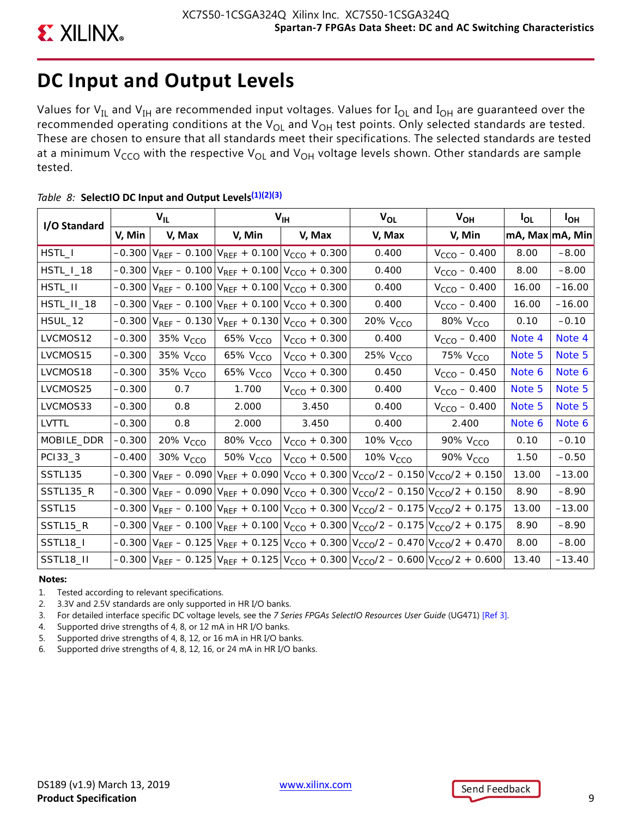# **DC Input and Output Levels**

Values for  $V_{IL}$  and  $V_{IH}$  are recommended input voltages. Values for  $I_{OL}$  and  $I_{OH}$  are guaranteed over the recommended operating conditions at the  $V_{OL}$  and  $V_{OH}$  test points. Only selected standards are tested. These are chosen to ensure that all standards meet their specifications. The selected standards are tested at a minimum V<sub>CCO</sub> with the respective V<sub>OL</sub> and V<sub>OH</sub> voltage levels shown. Other standards are sample tested.

| I/O Standard       |          | $V_{IL}$             |                      | $V_{\text{IH}}$                                                      | $V_{OL}$                                                                                                                             | $V_{OH}$             | <b>I</b> OL     | I <sub>OH</sub> |
|--------------------|----------|----------------------|----------------------|----------------------------------------------------------------------|--------------------------------------------------------------------------------------------------------------------------------------|----------------------|-----------------|-----------------|
|                    | V, Min   | V, Max               | V, Min               | V, Max                                                               | V, Max                                                                                                                               | V, Min               | mA, Max mA, Min |                 |
| HSTL_I             | $-0.300$ |                      |                      | $V_{REF}$ – 0.100 $V_{REF}$ + 0.100 $V_{CCO}$ + 0.300                | 0.400                                                                                                                                | $V_{CCO} - 0.400$    | 8.00            | $-8.00$         |
| HSTL_I_18          |          |                      |                      | $-0.300 \text{ }  V_{REF} - 0.100  V_{REF} + 0.100  V_{CCO} + 0.300$ | 0.400                                                                                                                                | $V_{CCO} - 0.400$    | 8.00            | $-8.00$         |
| HSTL_II            | $-0.300$ |                      |                      | $V_{REF}$ – 0.100 $V_{REF}$ + 0.100 $V_{CCO}$ + 0.300                | 0.400                                                                                                                                | $V_{CCO} - 0.400$    | 16.00           | $-16.00$        |
| HSTL_II_18         |          |                      |                      | $-0.300$ $V_{REF}$ $- 0.100$ $V_{REF}$ $+ 0.100$ $V_{CCO}$ $+ 0.300$ | 0.400                                                                                                                                | $V_{CCO} - 0.400$    | 16.00           | $-16.00$        |
| HSUL_12            | $-0.300$ |                      |                      | $V_{REF}$ – 0.130 $V_{REF}$ + 0.130 $V_{CCO}$ + 0.300                | 20% V <sub>CCO</sub>                                                                                                                 | 80% V <sub>CCO</sub> | 0.10            | $-0.10$         |
| LVCMOS12           | $-0.300$ | 35% V <sub>CCO</sub> | 65% V <sub>CCO</sub> | $V_{CCO}$ + 0.300                                                    | 0.400                                                                                                                                | $V_{CCO} - 0.400$    | Note 4          | Note 4          |
| LVCMOS15           | $-0.300$ | 35% V <sub>CCO</sub> | 65% V <sub>CCO</sub> | $V_{CCO}$ + 0.300                                                    | 25% V <sub>CCO</sub>                                                                                                                 | 75% V <sub>CCO</sub> | Note 5          | Note 5          |
| LVCMOS18           | $-0.300$ | 35% V <sub>CCO</sub> | 65% V <sub>CCO</sub> | $V_{CCO}$ + 0.300                                                    | 0.450                                                                                                                                | $V_{CCO}$ – 0.450    | Note 6          | Note 6          |
| LVCMOS25           | $-0.300$ | 0.7                  | 1.700                | $V_{CCO}$ + 0.300                                                    | 0.400                                                                                                                                | $V_{CCO} - 0.400$    | Note 5          | Note 5          |
| LVCMOS33           | $-0.300$ | 0.8                  | 2.000                | 3.450                                                                | 0.400                                                                                                                                | $V_{CCO} - 0.400$    | Note 5          | Note 5          |
| LVTTL              | $-0.300$ | 0.8                  | 2.000                | 3.450                                                                | 0.400                                                                                                                                | 2.400                | Note 6          | Note 6          |
| MOBILE_DDR         | $-0.300$ | 20% V <sub>CCO</sub> | 80% V <sub>CCO</sub> | $V_{CCO}$ + 0.300                                                    | 10% $V_{CCO}$                                                                                                                        | 90% V <sub>CCO</sub> | 0.10            | $-0.10$         |
| PC133_3            | $-0.400$ | 30% V <sub>CCO</sub> | 50% $VCCO$           | $V_{CCO} + 0.500$                                                    | 10% V <sub>CCO</sub>                                                                                                                 | 90% V <sub>CCO</sub> | 1.50            | $-0.50$         |
| SSTL135            | $-0.300$ |                      |                      |                                                                      | $V_{REF}$ – 0.090 $V_{REF}$ + 0.090 $V_{CCO}$ + 0.300 $V_{CCO}/2$ – 0.150 $V_{CCO}/2$ + 0.150                                        |                      | 13.00           | $-13.00$        |
| SSTL135_R          |          |                      |                      |                                                                      | $-0.300 \text{ V}_{REF} - 0.090 \text{ V}_{REF} + 0.090 \text{ V}_{CCO} + 0.300 \text{ V}_{CCO}/2 - 0.150 \text{ V}_{CCO}/2 + 0.150$ |                      | 8.90            | $-8.90$         |
| SSTL <sub>15</sub> | $-0.300$ |                      |                      |                                                                      | $V_{REF}$ – 0.100 $V_{REF}$ + 0.100 $V_{CCO}$ + 0.300 $V_{CCO}/2$ – 0.175 $V_{CCO}/2$ + 0.175                                        |                      | 13.00           | $-13.00$        |
| SSTL15_R           |          |                      |                      |                                                                      | $-0.300 \text{ V}_{REF} - 0.100 \text{ V}_{REF} + 0.100 \text{ V}_{CCO} + 0.300 \text{ V}_{CCO}/2 - 0.175 \text{ V}_{CCO}/2 + 0.175$ |                      | 8.90            | $-8.90$         |
| SSTL18_I           |          |                      |                      |                                                                      | $-0.300 \text{ V}_{REF} - 0.125 \text{ V}_{REF} + 0.125 \text{ V}_{CCO} + 0.300 \text{ V}_{CCO}/2 - 0.470 \text{ V}_{CCO}/2 + 0.470$ |                      | 8.00            | $-8.00$         |
| <b>SSTL18_II</b>   |          |                      |                      |                                                                      | $-0.300 \text{ V}_{REF} - 0.125 \text{ V}_{REF} + 0.125 \text{ V}_{CCO} + 0.300 \text{ V}_{CCO}/2 - 0.600 \text{ V}_{CCO}/2 + 0.600$ |                      | 13.40           | $-13.40$        |

## *Table 8:* **SelectIO DC Input and Output Levels(1)(2)(3)**

### **Notes:**

- 1. Tested according to relevant specifications.
- 2. 3.3V and 2.5V standards are only supported in HR I/O banks.
- 3. For detailed interface specific DC voltage levels, see the *7 Series FPGAs SelectIO Resources User Guide* (UG471) [Ref 3].
- 4. Supported drive strengths of 4, 8, or 12 mA in HR I/O banks.
- 5. Supported drive strengths of 4, 8, 12, or 16 mA in HR I/O banks.
- 6. Supported drive strengths of 4, 8, 12, 16, or 24 mA in HR I/O banks.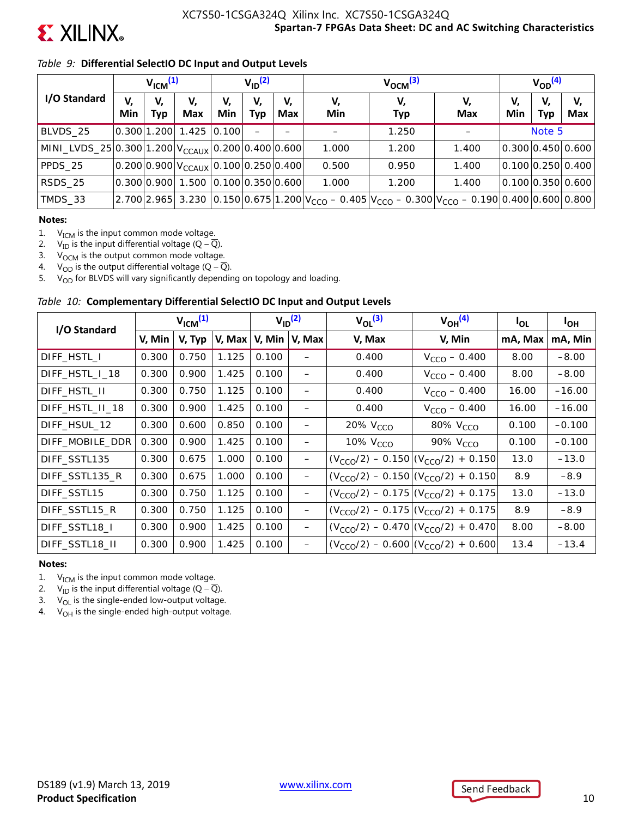

## *Table 9:* **Differential SelectIO DC Input and Output Levels**

|                                                          | V <sub>ICM</sub> <sup>(1)</sup> |           |                                             | $V_{ID}$ <sup>(2)</sup> |           |                  | $V_{\text{OCM}}^{(3)}$ |                                                                                                                      |           |           | $V_{OD}^{(4)}$   |                   |  |
|----------------------------------------------------------|---------------------------------|-----------|---------------------------------------------|-------------------------|-----------|------------------|------------------------|----------------------------------------------------------------------------------------------------------------------|-----------|-----------|------------------|-------------------|--|
| I/O Standard                                             | V,<br>Min                       | V,<br>Тур | V,<br><b>Max</b>                            | V,<br>Min               | V,<br>Typ | V,<br><b>Max</b> | V,<br>Min              | V,<br><b>Typ</b>                                                                                                     | V,<br>Max | V,<br>Min | V,<br><b>Typ</b> | V,<br>Max         |  |
| BLVDS 25                                                 |                                 |           | 1.425 0.300 1.200 1.425                     | 0.100                   |           |                  |                        | 1.250                                                                                                                |           |           | Note 5           |                   |  |
| MINI_LVDS_25 $ 0.300 1.200 V_{CCAUX} 0.200 0.400 0.600 $ |                                 |           |                                             |                         |           |                  | 1.000                  | 1.200                                                                                                                | 1.400     |           |                  | 0.300 0.450 0.600 |  |
| PPDS 25                                                  |                                 |           | $ 0.200 0.900 V_{CCAUX} 0.100 0.250 0.400 $ |                         |           |                  | 0.500                  | 0.950                                                                                                                | 1.400     |           |                  | 0.100 0.250 0.400 |  |
| RSDS 25                                                  | 0.300 0.900                     |           | 1.500 0.100 0.350 0.600                     |                         |           |                  | 1.000                  | 1.200                                                                                                                | 1.400     |           |                  | 0.100 0.350 0.600 |  |
| TMDS_33                                                  | 2.700 2.965                     |           |                                             |                         |           |                  |                        | 3.230 0.150 0.675 1.200 $V_{\text{CCO}}$ - 0.405 $V_{\text{CCO}}$ - 0.300 $V_{\text{CCO}}$ - 0.190 0.400 0.600 0.800 |           |           |                  |                   |  |

### **Notes:**

1.  $V_{ICM}$  is the input common mode voltage.

2.  $V_{\text{ID}}$  is the input differential voltage (Q –  $\overline{Q}$ ).<br>3.  $V_{\text{OCM}}$  is the output common mode voltage

3.  $V_{\text{OCM}}$  is the output common mode voltage.<br>4.  $V_{\text{OD}}$  is the output differential voltage (Q – Q

 $V_{OD}$  is the output differential voltage (Q –  $\overline{Q}$ ).

5.  $V_{OD}$  for BLVDS will vary significantly depending on topology and loading.

### *Table 10:* **Complementary Differential SelectIO DC Input and Output Levels**

| I/O Standard    | $V_{ICM}^{(1)}$ |        | $V_{ID}$ <sup>(2)</sup> |                  | $V_{\Omega I}$ <sup>(3)</sup> | $V_{OH}$ <sup>(4)</sup> | <sup>I</sup> OL                               | <b>I<sub>OH</sub></b> |          |
|-----------------|-----------------|--------|-------------------------|------------------|-------------------------------|-------------------------|-----------------------------------------------|-----------------------|----------|
|                 | V, Min          | V, Typ | V, Max                  | V, Min<br>V, Max |                               | V, Max                  | V, Min                                        | mA, Max               | mA, Min  |
| DIFF_HSTL_I     | 0.300           | 0.750  | 1.125                   | 0.100            |                               | 0.400                   | $V_{CCO} - 0.400$                             | 8.00                  | $-8.00$  |
| DIFF_HSTL_I_18  | 0.300           | 0.900  | 1.425                   | 0.100            | $\overline{\phantom{0}}$      | 0.400                   | $V_{CCO} - 0.400$                             | 8.00                  | $-8.00$  |
| DIFF_HSTL_II    | 0.300           | 0.750  | 1.125                   | 0.100            | -                             | 0.400                   | $V_{CCO} - 0.400$                             | 16.00                 | $-16.00$ |
| DIFF_HSTL_II_18 | 0.300           | 0.900  | 1.425                   | 0.100            |                               | 0.400                   | $V_{CCO} - 0.400$                             | 16.00                 | $-16.00$ |
| DIFF HSUL 12    | 0.300           | 0.600  | 0.850                   | 0.100            | —                             | 20% V <sub>CCO</sub>    | 80% V <sub>CCO</sub>                          | 0.100                 | $-0.100$ |
| DIFF_MOBILE_DDR | 0.300           | 0.900  | 1.425                   | 0.100            | —                             | 10% V <sub>CCO</sub>    | 90% V <sub>CCO</sub>                          | 0.100                 | $-0.100$ |
| DIFF SSTL135    | 0.300           | 0.675  | 1.000                   | 0.100            | -                             |                         | $(V_{CCO}/2) - 0.150   (V_{CCO}/2) + 0.150$   | 13.0                  | $-13.0$  |
| DIFF SSTL135 R  | 0.300           | 0.675  | 1.000                   | 0.100            | —                             |                         | $(V_{CCO}/2) - 0.150   (V_{CCO}/2) + 0.150  $ | 8.9                   | $-8.9$   |
| DIFF SSTL15     | 0.300           | 0.750  | 1.125                   | 0.100            | —                             |                         | $(V_{CCO}/2) - 0.175   (V_{CCO}/2) + 0.175$   | 13.0                  | $-13.0$  |
| DIFF SSTL15 R   | 0.300           | 0.750  | 1.125                   | 0.100            | -                             |                         | $(V_{CCO}/2) - 0.175   (V_{CCO}/2) + 0.175$   | 8.9                   | $-8.9$   |
| DIFF_SSTL18_I   | 0.300           | 0.900  | 1.425                   | 0.100            | —                             |                         | $(V_{CCO}/2) - 0.470   (V_{CCO}/2) + 0.470  $ | 8.00                  | $-8.00$  |
| DIFF SSTL18 II  | 0.300           | 0.900  | 1.425                   | 0.100            | —                             |                         | $(V_{CCO}/2) - 0.600   (V_{CCO}/2) + 0.600  $ | 13.4                  | $-13.4$  |

### **Notes:**

1.  $V_{ICM}$  is the input common mode voltage.

2.  $V_{\text{ID}}$  is the input differential voltage (Q –  $\overline{Q}$ ).

3.  $V_{OL}$  is the single-ended low-output voltage.

4.  $V_{OH}$  is the single-ended high-output voltage.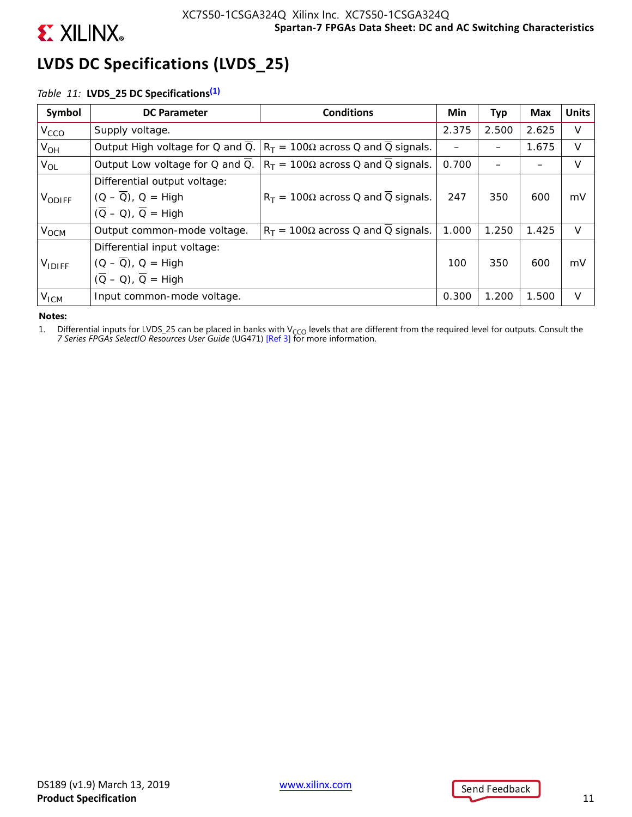

# **LVDS DC Specifications (LVDS\_25)**

## *Table 11:* **LVDS\_25 DC Specifications(1)**

| Symbol           | <b>DC Parameter</b>                          | <b>Conditions</b>                            | Min   | Тур   | Max   | <b>Units</b> |
|------------------|----------------------------------------------|----------------------------------------------|-------|-------|-------|--------------|
| V <sub>CCO</sub> | Supply voltage.                              | 2.375                                        | 2.500 | 2.625 | V     |              |
| $V_{OH}$         | Output High voltage for Q and Q.             | $R_T = 100\Omega$ across Q and Q signals.    |       |       | 1.675 | V            |
| $V_{OL}$         | Output Low voltage for Q and Q.              | $R_T = 100\Omega$ across Q and Q signals.    | 0.700 |       |       | V            |
|                  | Differential output voltage:                 | $R_T = 100\Omega$ across Q and Q signals.    |       |       |       |              |
| VODIFF           | $(Q - \overline{Q})$ , $Q = High$            | 247                                          | 350   | 600   | mV    |              |
|                  | $(\overline{Q} - Q)$ , $\overline{Q} =$ High |                                              |       |       |       |              |
| V <sub>OCM</sub> | Output common-mode voltage.                  | $R_T$ = 100 $\Omega$ across Q and Q signals. | 1.000 | 1.250 | 1.425 | $\vee$       |
|                  | Differential input voltage:                  |                                              |       |       |       |              |
| $V_{IDIFF}$      | $(Q - \overline{Q})$ , $Q = High$            | 100                                          | 350   | 600   | mV    |              |
|                  | $(\overline{Q} - Q)$ , $\overline{Q}$ = High |                                              |       |       |       |              |
| V <sub>ICM</sub> | Input common-mode voltage.                   |                                              | 0.300 | 1.200 | 1.500 | V            |

### **Notes:**

1. Differential inputs for LVDS\_25 can be placed in banks with V<sub>CCO</sub> levels that are different from the required level for outputs. Consult the 7 Series FPGAs SelectIO Resources User Guide (UG471) [Ref 3] for more inform

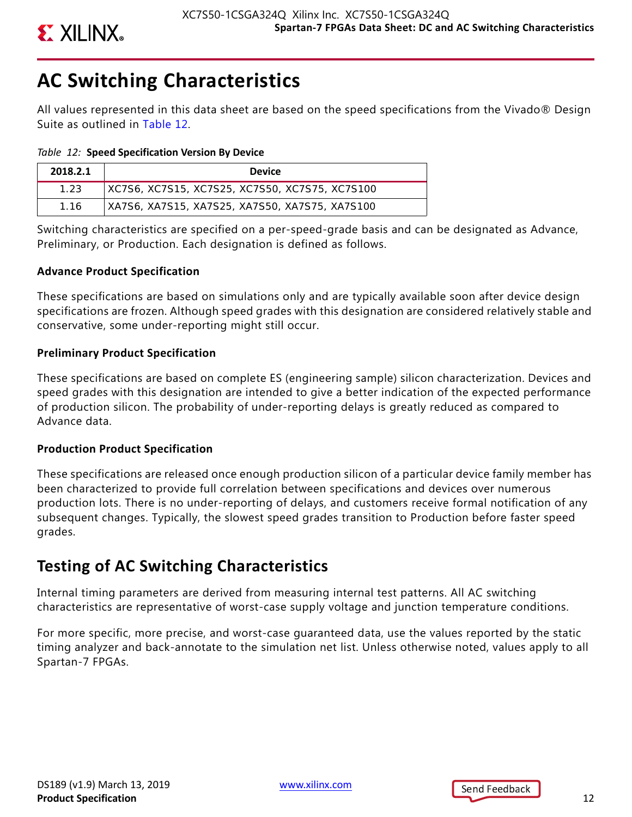

# **AC Switching Characteristics**

All values represented in this data sheet are based on the speed specifications from the Vivado® Design Suite as outlined in Table 12.

*Table 12:* **Speed Specification Version By Device**

| 2018.2.1 | <b>Device</b>                                  |
|----------|------------------------------------------------|
| 1.23     | XC7S6, XC7S15, XC7S25, XC7S50, XC7S75, XC7S100 |
| 1.16     | XA7S6, XA7S15, XA7S25, XA7S50, XA7S75, XA7S100 |

Switching characteristics are specified on a per-speed-grade basis and can be designated as Advance, Preliminary, or Production. Each designation is defined as follows.

## **Advance Product Specification**

These specifications are based on simulations only and are typically available soon after device design specifications are frozen. Although speed grades with this designation are considered relatively stable and conservative, some under-reporting might still occur.

## **Preliminary Product Specification**

These specifications are based on complete ES (engineering sample) silicon characterization. Devices and speed grades with this designation are intended to give a better indication of the expected performance of production silicon. The probability of under-reporting delays is greatly reduced as compared to Advance data.

## **Production Product Specification**

These specifications are released once enough production silicon of a particular device family member has been characterized to provide full correlation between specifications and devices over numerous production lots. There is no under-reporting of delays, and customers receive formal notification of any subsequent changes. Typically, the slowest speed grades transition to Production before faster speed grades.

## **Testing of AC Switching Characteristics**

Internal timing parameters are derived from measuring internal test patterns. All AC switching characteristics are representative of worst-case supply voltage and junction temperature conditions.

For more specific, more precise, and worst-case guaranteed data, use the values reported by the static timing analyzer and back-annotate to the simulation net list. Unless otherwise noted, values apply to all Spartan-7 FPGAs.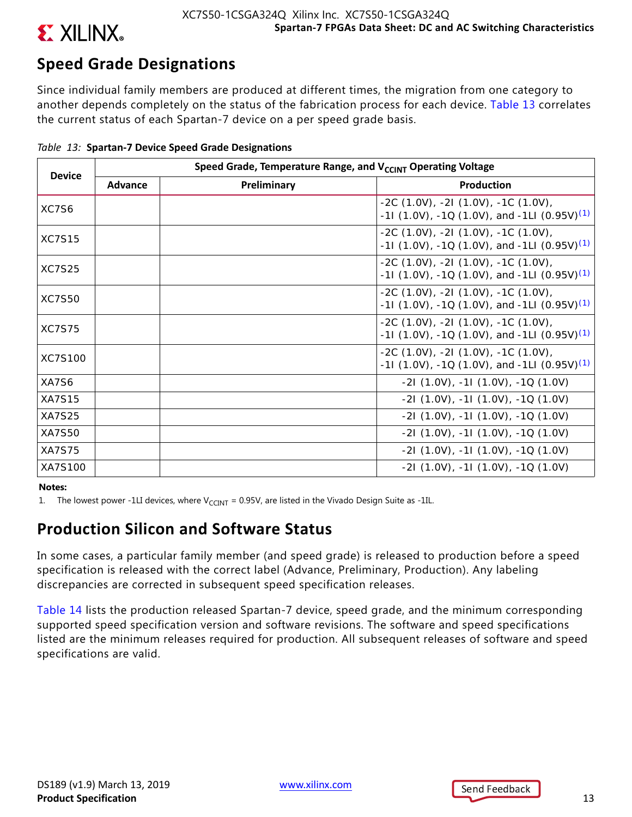

# **Speed Grade Designations**

Since individual family members are produced at different times, the migration from one category to another depends completely on the status of the fabrication process for each device. Table 13 correlates the current status of each Spartan-7 device on a per speed grade basis.

| <b>Device</b> |         | Speed Grade, Temperature Range, and V <sub>CCINT</sub> Operating Voltage |                                                                                                      |  |  |  |  |  |  |  |  |
|---------------|---------|--------------------------------------------------------------------------|------------------------------------------------------------------------------------------------------|--|--|--|--|--|--|--|--|
|               | Advance | Preliminary                                                              | Production                                                                                           |  |  |  |  |  |  |  |  |
| XC7S6         |         |                                                                          | $-2C(1.0V), -2I(1.0V), -1C(1.0V),$<br>-11 (1.0V), -1Q (1.0V), and -1LI (0.95V) <sup>(1)</sup>        |  |  |  |  |  |  |  |  |
| <b>XC7S15</b> |         |                                                                          | $-2C(1.0V)$ , $-2I(1.0V)$ , $-1C(1.0V)$ ,<br>-11 (1.0V), -1Q (1.0V), and -1LI (0.95V) <sup>(1)</sup> |  |  |  |  |  |  |  |  |
| <b>XC7S25</b> |         |                                                                          | $-2C(1.0V)$ , $-2I(1.0V)$ , $-1C(1.0V)$ ,<br>-11 (1.0V), -1Q (1.0V), and -1LI (0.95V) <sup>(1)</sup> |  |  |  |  |  |  |  |  |
| <b>XC7S50</b> |         |                                                                          | $-2C(1.0V)$ , $-2I(1.0V)$ , $-1C(1.0V)$ ,<br>-11 (1.0V), -1Q (1.0V), and -1LI (0.95V) <sup>(1)</sup> |  |  |  |  |  |  |  |  |
| <b>XC7S75</b> |         |                                                                          | $-2C(1.0V)$ , $-2I(1.0V)$ , $-1C(1.0V)$ ,<br>-11 (1.0V), -1Q (1.0V), and -1LI (0.95V) <sup>(1)</sup> |  |  |  |  |  |  |  |  |
| XC7S100       |         |                                                                          | $-2C(1.0V), -2I(1.0V), -1C(1.0V),$<br>$-11$ (1.0V), $-10$ (1.0V), and $-1LI$ (0.95V) <sup>(1)</sup>  |  |  |  |  |  |  |  |  |
| XA7S6         |         |                                                                          | $-21$ (1.0V), $-11$ (1.0V), $-10$ (1.0V)                                                             |  |  |  |  |  |  |  |  |
| <b>XA7S15</b> |         |                                                                          | $-21$ (1.0V), $-11$ (1.0V), $-10$ (1.0V)                                                             |  |  |  |  |  |  |  |  |
| <b>XA7S25</b> |         |                                                                          | $-21(1.0V), -11(1.0V), -10(1.0V)$                                                                    |  |  |  |  |  |  |  |  |
| <b>XA7S50</b> |         |                                                                          | $-21(1.0V), -11(1.0V), -10(1.0V)$                                                                    |  |  |  |  |  |  |  |  |
| <b>XA7S75</b> |         |                                                                          | $-21$ (1.0V), $-11$ (1.0V), $-10$ (1.0V)                                                             |  |  |  |  |  |  |  |  |
| XA7S100       |         |                                                                          | $-21(1.0V)$ , $-11(1.0V)$ , $-10(1.0V)$                                                              |  |  |  |  |  |  |  |  |

|  |  |  | Table 13: Spartan-7 Device Speed Grade Designations |  |  |
|--|--|--|-----------------------------------------------------|--|--|
|--|--|--|-----------------------------------------------------|--|--|

### **Notes:**

1. The lowest power -1LI devices, where  $V_{CCHIT} = 0.95V$ , are listed in the Vivado Design Suite as -1IL.

## **Production Silicon and Software Status**

In some cases, a particular family member (and speed grade) is released to production before a speed specification is released with the correct label (Advance, Preliminary, Production). Any labeling discrepancies are corrected in subsequent speed specification releases.

Table 14 lists the production released Spartan-7 device, speed grade, and the minimum corresponding supported speed specification version and software revisions. The software and speed specifications listed are the minimum releases required for production. All subsequent releases of software and speed specifications are valid.

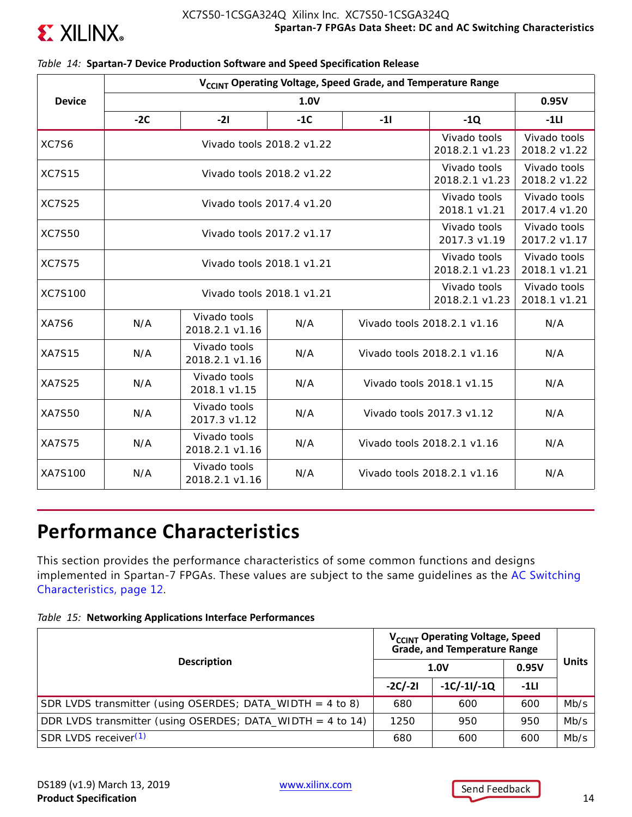

|                | V <sub>CCINT</sub> Operating Voltage, Speed Grade, and Temperature Range |                                                           |                              |                                |                                |                              |  |  |  |  |
|----------------|--------------------------------------------------------------------------|-----------------------------------------------------------|------------------------------|--------------------------------|--------------------------------|------------------------------|--|--|--|--|
| <b>Device</b>  |                                                                          | 0.95V                                                     |                              |                                |                                |                              |  |  |  |  |
|                | $-2C$                                                                    | $-21$                                                     | $-1C$                        | $-11$                          | $-1Q$                          | $-1LI$                       |  |  |  |  |
| XC7S6          |                                                                          | Vivado tools 2018.2 v1.22                                 |                              |                                | Vivado tools<br>2018.2.1 v1.23 | Vivado tools<br>2018.2 v1.22 |  |  |  |  |
| <b>XC7S15</b>  |                                                                          | Vivado tools 2018.2 v1.22                                 |                              |                                | Vivado tools<br>2018.2.1 v1.23 | Vivado tools<br>2018.2 v1.22 |  |  |  |  |
| <b>XC7S25</b>  |                                                                          | Vivado tools 2017.4 v1.20                                 |                              |                                | Vivado tools<br>2018.1 v1.21   | Vivado tools<br>2017.4 v1.20 |  |  |  |  |
| <b>XC7S50</b>  |                                                                          | Vivado tools<br>Vivado tools 2017.2 v1.17<br>2017.3 v1.19 |                              |                                |                                |                              |  |  |  |  |
| <b>XC7S75</b>  |                                                                          | Vivado tools<br>2018.2.1 v1.23                            | Vivado tools<br>2018.1 v1.21 |                                |                                |                              |  |  |  |  |
| <b>XC7S100</b> |                                                                          | Vivado tools 2018.1 v1.21                                 |                              | Vivado tools<br>2018.2.1 v1.23 | Vivado tools<br>2018.1 v1.21   |                              |  |  |  |  |
| XA7S6          | N/A                                                                      | Vivado tools<br>2018.2.1 v1.16                            | N/A                          | Vivado tools 2018.2.1 v1.16    | N/A                            |                              |  |  |  |  |
| <b>XA7S15</b>  | N/A                                                                      | Vivado tools<br>2018.2.1 v1.16                            | N/A                          |                                | Vivado tools 2018.2.1 v1.16    | N/A                          |  |  |  |  |
| <b>XA7S25</b>  | N/A                                                                      | Vivado tools<br>2018.1 v1.15                              | N/A                          |                                | Vivado tools 2018.1 v1.15      | N/A                          |  |  |  |  |
| XA7S50         | N/A                                                                      | Vivado tools<br>2017.3 v1.12                              | Vivado tools 2017.3 v1.12    | N/A                            |                                |                              |  |  |  |  |
| <b>XA7S75</b>  | N/A                                                                      | Vivado tools<br>2018.2.1 v1.16                            | N/A                          |                                | Vivado tools 2018.2.1 v1.16    | N/A                          |  |  |  |  |
| XA7S100        | N/A                                                                      | Vivado tools<br>2018.2.1 v1.16                            | N/A                          |                                | Vivado tools 2018.2.1 v1.16    | N/A                          |  |  |  |  |

### *Table 14:* **Spartan-7 Device Production Software and Speed Specification Release**

# **Performance Characteristics**

This section provides the performance characteristics of some common functions and designs implemented in Spartan-7 FPGAs. These values are subject to the same guidelines as the AC Switching Characteristics, page 12.

|  |  | Table 15: Networking Applications Interface Performances |
|--|--|----------------------------------------------------------|
|--|--|----------------------------------------------------------|

|                                                             | V <sub>CCINT</sub> Operating Voltage, Speed<br><b>Grade, and Temperature Range</b> |               |        |              |
|-------------------------------------------------------------|------------------------------------------------------------------------------------|---------------|--------|--------------|
| <b>Description</b>                                          |                                                                                    | 1.0V          | 0.95V  | <b>Units</b> |
|                                                             | $-2C/-2I$                                                                          | $-1C/-11/-1Q$ | $-1LI$ |              |
| SDR LVDS transmitter (using OSERDES; DATA_WIDTH = $4$ to 8) | 680                                                                                | 600           | 600    | Mb/s         |
| DDR LVDS transmitter (using OSERDES; DATA_WIDTH = 4 to 14)  | 1250                                                                               | 950           | 950    | Mb/s         |
| SDR LVDS receiver <sup>(1)</sup>                            | 680                                                                                | 600           | 600    | Mb/s         |

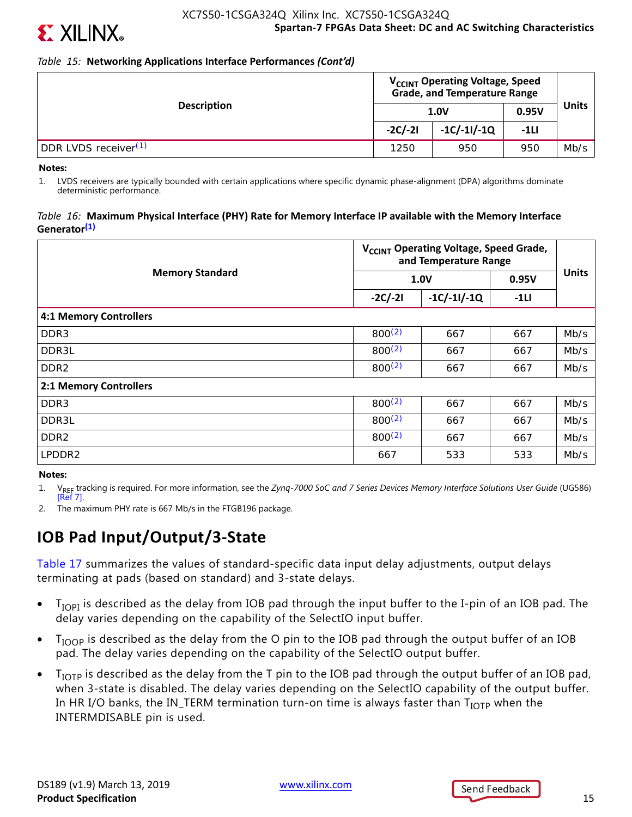

## *Table 15:* **Networking Applications Interface Performances** *(Cont'd)*

|                                  | V <sub>CCINT</sub> Operating Voltage, Speed<br><b>Grade, and Temperature Range</b> |               |        |              |
|----------------------------------|------------------------------------------------------------------------------------|---------------|--------|--------------|
| <b>Description</b>               |                                                                                    | 1.0V          | 0.95V  | <b>Units</b> |
|                                  | $-2C/-2I$                                                                          | $-1C/-11/-1Q$ | $-1LI$ |              |
| DDR LVDS receiver <sup>(1)</sup> | 1250                                                                               | 950           | 950    | Mb/s         |

**Notes:** 

1. LVDS receivers are typically bounded with certain applications where specific dynamic phase-alignment (DPA) algorithms dominate deterministic performance.

### *Table 16:* **Maximum Physical Interface (PHY) Rate for Memory Interface IP available with the Memory Interface Generator(1)**

|                               | V <sub>CCINT</sub> Operating Voltage, Speed Grade,<br>and Temperature Range |               |        |              |  |  |
|-------------------------------|-----------------------------------------------------------------------------|---------------|--------|--------------|--|--|
| <b>Memory Standard</b>        |                                                                             | 1.0V          | 0.95V  | <b>Units</b> |  |  |
|                               | $-2C/-2I$                                                                   | $-1C/-11/-1Q$ | $-1LI$ |              |  |  |
| <b>4:1 Memory Controllers</b> |                                                                             |               |        |              |  |  |
| DDR <sub>3</sub>              | 800(2)                                                                      | 667           | 667    | Mb/s         |  |  |
| DDR3L                         | $800^{(2)}$                                                                 | 667           | 667    | Mb/s         |  |  |
| DDR <sub>2</sub>              | 800(2)                                                                      | 667           | 667    | Mb/s         |  |  |
| 2:1 Memory Controllers        |                                                                             |               |        |              |  |  |
| DDR <sub>3</sub>              | $800^{(2)}$                                                                 | 667           | 667    | Mb/s         |  |  |
| DDR3L                         | $800^{(2)}$                                                                 | 667           | 667    | Mb/s         |  |  |
| DDR <sub>2</sub>              | $800^{(2)}$                                                                 | 667           | 667    | Mb/s         |  |  |
| LPDDR2                        | 667                                                                         | 533           | 533    | Mb/s         |  |  |

### **Notes:**

1. V<sub>REF</sub> tracking is required. For more information, see the *Zynq-7000 SoC and 7 Series Devices Memory Interface Solutions User Guide* (UG586) [Ref 7].

2. The maximum PHY rate is 667 Mb/s in the FTGB196 package.

## **IOB Pad Input/Output/3-State**

Table 17 summarizes the values of standard-specific data input delay adjustments, output delays terminating at pads (based on standard) and 3-state delays.

- $\bullet$  T<sub>IOPI</sub> is described as the delay from IOB pad through the input buffer to the I-pin of an IOB pad. The delay varies depending on the capability of the SelectIO input buffer.
- T<sub>IOOP</sub> is described as the delay from the O pin to the IOB pad through the output buffer of an IOB pad. The delay varies depending on the capability of the SelectIO output buffer.
- $T_{\text{IOTP}}$  is described as the delay from the T pin to the IOB pad through the output buffer of an IOB pad, when 3-state is disabled. The delay varies depending on the SelectIO capability of the output buffer. In HR I/O banks, the IN\_TERM termination turn-on time is always faster than  $T_{\text{IOTP}}$  when the INTERMDISABLE pin is used.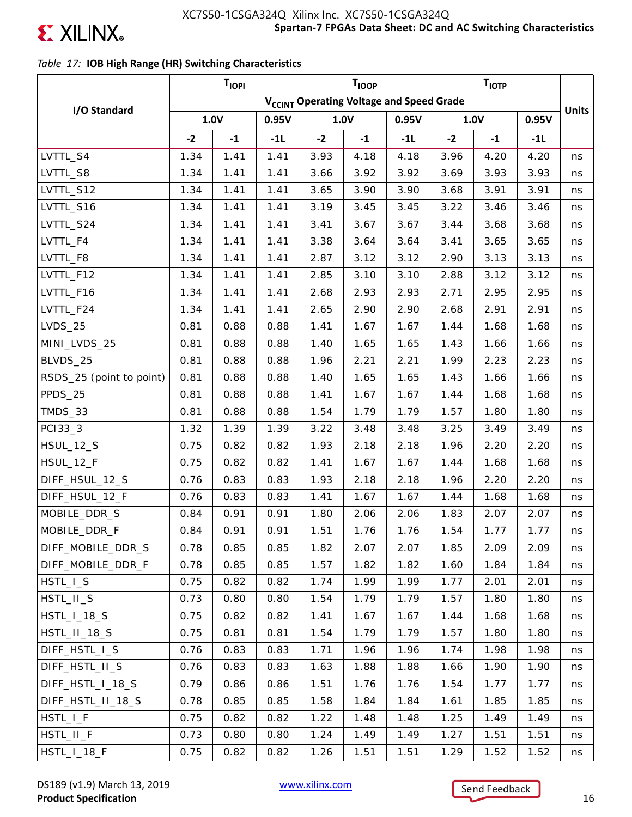

## *Table 17:* **IOB High Range (HR) Switching Characteristics**

|                          |      | <b>TIOPI</b> |                                                      |      | T <sub>IOOP</sub> |       |      | T <sub>IOTP</sub> |       |              |
|--------------------------|------|--------------|------------------------------------------------------|------|-------------------|-------|------|-------------------|-------|--------------|
|                          |      |              | V <sub>CCINT</sub> Operating Voltage and Speed Grade |      |                   |       |      |                   |       |              |
| I/O Standard             | 1.0V |              | 0.95V                                                |      | 1.0V              | 0.95V |      | 1.0V              | 0.95V | <b>Units</b> |
|                          | $-2$ | $-1$         | $-1L$                                                | $-2$ | $-1$              | $-1L$ | $-2$ | $-1$              | $-1L$ |              |
| LVTTL_S4                 | 1.34 | 1.41         | 1.41                                                 | 3.93 | 4.18              | 4.18  | 3.96 | 4.20              | 4.20  | ns           |
| LVTTL_S8                 | 1.34 | 1.41         | 1.41                                                 | 3.66 | 3.92              | 3.92  | 3.69 | 3.93              | 3.93  | ns           |
| LVTTL_S12                | 1.34 | 1.41         | 1.41                                                 | 3.65 | 3.90              | 3.90  | 3.68 | 3.91              | 3.91  | ns           |
| LVTTL_S16                | 1.34 | 1.41         | 1.41                                                 | 3.19 | 3.45              | 3.45  | 3.22 | 3.46              | 3.46  | ns           |
| LVTTL_S24                | 1.34 | 1.41         | 1.41                                                 | 3.41 | 3.67              | 3.67  | 3.44 | 3.68              | 3.68  | ns           |
| LVTTL_F4                 | 1.34 | 1.41         | 1.41                                                 | 3.38 | 3.64              | 3.64  | 3.41 | 3.65              | 3.65  | ns           |
| LVTTL_F8                 | 1.34 | 1.41         | 1.41                                                 | 2.87 | 3.12              | 3.12  | 2.90 | 3.13              | 3.13  | ns           |
| LVTTL_F12                | 1.34 | 1.41         | 1.41                                                 | 2.85 | 3.10              | 3.10  | 2.88 | 3.12              | 3.12  | ns           |
| LVTTL_F16                | 1.34 | 1.41         | 1.41                                                 | 2.68 | 2.93              | 2.93  | 2.71 | 2.95              | 2.95  | ns           |
| LVTTL_F24                | 1.34 | 1.41         | 1.41                                                 | 2.65 | 2.90              | 2.90  | 2.68 | 2.91              | 2.91  | ns           |
| <b>LVDS_25</b>           | 0.81 | 0.88         | 0.88                                                 | 1.41 | 1.67              | 1.67  | 1.44 | 1.68              | 1.68  | ns           |
| MINI_LVDS_25             | 0.81 | 0.88         | 0.88                                                 | 1.40 | 1.65              | 1.65  | 1.43 | 1.66              | 1.66  | ns           |
| BLVDS_25                 | 0.81 | 0.88         | 0.88                                                 | 1.96 | 2.21              | 2.21  | 1.99 | 2.23              | 2.23  | ns           |
| RSDS_25 (point to point) | 0.81 | 0.88         | 0.88                                                 | 1.40 | 1.65              | 1.65  | 1.43 | 1.66              | 1.66  | ns           |
| PPDS_25                  | 0.81 | 0.88         | 0.88                                                 | 1.41 | 1.67              | 1.67  | 1.44 | 1.68              | 1.68  | ns           |
| TMDS_33                  | 0.81 | 0.88         | 0.88                                                 | 1.54 | 1.79              | 1.79  | 1.57 | 1.80              | 1.80  | ns           |
| PC133_3                  | 1.32 | 1.39         | 1.39                                                 | 3.22 | 3.48              | 3.48  | 3.25 | 3.49              | 3.49  | ns           |
| <b>HSUL_12_S</b>         | 0.75 | 0.82         | 0.82                                                 | 1.93 | 2.18              | 2.18  | 1.96 | 2.20              | 2.20  | ns           |
| HSUL_12_F                | 0.75 | 0.82         | 0.82                                                 | 1.41 | 1.67              | 1.67  | 1.44 | 1.68              | 1.68  | ns           |
| DIFF_HSUL_12_S           | 0.76 | 0.83         | 0.83                                                 | 1.93 | 2.18              | 2.18  | 1.96 | 2.20              | 2.20  | ns           |
| DIFF_HSUL_12_F           | 0.76 | 0.83         | 0.83                                                 | 1.41 | 1.67              | 1.67  | 1.44 | 1.68              | 1.68  | ns           |
| MOBILE_DDR_S             | 0.84 | 0.91         | 0.91                                                 | 1.80 | 2.06              | 2.06  | 1.83 | 2.07              | 2.07  | ns           |
| MOBILE_DDR_F             | 0.84 | 0.91         | 0.91                                                 | 1.51 | 1.76              | 1.76  | 1.54 | 1.77              | 1.77  | ns           |
| DIFF_MOBILE_DDR_S        | 0.78 | 0.85         | 0.85                                                 | 1.82 | 2.07              | 2.07  | 1.85 | 2.09              | 2.09  | ns           |
| DIFF_MOBILE_DDR_F        | 0.78 | 0.85         | 0.85                                                 | 1.57 | 1.82              | 1.82  | 1.60 | 1.84              | 1.84  | ns           |
| HSTL_I_S                 | 0.75 | 0.82         | 0.82                                                 | 1.74 | 1.99              | 1.99  | 1.77 | 2.01              | 2.01  | ns           |
| HSTL_II_S                | 0.73 | 0.80         | 0.80                                                 | 1.54 | 1.79              | 1.79  | 1.57 | 1.80              | 1.80  | ns           |
| $HSTL_l_13_S$            | 0.75 | 0.82         | 0.82                                                 | 1.41 | 1.67              | 1.67  | 1.44 | 1.68              | 1.68  | ns           |
| HSTL_II_18_S             | 0.75 | 0.81         | 0.81                                                 | 1.54 | 1.79              | 1.79  | 1.57 | 1.80              | 1.80  | ns           |
| DIFF_HSTL_I_S            | 0.76 | 0.83         | 0.83                                                 | 1.71 | 1.96              | 1.96  | 1.74 | 1.98              | 1.98  | ns           |
| DIFF_HSTL_II_S           | 0.76 | 0.83         | 0.83                                                 | 1.63 | 1.88              | 1.88  | 1.66 | 1.90              | 1.90  | ns           |
| DIFF_HSTL_I_18_S         | 0.79 | 0.86         | 0.86                                                 | 1.51 | 1.76              | 1.76  | 1.54 | 1.77              | 1.77  | ns           |
| DIFF_HSTL_II_18_S        | 0.78 | 0.85         | 0.85                                                 | 1.58 | 1.84              | 1.84  | 1.61 | 1.85              | 1.85  | ns           |
| HSTL_I_F                 | 0.75 | 0.82         | 0.82                                                 | 1.22 | 1.48              | 1.48  | 1.25 | 1.49              | 1.49  | ns           |
| HSTL_II_F                | 0.73 | 0.80         | 0.80                                                 | 1.24 | 1.49              | 1.49  | 1.27 | 1.51              | 1.51  | ns           |
| HSTL_I_18_F              | 0.75 | 0.82         | 0.82                                                 | 1.26 | 1.51              | 1.51  | 1.29 | 1.52              | 1.52  | ns           |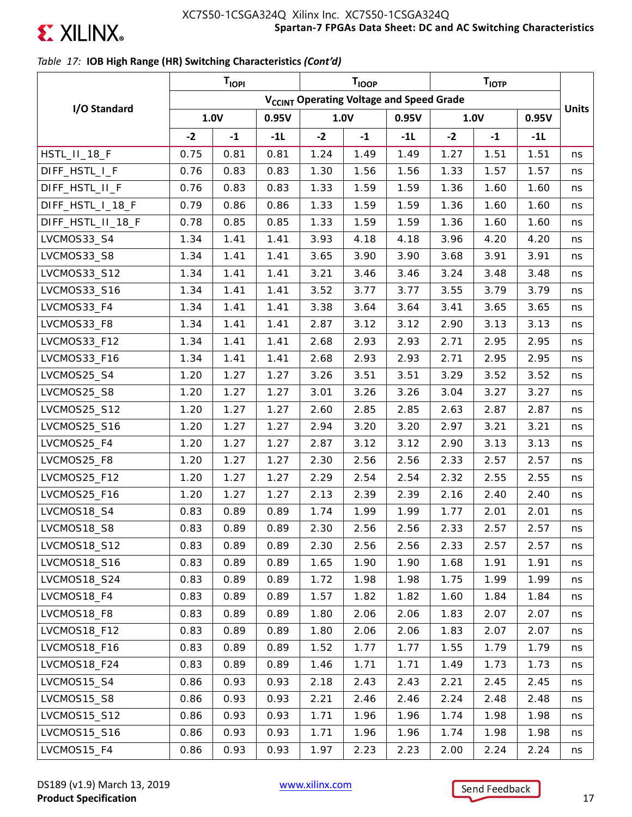

## *Table 17:* **IOB High Range (HR) Switching Characteristics** *(Cont'd)*

|                   | <b>TIOPI</b><br>T <sub>IOOP</sub> |      |       |      |      | T <sub>IOTP</sub>                                    |      |      |       |              |
|-------------------|-----------------------------------|------|-------|------|------|------------------------------------------------------|------|------|-------|--------------|
|                   |                                   |      |       |      |      | V <sub>CCINT</sub> Operating Voltage and Speed Grade |      |      |       |              |
| I/O Standard      | 1.0V                              |      | 0.95V |      | 1.0V | 0.95V                                                |      | 1.0V | 0.95V | <b>Units</b> |
|                   | $-2$                              | $-1$ | $-1L$ | $-2$ | $-1$ | $-1L$                                                | $-2$ | $-1$ | $-1L$ |              |
| HSTL_II_18_F      | 0.75                              | 0.81 | 0.81  | 1.24 | 1.49 | 1.49                                                 | 1.27 | 1.51 | 1.51  | ns           |
| DIFF_HSTL_I_F     | 0.76                              | 0.83 | 0.83  | 1.30 | 1.56 | 1.56                                                 | 1.33 | 1.57 | 1.57  | ns           |
| DIFF_HSTL_II_F    | 0.76                              | 0.83 | 0.83  | 1.33 | 1.59 | 1.59                                                 | 1.36 | 1.60 | 1.60  | ns           |
| DIFF_HSTL_I_18_F  | 0.79                              | 0.86 | 0.86  | 1.33 | 1.59 | 1.59                                                 | 1.36 | 1.60 | 1.60  | ns           |
| DIFF_HSTL_II_18_F | 0.78                              | 0.85 | 0.85  | 1.33 | 1.59 | 1.59                                                 | 1.36 | 1.60 | 1.60  | ns           |
| LVCMOS33_S4       | 1.34                              | 1.41 | 1.41  | 3.93 | 4.18 | 4.18                                                 | 3.96 | 4.20 | 4.20  | ns           |
| LVCMOS33_S8       | 1.34                              | 1.41 | 1.41  | 3.65 | 3.90 | 3.90                                                 | 3.68 | 3.91 | 3.91  | ns           |
| LVCMOS33_S12      | 1.34                              | 1.41 | 1.41  | 3.21 | 3.46 | 3.46                                                 | 3.24 | 3.48 | 3.48  | ns           |
| LVCMOS33_S16      | 1.34                              | 1.41 | 1.41  | 3.52 | 3.77 | 3.77                                                 | 3.55 | 3.79 | 3.79  | ns           |
| LVCMOS33_F4       | 1.34                              | 1.41 | 1.41  | 3.38 | 3.64 | 3.64                                                 | 3.41 | 3.65 | 3.65  | ns           |
| LVCMOS33_F8       | 1.34                              | 1.41 | 1.41  | 2.87 | 3.12 | 3.12                                                 | 2.90 | 3.13 | 3.13  | ns           |
| LVCMOS33_F12      | 1.34                              | 1.41 | 1.41  | 2.68 | 2.93 | 2.93                                                 | 2.71 | 2.95 | 2.95  | ns           |
| LVCMOS33_F16      | 1.34                              | 1.41 | 1.41  | 2.68 | 2.93 | 2.93                                                 | 2.71 | 2.95 | 2.95  | ns           |
| LVCMOS25_S4       | 1.20                              | 1.27 | 1.27  | 3.26 | 3.51 | 3.51                                                 | 3.29 | 3.52 | 3.52  | ns           |
| LVCMOS25_S8       | 1.20                              | 1.27 | 1.27  | 3.01 | 3.26 | 3.26                                                 | 3.04 | 3.27 | 3.27  | ns           |
| LVCMOS25_S12      | 1.20                              | 1.27 | 1.27  | 2.60 | 2.85 | 2.85                                                 | 2.63 | 2.87 | 2.87  | ns           |
| LVCMOS25_S16      | 1.20                              | 1.27 | 1.27  | 2.94 | 3.20 | 3.20                                                 | 2.97 | 3.21 | 3.21  | ns           |
| LVCMOS25_F4       | 1.20                              | 1.27 | 1.27  | 2.87 | 3.12 | 3.12                                                 | 2.90 | 3.13 | 3.13  | ns           |
| LVCMOS25_F8       | 1.20                              | 1.27 | 1.27  | 2.30 | 2.56 | 2.56                                                 | 2.33 | 2.57 | 2.57  | ns           |
| LVCMOS25_F12      | 1.20                              | 1.27 | 1.27  | 2.29 | 2.54 | 2.54                                                 | 2.32 | 2.55 | 2.55  | ns           |
| LVCMOS25_F16      | 1.20                              | 1.27 | 1.27  | 2.13 | 2.39 | 2.39                                                 | 2.16 | 2.40 | 2.40  | ns           |
| LVCMOS18_S4       | 0.83                              | 0.89 | 0.89  | 1.74 | 1.99 | 1.99                                                 | 1.77 | 2.01 | 2.01  | ns           |
| LVCMOS18_S8       | 0.83                              | 0.89 | 0.89  | 2.30 | 2.56 | 2.56                                                 | 2.33 | 2.57 | 2.57  | ns           |
| LVCMOS18_S12      | 0.83                              | 0.89 | 0.89  | 2.30 | 2.56 | 2.56                                                 | 2.33 | 2.57 | 2.57  | ns           |
| LVCMOS18_S16      | 0.83                              | 0.89 | 0.89  | 1.65 | 1.90 | 1.90                                                 | 1.68 | 1.91 | 1.91  | ns           |
| LVCMOS18_S24      | 0.83                              | 0.89 | 0.89  | 1.72 | 1.98 | 1.98                                                 | 1.75 | 1.99 | 1.99  | ns           |
| LVCMOS18_F4       | 0.83                              | 0.89 | 0.89  | 1.57 | 1.82 | 1.82                                                 | 1.60 | 1.84 | 1.84  | ns           |
| LVCMOS18 F8       | 0.83                              | 0.89 | 0.89  | 1.80 | 2.06 | 2.06                                                 | 1.83 | 2.07 | 2.07  | ns           |
| LVCMOS18_F12      | 0.83                              | 0.89 | 0.89  | 1.80 | 2.06 | 2.06                                                 | 1.83 | 2.07 | 2.07  | ns           |
| LVCMOS18_F16      | 0.83                              | 0.89 | 0.89  | 1.52 | 1.77 | 1.77                                                 | 1.55 | 1.79 | 1.79  | ns           |
| LVCMOS18_F24      | 0.83                              | 0.89 | 0.89  | 1.46 | 1.71 | 1.71                                                 | 1.49 | 1.73 | 1.73  | ns           |
| LVCMOS15_S4       | 0.86                              | 0.93 | 0.93  | 2.18 | 2.43 | 2.43                                                 | 2.21 | 2.45 | 2.45  | ns           |
| LVCMOS15_S8       | 0.86                              | 0.93 | 0.93  | 2.21 | 2.46 | 2.46                                                 | 2.24 | 2.48 | 2.48  | ns           |
| LVCMOS15_S12      | 0.86                              | 0.93 | 0.93  | 1.71 | 1.96 | 1.96                                                 | 1.74 | 1.98 | 1.98  | ns           |
| LVCMOS15_S16      | 0.86                              | 0.93 | 0.93  | 1.71 | 1.96 | 1.96                                                 | 1.74 | 1.98 | 1.98  | ns           |
| LVCMOS15_F4       | 0.86                              | 0.93 | 0.93  | 1.97 | 2.23 | 2.23                                                 | 2.00 | 2.24 | 2.24  | ns           |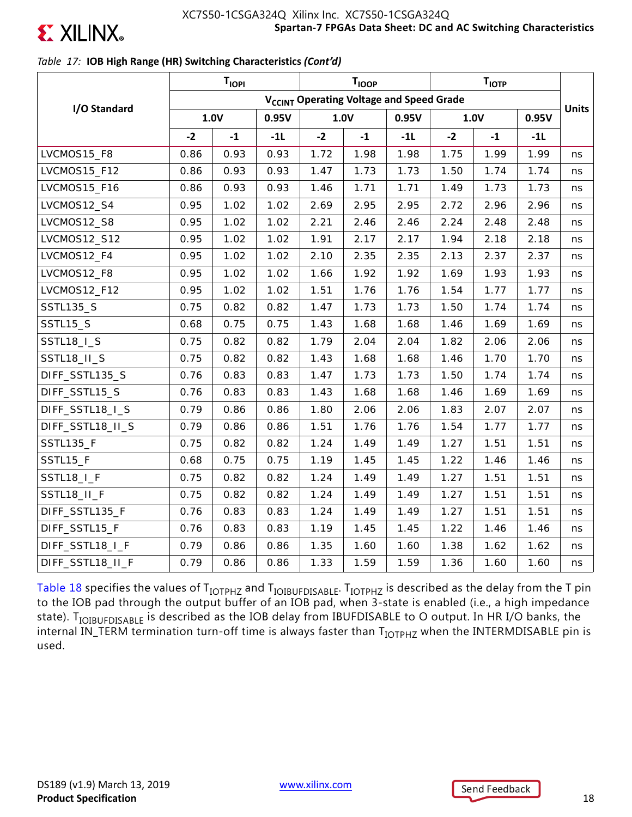

## *Table 17:* **IOB High Range (HR) Switching Characteristics** *(Cont'd)*

|                   |                                                      | T <sub>IOPI</sub> |       |      | <b>T<sub>IOOP</sub></b> |       |      | $T_{\text{IOTP}}$ |       |              |
|-------------------|------------------------------------------------------|-------------------|-------|------|-------------------------|-------|------|-------------------|-------|--------------|
|                   | V <sub>CCINT</sub> Operating Voltage and Speed Grade |                   |       |      |                         |       |      |                   |       |              |
| I/O Standard      |                                                      | 1.0V              | 0.95V |      | 1.0V                    | 0.95V |      | 1.0V              | 0.95V | <b>Units</b> |
|                   | $-2$                                                 | $-1$              | $-11$ | $-2$ | $-1$                    | $-11$ | $-2$ | $-1$              | $-1L$ |              |
| LVCMOS15_F8       | 0.86                                                 | 0.93              | 0.93  | 1.72 | 1.98                    | 1.98  | 1.75 | 1.99              | 1.99  | ns           |
| LVCMOS15_F12      | 0.86                                                 | 0.93              | 0.93  | 1.47 | 1.73                    | 1.73  | 1.50 | 1.74              | 1.74  | ns           |
| LVCMOS15_F16      | 0.86                                                 | 0.93              | 0.93  | 1.46 | 1.71                    | 1.71  | 1.49 | 1.73              | 1.73  | ns           |
| LVCMOS12_S4       | 0.95                                                 | 1.02              | 1.02  | 2.69 | 2.95                    | 2.95  | 2.72 | 2.96              | 2.96  | ns           |
| LVCMOS12_S8       | 0.95                                                 | 1.02              | 1.02  | 2.21 | 2.46                    | 2.46  | 2.24 | 2.48              | 2.48  | ns           |
| LVCMOS12_S12      | 0.95                                                 | 1.02              | 1.02  | 1.91 | 2.17                    | 2.17  | 1.94 | 2.18              | 2.18  | ns           |
| LVCMOS12_F4       | 0.95                                                 | 1.02              | 1.02  | 2.10 | 2.35                    | 2.35  | 2.13 | 2.37              | 2.37  | ns           |
| LVCMOS12_F8       | 0.95                                                 | 1.02              | 1.02  | 1.66 | 1.92                    | 1.92  | 1.69 | 1.93              | 1.93  | ns           |
| LVCMOS12_F12      | 0.95                                                 | 1.02              | 1.02  | 1.51 | 1.76                    | 1.76  | 1.54 | 1.77              | 1.77  | ns           |
| <b>SSTL135_S</b>  | 0.75                                                 | 0.82              | 0.82  | 1.47 | 1.73                    | 1.73  | 1.50 | 1.74              | 1.74  | ns           |
| <b>SSTL15_S</b>   | 0.68                                                 | 0.75              | 0.75  | 1.43 | 1.68                    | 1.68  | 1.46 | 1.69              | 1.69  | ns           |
| <b>SSTL18_I_S</b> | 0.75                                                 | 0.82              | 0.82  | 1.79 | 2.04                    | 2.04  | 1.82 | 2.06              | 2.06  | ns           |
| SSTL18_II_S       | 0.75                                                 | 0.82              | 0.82  | 1.43 | 1.68                    | 1.68  | 1.46 | 1.70              | 1.70  | ns           |
| DIFF_SSTL135_S    | 0.76                                                 | 0.83              | 0.83  | 1.47 | 1.73                    | 1.73  | 1.50 | 1.74              | 1.74  | ns           |
| DIFF_SSTL15_S     | 0.76                                                 | 0.83              | 0.83  | 1.43 | 1.68                    | 1.68  | 1.46 | 1.69              | 1.69  | ns           |
| DIFF_SSTL18_I_S   | 0.79                                                 | 0.86              | 0.86  | 1.80 | 2.06                    | 2.06  | 1.83 | 2.07              | 2.07  | ns           |
| DIFF_SSTL18_II_S  | 0.79                                                 | 0.86              | 0.86  | 1.51 | 1.76                    | 1.76  | 1.54 | 1.77              | 1.77  | ns           |
| <b>SSTL135_F</b>  | 0.75                                                 | 0.82              | 0.82  | 1.24 | 1.49                    | 1.49  | 1.27 | 1.51              | 1.51  | ns           |
| SSTL15_F          | 0.68                                                 | 0.75              | 0.75  | 1.19 | 1.45                    | 1.45  | 1.22 | 1.46              | 1.46  | ns           |
| SSTL18_I_F        | 0.75                                                 | 0.82              | 0.82  | 1.24 | 1.49                    | 1.49  | 1.27 | 1.51              | 1.51  | ns           |
| SSTL18_II_F       | 0.75                                                 | 0.82              | 0.82  | 1.24 | 1.49                    | 1.49  | 1.27 | 1.51              | 1.51  | ns           |
| DIFF_SSTL135_F    | 0.76                                                 | 0.83              | 0.83  | 1.24 | 1.49                    | 1.49  | 1.27 | 1.51              | 1.51  | ns           |
| DIFF_SSTL15_F     | 0.76                                                 | 0.83              | 0.83  | 1.19 | 1.45                    | 1.45  | 1.22 | 1.46              | 1.46  | ns           |
| DIFF_SSTL18_I_F   | 0.79                                                 | 0.86              | 0.86  | 1.35 | 1.60                    | 1.60  | 1.38 | 1.62              | 1.62  | ns           |
| DIFF_SSTL18_II_F  | 0.79                                                 | 0.86              | 0.86  | 1.33 | 1.59                    | 1.59  | 1.36 | 1.60              | 1.60  | ns           |

Table 18 specifies the values of  $T_{IOTPHZ}$  and  $T_{IOIBUPDISABLE}$ .  $T_{IOTPHZ}$  is described as the delay from the T pin to the IOB pad through the output buffer of an IOB pad, when 3-state is enabled (i.e., a high impedance state). T<sub>IOIBUFDISABLE</sub> is described as the IOB delay from IBUFDISABLE to O output. In HR I/O banks, the internal IN\_TERM termination turn-off time is always faster than T<sub>IOTPHZ</sub> when the INTERMDISABLE pin is used.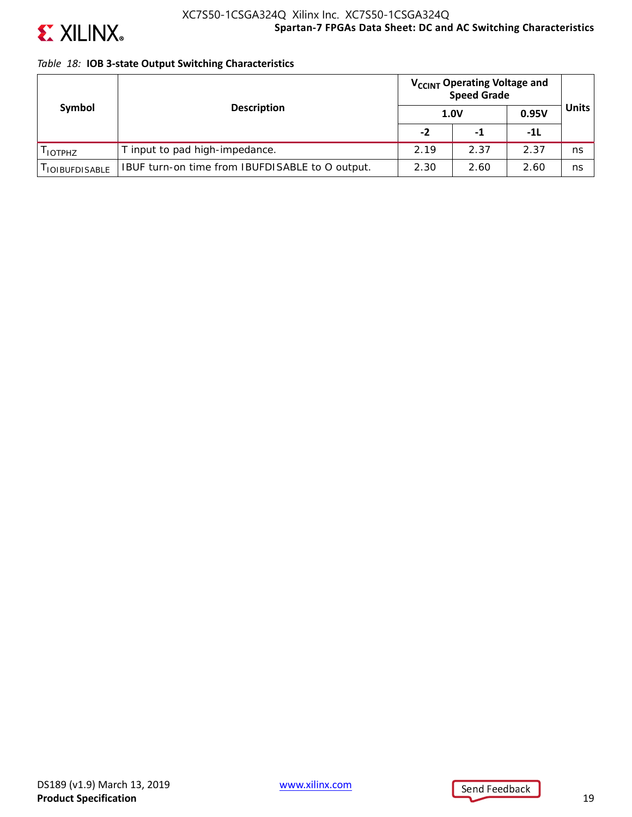

## *Table 18:* **IOB 3-state Output Switching Characteristics**

| Symbol                 |                                                 | V <sub>CCINT</sub> Operating Voltage and<br><b>Speed Grade</b> |      |       |              |
|------------------------|-------------------------------------------------|----------------------------------------------------------------|------|-------|--------------|
|                        | <b>Description</b>                              |                                                                | 1.0V | 0.95V | <b>Units</b> |
|                        |                                                 | $-2$                                                           | -1   | -11   |              |
| I IOTPHZ               | T input to pad high-impedance.                  | 2.19                                                           | 2.37 | 2.37  | ns           |
| <b>I IOIBUFDISABLE</b> | IBUF turn-on time from IBUFDISABLE to O output. | 2.30                                                           | 2.60 | 2.60  | ns           |

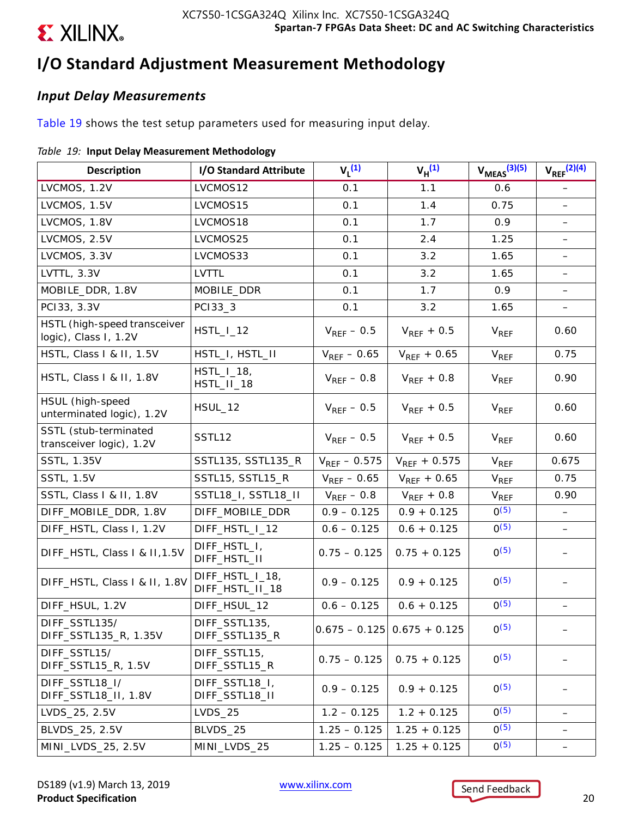# **I/O Standard Adjustment Measurement Methodology**

## *Input Delay Measurements*

Table 19 shows the test setup parameters used for measuring input delay.

## *Table 19:* **Input Delay Measurement Methodology**

| <b>Description</b>                                    | I/O Standard Attribute             | $V_1^{(1)}$       | $V_H^{(1)}$                   | $V_{MEAS}$ $(3)(5)$    | $V_{REF}$ <sup>(2)(4)</sup> |
|-------------------------------------------------------|------------------------------------|-------------------|-------------------------------|------------------------|-----------------------------|
| LVCMOS, 1.2V                                          | LVCMOS12                           | 0.1               | 1.1                           | 0.6                    | $\overline{\phantom{m}}$    |
| LVCMOS, 1.5V                                          | LVCMOS15                           | 0.1               | 1.4                           | 0.75                   |                             |
| LVCMOS, 1.8V                                          | LVCMOS18                           | 0.1               | 1.7                           | 0.9                    |                             |
| LVCMOS, 2.5V                                          | LVCMOS25                           | 0.1               | 2.4                           | 1.25                   | $\overline{\phantom{0}}$    |
| LVCMOS, 3.3V                                          | LVCMOS33                           | 0.1               | 3.2                           | 1.65                   |                             |
| LVTTL, 3.3V                                           | <b>LVTTL</b>                       | 0.1               | 3.2                           | 1.65                   |                             |
| MOBILE_DDR, 1.8V                                      | MOBILE_DDR                         | 0.1               | 1.7                           | 0.9                    |                             |
| PC133, 3.3V                                           | PC133_3                            | 0.1               | 3.2                           | 1.65                   |                             |
| HSTL (high-speed transceiver<br>logic), Class I, 1.2V | $HSTL_l_12$                        | $V_{REF}$ – 0.5   | $V_{REF}$ + 0.5               | $V_{REF}$              | 0.60                        |
| HSTL, Class I & II, 1.5V                              | HSTL_I, HSTL_II                    | $V_{REF}$ – 0.65  | $V_{REF}$ + 0.65              | <b>V<sub>REF</sub></b> | 0.75                        |
| HSTL, Class I & II, 1.8V                              | $HSTL_l_13,$<br>HSTL_II_18         | $V_{REF}$ – 0.8   | $V_{REF}$ + 0.8               | <b>V<sub>REF</sub></b> | 0.90                        |
| HSUL (high-speed<br>unterminated logic), 1.2V         | HSUL_12                            | $V_{REF}$ – 0.5   | $V_{REF}$ + 0.5               | <b>V<sub>REF</sub></b> | 0.60                        |
| SSTL (stub-terminated<br>transceiver logic), 1.2V     | SSTL12                             | $V_{REF}$ – 0.5   | $V_{REF}$ + 0.5               | $V_{REF}$              | 0.60                        |
| SSTL, 1.35V                                           | SSTL135, SSTL135_R                 | $V_{REF}$ – 0.575 | $V_{REF}$ + 0.575             | $V_{REF}$              | 0.675                       |
| <b>SSTL, 1.5V</b>                                     | SSTL15, SSTL15_R                   | $V_{REF}$ – 0.65  | $V_{REF} + 0.65$              | <b>V<sub>REF</sub></b> | 0.75                        |
| SSTL, Class I & II, 1.8V                              | SSTL18_I, SSTL18_II                | $V_{REF}$ – 0.8   | $V_{REF}$ + 0.8               | V <sub>REF</sub>       | 0.90                        |
| DIFF_MOBILE_DDR, 1.8V                                 | DIFF_MOBILE_DDR                    | $0.9 - 0.125$     | $0.9 + 0.125$                 | $0^{(5)}$              |                             |
| DIFF_HSTL, Class I, 1.2V                              | DIFF_HSTL_I_12                     | $0.6 - 0.125$     | $0.6 + 0.125$                 | $0^{(5)}$              | $\qquad \qquad -$           |
| DIFF_HSTL, Class I & II, 1.5V                         | DIFF_HSTL_I,<br>DIFF_HSTL_II       | $0.75 - 0.125$    | $0.75 + 0.125$                | $0^{(5)}$              |                             |
| DIFF_HSTL, Class I & II, 1.8V                         | DIFF_HSTL_I_18,<br>DIFF_HSTL_II_18 | $0.9 - 0.125$     | $0.9 + 0.125$                 | $0^{(5)}$              |                             |
| DIFF_HSUL, 1.2V                                       | DIFF_HSUL_12                       | $0.6 - 0.125$     | $0.6 + 0.125$                 | $0^{(5)}$              |                             |
| DIFF_SSTL135/<br>DIFF_SSTL135_R, 1.35V                | DIFF_SSTL135,<br>DIFF_SSTL135_R    |                   | $0.675 - 0.125$ 0.675 + 0.125 | $0^{(5)}$              |                             |
| DIFF_SSTL15/<br>DIFF_SSTL15_R, 1.5V                   | DIFF_SSTL15,<br>DIFF_SSTL15_R      | $0.75 - 0.125$    | $0.75 + 0.125$                | $0^{(5)}$              |                             |
| DIFF_SSTL18_I/<br>DIFF_SSTL18_II, 1.8V                | DIFF_SSTL18_I,<br>DIFF_SSTL18_II   | $0.9 - 0.125$     | $0.9 + 0.125$                 | $0^{(5)}$              |                             |
| LVDS_25, 2.5V                                         | <b>LVDS_25</b>                     | $1.2 - 0.125$     | $1.2 + 0.125$                 | $0^{(5)}$              |                             |
| BLVDS_25, 2.5V                                        | BLVDS_25                           | $1.25 - 0.125$    | $1.25 + 0.125$                | $0^{(5)}$              |                             |
| MINI_LVDS_25, 2.5V                                    | MINI_LVDS_25                       | $1.25 - 0.125$    | $1.25 + 0.125$                | $0^{(5)}$              |                             |

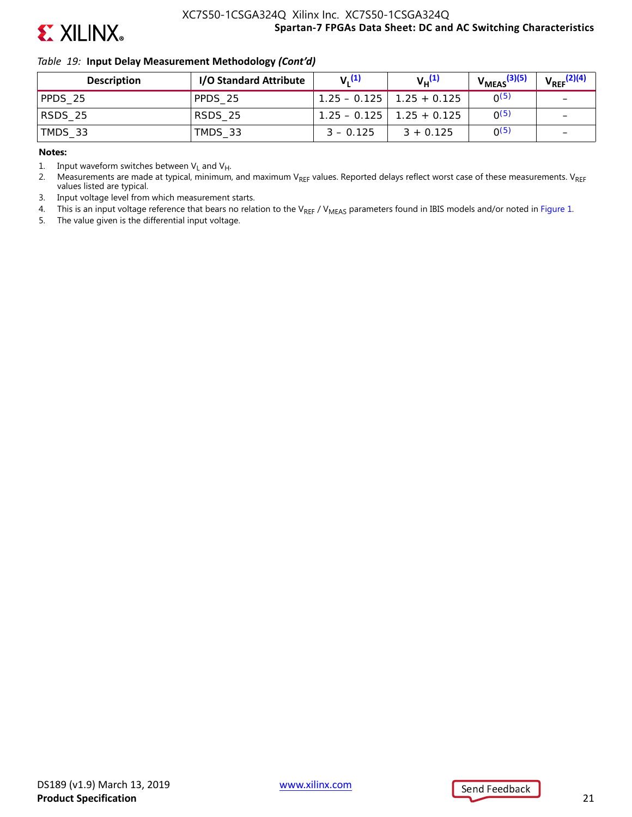

### *Table 19:* **Input Delay Measurement Methodology** *(Cont'd)*

| <b>Description</b> | I/O Standard Attribute | $V_1(1)$    | $V_{\mu}^{(1)}$               | $V_{MEAS}$ <sup>(3)(5)</sup> | $V_{\text{REF}}^{(2)(4)}$ |
|--------------------|------------------------|-------------|-------------------------------|------------------------------|---------------------------|
| PPDS 25            | PPDS 25                |             | $1.25 - 0.125$   1.25 + 0.125 | O(5)                         |                           |
| RSDS_25            | RSDS 25                |             | $1.25 - 0.125$   1.25 + 0.125 | O(5)                         | $\overline{\phantom{0}}$  |
| TMDS_33            | TMDS 33                | $3 - 0.125$ | $3 + 0.125$                   | O(5)                         | $\overline{\phantom{0}}$  |

#### **Notes:**

1. Input waveform switches between  $V_L$  and  $V_H$ .

2. Measurements are made at typical, minimum, and maximum VREF values. Reported delays reflect worst case of these measurements. VREF values listed are typical.

3. Input voltage level from which measurement starts.

4. This is an input voltage reference that bears no relation to the V<sub>REF</sub> / V<sub>MEAS</sub> parameters found in IBIS models and/or noted in Figure 1.

5. The value given is the differential input voltage.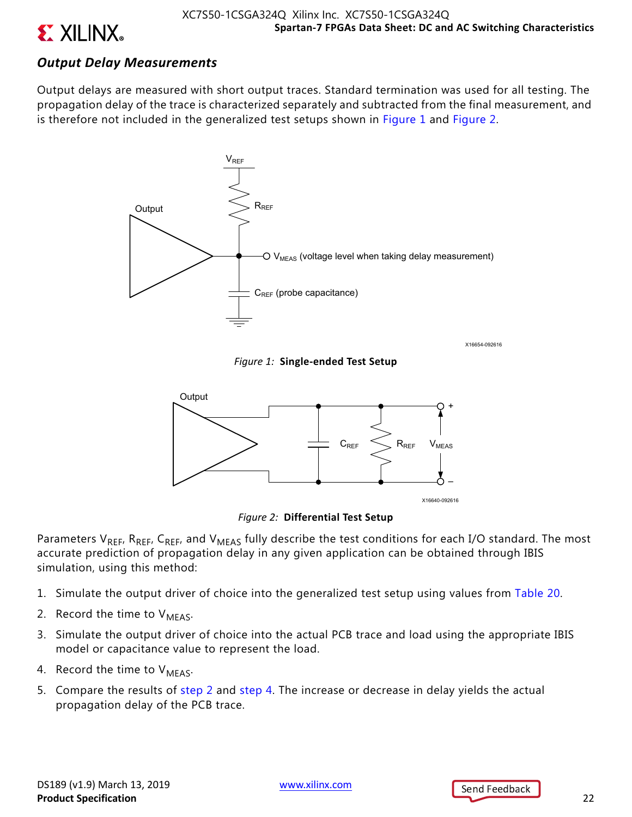

## *Output Delay Measurements*

Output delays are measured with short output traces. Standard termination was used for all testing. The propagation delay of the trace is characterized separately and subtracted from the final measurement, and is therefore not included in the generalized test setups shown in Figure 1 and Figure 2.



X16654-092616

*Figure 1:* **Single-ended Test Setup**



*Figure 2:* **Differential Test Setup**

Parameters V<sub>REF</sub>, R<sub>REF</sub>, C<sub>REF</sub>, and V<sub>MEAS</sub> fully describe the test conditions for each I/O standard. The most accurate prediction of propagation delay in any given application can be obtained through IBIS simulation, using this method:

- 1. Simulate the output driver of choice into the generalized test setup using values from Table 20.
- 2. Record the time to  $V_{MFAS}$ .
- 3. Simulate the output driver of choice into the actual PCB trace and load using the appropriate IBIS model or capacitance value to represent the load.
- 4. Record the time to  $V_{MFAS}$ .
- 5. Compare the results of step 2 and step 4. The increase or decrease in delay yields the actual propagation delay of the PCB trace.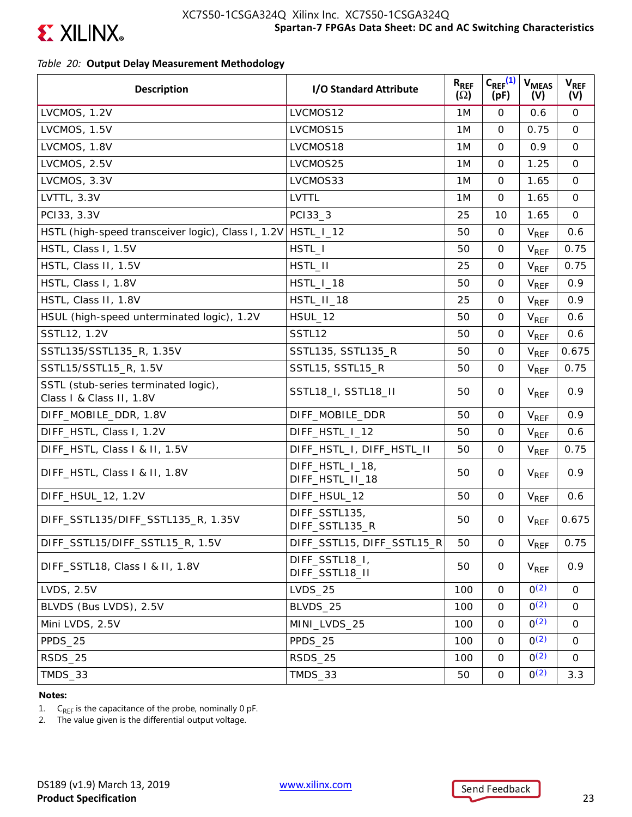

## *Table 20:* **Output Delay Measurement Methodology**

| <b>Description</b>                                               | I/O Standard Attribute             | $R_{REF}$<br>$(\Omega)$ | $C_{REF}^{(1)}$<br>(pF) | <b>V<sub>MEAS</sub></b><br>(V) | $V_{REF}$<br>(V) |
|------------------------------------------------------------------|------------------------------------|-------------------------|-------------------------|--------------------------------|------------------|
| LVCMOS, 1.2V                                                     | LVCMOS12                           | 1M                      | $\mathbf 0$             | 0.6                            | 0                |
| LVCMOS, 1.5V                                                     | LVCMOS15                           | 1M                      | $\Omega$                | 0.75                           | $\mathsf{O}$     |
| LVCMOS, 1.8V                                                     | LVCMOS18                           | 1M                      | $\mathbf 0$             | 0.9                            | $\mathsf{O}$     |
| LVCMOS, 2.5V                                                     | LVCMOS25                           | 1M                      | $\mathbf 0$             | 1.25                           | $\mathbf 0$      |
| LVCMOS, 3.3V                                                     | LVCMOS33                           | 1M                      | $\mathbf 0$             | 1.65                           | $\mathsf{O}$     |
| LVTTL, 3.3V                                                      | LVTTL                              | 1M                      | $\mathbf 0$             | 1.65                           | $\mathbf 0$      |
| PC133, 3.3V                                                      | PC133_3                            | 25                      | 10                      | 1.65                           | $\mathbf 0$      |
| HSTL (high-speed transceiver logic), Class I, 1.2V               | $HSTL_l_12$                        | 50                      | 0                       | <b>V<sub>REF</sub></b>         | 0.6              |
| HSTL, Class I, 1.5V                                              | HSTL_I                             | 50                      | $\mathbf 0$             | $V_{REF}$                      | 0.75             |
| HSTL, Class II, 1.5V                                             | HSTL_II                            | 25                      | $\mathbf 0$             | $V_{REF}$                      | 0.75             |
| HSTL, Class I, 1.8V                                              | HSTL_I_18                          | 50                      | $\mathbf 0$             | $V_{REF}$                      | 0.9              |
| HSTL, Class II, 1.8V                                             | HSTL_II_18                         | 25                      | $\mathbf 0$             | $V_{REF}$                      | 0.9              |
| HSUL (high-speed unterminated logic), 1.2V                       | <b>HSUL_12</b>                     | 50                      | $\mathbf 0$             | $V_{REF}$                      | 0.6              |
| SSTL12, 1.2V                                                     | SSTL12                             | 50                      | $\mathsf{O}$            | <b>V<sub>REF</sub></b>         | 0.6              |
| SSTL135/SSTL135_R, 1.35V                                         | SSTL135, SSTL135_R                 | 50                      | $\mathsf{O}$            | $V_{REF}$                      | 0.675            |
| SSTL15/SSTL15_R, 1.5V                                            | SSTL15, SSTL15_R                   | 50                      | 0                       | V <sub>REF</sub>               | 0.75             |
| SSTL (stub-series terminated logic),<br>Class I & Class II, 1.8V | SSTL18_I, SSTL18_II                | 50                      | 0                       | $V_{REF}$                      | 0.9              |
| DIFF_MOBILE_DDR, 1.8V                                            | DIFF_MOBILE_DDR                    | 50                      | $\mathsf{O}$            | $V_{REF}$                      | 0.9              |
| DIFF_HSTL, Class I, 1.2V                                         | DIFF_HSTL_I_12                     | 50                      | $\mathsf{O}$            | $V_{REF}$                      | 0.6              |
| DIFF_HSTL, Class I & II, 1.5V                                    | DIFF_HSTL_I, DIFF_HSTL_II          | 50                      | 0                       | $V_{REF}$                      | 0.75             |
| DIFF_HSTL, Class I & II, 1.8V                                    | DIFF_HSTL_I_18,<br>DIFF_HSTL_II_18 | 50                      | 0                       | $V_{REF}$                      | 0.9              |
| DIFF_HSUL_12, 1.2V                                               | DIFF_HSUL_12                       | 50                      | $\mathbf 0$             | $V_{REF}$                      | 0.6              |
| DIFF_SSTL135/DIFF_SSTL135_R, 1.35V                               | DIFF_SSTL135,<br>DIFF_SSTL135_R    | 50                      | 0                       | $V_{REF}$                      | 0.675            |
| DIFF_SSTL15/DIFF_SSTL15_R, 1.5V                                  | DIFF_SSTL15, DIFF_SSTL15_R         | 50                      | 0                       | $V_{REF}$                      | 0.75             |
| DIFF_SSTL18, Class   & II, 1.8V                                  | DIFF_SSTL18_I,<br>DIFF_SSTL18_II   | 50                      | 0                       | <b>V<sub>REF</sub></b>         | 0.9              |
| <b>LVDS, 2.5V</b>                                                | <b>LVDS_25</b>                     | 100                     | $\mathbf 0$             | O(2)                           | 0                |
| BLVDS (Bus LVDS), 2.5V                                           | BLVDS_25                           | 100                     | 0                       | O(2)                           | 0                |
| Mini LVDS, 2.5V                                                  | MINI_LVDS_25                       | 100                     | $\mathbf 0$             | O(2)                           | 0                |
| PPDS_25                                                          | PPDS 25                            | 100                     | 0                       | O(2)                           | 0                |
| RSDS_25                                                          | RSDS_25                            | 100                     | 0                       | O(2)                           | 0                |
| TMDS_33                                                          | TMDS_33                            | 50                      | $\mathbf 0$             | O(2)                           | 3.3              |

### **Notes:**

1.  $C_{REF}$  is the capacitance of the probe, nominally 0 pF.<br>2. The value given is the differential output voltage.

The value given is the differential output voltage.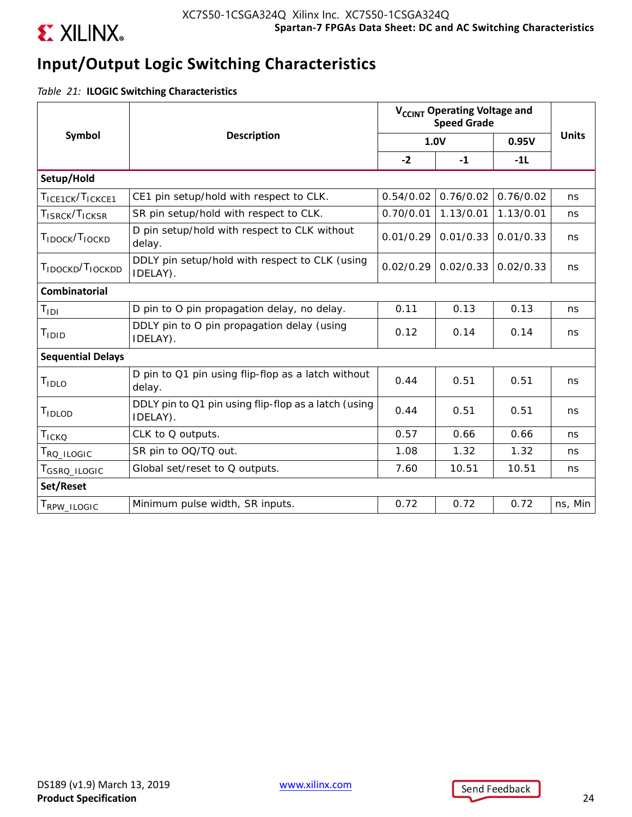

# **Input/Output Logic Switching Characteristics**

*Table 21:* **ILOGIC Switching Characteristics**

|                                          |                                                                  | V <sub>CCINT</sub> Operating Voltage and<br><b>Speed Grade</b> |           |           |              |
|------------------------------------------|------------------------------------------------------------------|----------------------------------------------------------------|-----------|-----------|--------------|
| Symbol                                   | <b>Description</b>                                               |                                                                | 1.0V      | 0.95V     | <b>Units</b> |
|                                          |                                                                  | $-2$                                                           | $-1$      | $-1L$     |              |
| Setup/Hold                               |                                                                  |                                                                |           |           |              |
| TICE1CK/TICKCE1                          | CE1 pin setup/hold with respect to CLK.                          | 0.54/0.02                                                      | 0.76/0.02 | 0.76/0.02 | ns           |
| T <sub>ISRCK</sub> /T <sub>ICKSR</sub>   | SR pin setup/hold with respect to CLK.                           | 0.70/0.01                                                      | 1.13/0.01 | 1.13/0.01 | ns           |
| T <sub>IDOCK</sub> /T <sub>IOCKD</sub>   | D pin setup/hold with respect to CLK without<br>delay.           | 0.01/0.29                                                      | 0.01/0.33 | 0.01/0.33 | ns           |
| T <sub>IDOCKD</sub> /T <sub>IOCKDD</sub> | DDLY pin setup/hold with respect to CLK (using<br>IDELAY).       | 0.02/0.29                                                      | 0.02/0.33 | 0.02/0.33 | ns           |
| Combinatorial                            |                                                                  |                                                                |           |           |              |
| $T_{\text{IDI}}$                         | D pin to O pin propagation delay, no delay.                      | 0.11                                                           | 0.13      | 0.13      | ns           |
| T <sub>IDID</sub>                        | DDLY pin to O pin propagation delay (using<br>IDELAY).           | 0.12                                                           | 0.14      | 0.14      | ns           |
| <b>Sequential Delays</b>                 |                                                                  |                                                                |           |           |              |
| T <sub>IDLO</sub>                        | D pin to Q1 pin using flip-flop as a latch without<br>delay.     | 0.44                                                           | 0.51      | 0.51      | ns           |
| TIDLOD                                   | DDLY pin to Q1 pin using flip-flop as a latch (using<br>IDELAY). | 0.44                                                           | 0.51      | 0.51      | ns           |
| TICKQ                                    | CLK to Q outputs.                                                | 0.57                                                           | 0.66      | 0.66      | ns           |
| T <sub>RQ</sub> _ILOGIC                  | SR pin to OQ/TQ out.                                             | 1.08                                                           | 1.32      | 1.32      | ns           |
| T <sub>GSRQ</sub> _ILOGIC                | Global set/reset to Q outputs.                                   | 7.60                                                           | 10.51     | 10.51     | ns           |
| Set/Reset                                |                                                                  |                                                                |           |           |              |
| T <sub>RPW_ILOGIC</sub>                  | Minimum pulse width, SR inputs.                                  | 0.72                                                           | 0.72      | 0.72      | ns, Min      |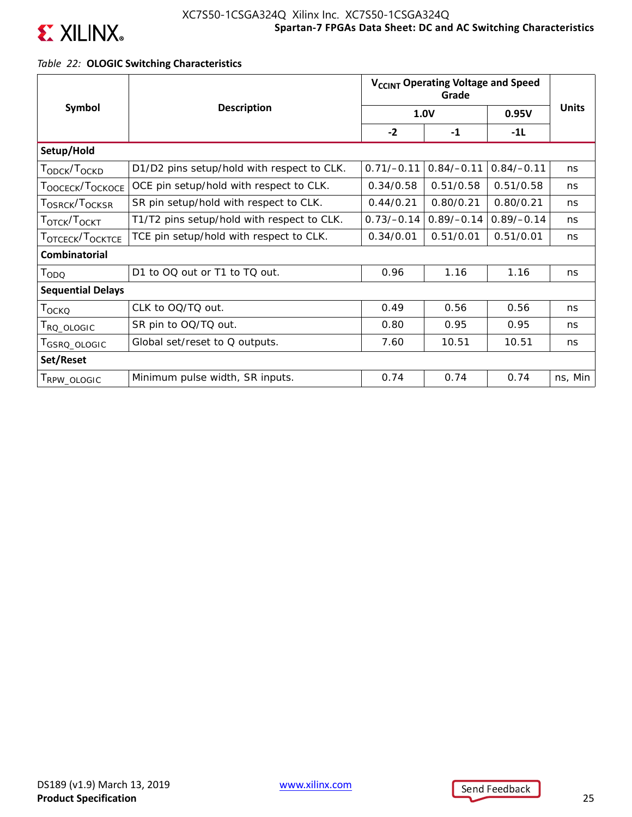

## *Table 22:* **OLOGIC Switching Characteristics**

|                                          |                                            | V <sub>CCINT</sub> Operating Voltage and Speed |              |              |              |
|------------------------------------------|--------------------------------------------|------------------------------------------------|--------------|--------------|--------------|
| Symbol                                   | <b>Description</b>                         |                                                | 1.0V         | 0.95V        | <b>Units</b> |
|                                          |                                            | $-2$                                           | $-1$         | $-1L$        |              |
| Setup/Hold                               |                                            |                                                |              |              |              |
| T <sub>ODCK</sub> /T <sub>OCKD</sub>     | D1/D2 pins setup/hold with respect to CLK. | $0.71/-0.11$                                   | $0.84/-0.11$ | $0.84/-0.11$ | ns           |
| T <sub>OOCECK</sub> /T <sub>OCKOCE</sub> | OCE pin setup/hold with respect to CLK.    | 0.34/0.58                                      | 0.51/0.58    | 0.51/0.58    | ns           |
| T <sub>OSRCK</sub> /T <sub>OCKSR</sub>   | SR pin setup/hold with respect to CLK.     | 0.44/0.21                                      | 0.80/0.21    | 0.80/0.21    | ns           |
| T <sub>OTCK</sub> /T <sub>OCKT</sub>     | T1/T2 pins setup/hold with respect to CLK. | $0.73/-0.14$                                   | $0.89/-0.14$ | $0.89/-0.14$ | ns           |
| T <sub>OTCECK</sub> /T <sub>OCKTCE</sub> | TCE pin setup/hold with respect to CLK.    | 0.34/0.01                                      | 0.51/0.01    | 0.51/0.01    | ns           |
| <b>Combinatorial</b>                     |                                            |                                                |              |              |              |
| T <sub>ODQ</sub>                         | D1 to OQ out or T1 to TQ out.              | 0.96                                           | 1.16         | 1.16         | ns           |
| <b>Sequential Delays</b>                 |                                            |                                                |              |              |              |
| Т <sub>оско</sub>                        | CLK to OQ/TQ out.                          | 0.49                                           | 0.56         | 0.56         | ns           |
| T <sub>RQ</sub> _OLOGIC                  | SR pin to OQ/TQ out.                       | 0.80                                           | 0.95         | 0.95         | ns           |
| T <sub>GSRQ</sub> _OLOGIC                | Global set/reset to Q outputs.             | 7.60                                           | 10.51        | 10.51        | ns           |
| Set/Reset                                |                                            |                                                |              |              |              |
| RPW_OLOGIC                               | Minimum pulse width, SR inputs.            | 0.74                                           | 0.74         | 0.74         | ns, Min      |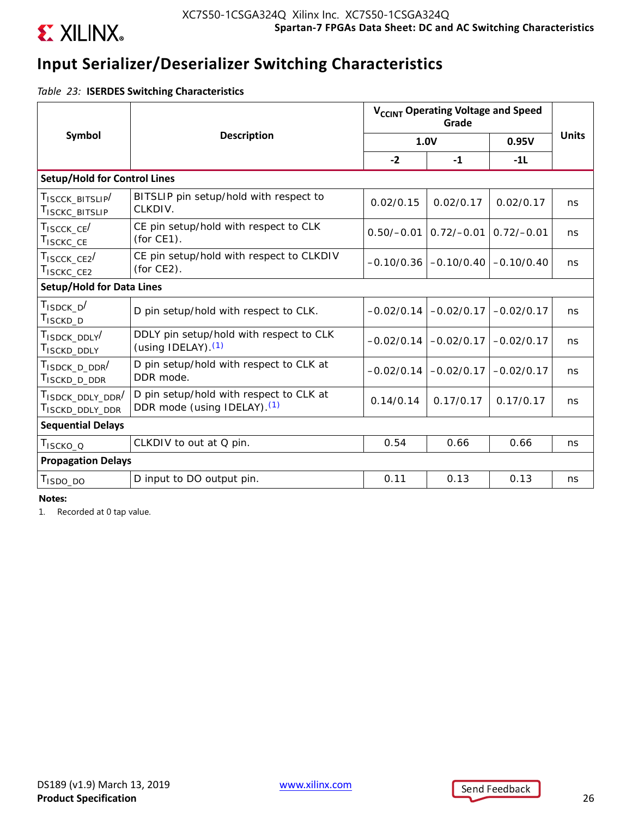

## **Input Serializer/Deserializer Switching Characteristics**

*Table 23:* **ISERDES Switching Characteristics**

|                                                                          | <b>Description</b>                                                                 | V <sub>CCINT</sub> Operating Voltage and Speed |              |              |              |
|--------------------------------------------------------------------------|------------------------------------------------------------------------------------|------------------------------------------------|--------------|--------------|--------------|
| Symbol                                                                   |                                                                                    |                                                | 1.0V         | 0.95V        | <b>Units</b> |
|                                                                          |                                                                                    | $-2$                                           | $-1$         | $-11$        |              |
| <b>Setup/Hold for Control Lines</b>                                      |                                                                                    |                                                |              |              |              |
| TISCCK BITSLIP<br>T <sub>ISCKC</sub> _BITSLIP                            | BITSLIP pin setup/hold with respect to<br>CLKDIV.                                  | 0.02/0.15                                      | 0.02/0.17    | 0.02/0.17    | ns           |
| $T_{ISCCK\_CE}$<br>T <sub>ISCKC</sub> _CE                                | CE pin setup/hold with respect to CLK<br>(for CE1).                                | $0.50/-0.01$                                   | $0.72/-0.01$ | $0.72/-0.01$ | ns           |
| $T_{ISCCK\_CE2}$<br>T <sub>ISCKC</sub> _CE <sub>2</sub>                  | CE pin setup/hold with respect to CLKDIV<br>(for $CE2$ ).                          | $-0.10/0.36$                                   | $-0.10/0.40$ | $-0.10/0.40$ | ns           |
| <b>Setup/Hold for Data Lines</b>                                         |                                                                                    |                                                |              |              |              |
| $T_{ISDCK_D}$<br>T <sub>ISCKD</sub> _D                                   | D pin setup/hold with respect to CLK.                                              | $-0.02/0.14$                                   | $-0.02/0.17$ | $-0.02/0.17$ | ns           |
| T <sub>ISDCK</sub> _DDLY <sup>/</sup><br>T <sub>ISCKD</sub> _DDLY        | DDLY pin setup/hold with respect to CLK<br>(using IDELAY). $(1)$                   | $-0.02/0.14$                                   | $-0.02/0.17$ | $-0.02/0.17$ | ns           |
| T <sub>ISDCK</sub> _ <sub>D_DDR</sub> /<br>T <sub>ISCKD</sub> _D_DDR     | D pin setup/hold with respect to CLK at<br>DDR mode.                               | $-0.02/0.14$                                   | $-0.02/0.17$ | $-0.02/0.17$ | ns           |
| T <sub>ISDCK</sub> DDLY DDR <sup>/</sup><br>T <sub>ISCKD</sub> _DDLY_DDR | D pin setup/hold with respect to CLK at<br>DDR mode (using IDELAY). <sup>(1)</sup> | 0.14/0.14                                      | 0.17/0.17    | 0.17/0.17    | ns           |
| <b>Sequential Delays</b>                                                 |                                                                                    |                                                |              |              |              |
| T <sub>ISCKO_Q</sub>                                                     | CLKDIV to out at Q pin.                                                            | 0.54                                           | 0.66         | 0.66         | ns           |
| <b>Propagation Delays</b>                                                |                                                                                    |                                                |              |              |              |
| T <sub>ISDO_DO</sub>                                                     | D input to DO output pin.                                                          | 0.11                                           | 0.13         | 0.13         | ns           |

**Notes:** 

1. Recorded at 0 tap value.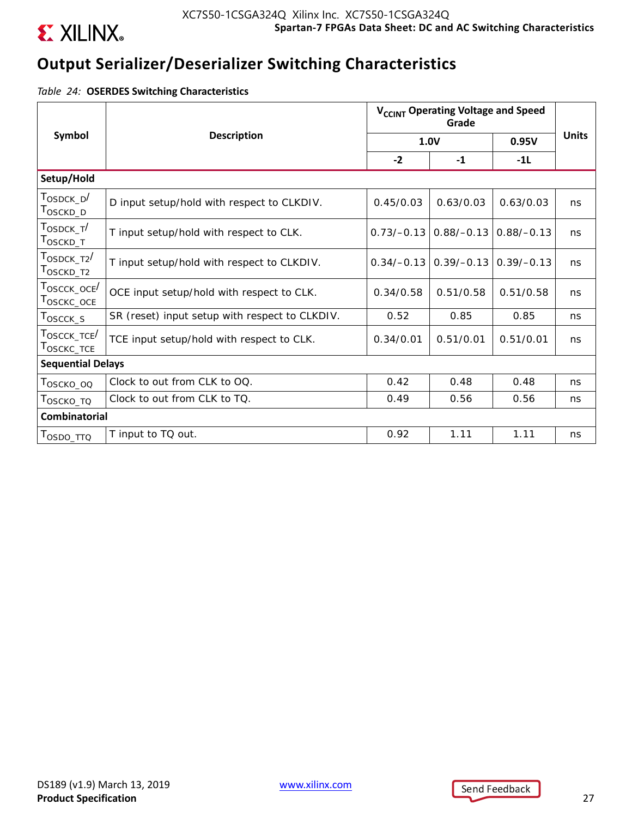

## **Output Serializer/Deserializer Switching Characteristics**

*Table 24:* **OSERDES Switching Characteristics**

|                                                                   |                                                | V <sub>CCINT</sub> Operating Voltage and Speed |              |              |              |
|-------------------------------------------------------------------|------------------------------------------------|------------------------------------------------|--------------|--------------|--------------|
| Symbol                                                            | <b>Description</b>                             | 1.0V                                           |              | 0.95V        | <b>Units</b> |
|                                                                   |                                                | $-2$                                           | $-1$         | $-11$        |              |
| Setup/Hold                                                        |                                                |                                                |              |              |              |
| $T_{\scriptsize \text{OSDCK\_D}}/$<br>T <sub>OSCKD_D</sub>        | D input setup/hold with respect to CLKDIV.     | 0.45/0.03                                      | 0.63/0.03    | 0.63/0.03    | ns           |
| T <sub>OSDCK T</sub> /<br>T <sub>OSCKD_T</sub>                    | T input setup/hold with respect to CLK.        | $0.73/-0.13$                                   | $0.88/-0.13$ | $0.88/-0.13$ | ns           |
| $\tau_{\text{OSDCK\_T2}}/$<br>T <sub>OSCKD_T2</sub>               | T input setup/hold with respect to CLKDIV.     | $0.34/-0.13$                                   | $0.39/-0.13$ | $0.39/-0.13$ | ns           |
| T <sub>OSCCK</sub> _oce <sup>/</sup><br>$T_{OSCKC\_OCE}$          | OCE input setup/hold with respect to CLK.      | 0.34/0.58                                      | 0.51/0.58    | 0.51/0.58    | ns           |
| $T_{\scriptsize \textrm{OSCCK\_S}}$                               | SR (reset) input setup with respect to CLKDIV. | 0.52                                           | 0.85         | 0.85         | ns           |
| $\tau_{\text{OSCCK\_TCE}}/$<br>$\mathsf{T}_{\mathsf{OSCKC\_TCE}}$ | TCE input setup/hold with respect to CLK.      | 0.34/0.01                                      | 0.51/0.01    | 0.51/0.01    | ns           |
| <b>Sequential Delays</b>                                          |                                                |                                                |              |              |              |
| Тоѕско_оо                                                         | Clock to out from CLK to OQ.                   | 0.42                                           | 0.48         | 0.48         | ns           |
| Τ <sub>Ο</sub> ς κο_το                                            | Clock to out from CLK to TQ.                   | 0.49                                           | 0.56         | 0.56         | ns           |
| <b>Combinatorial</b>                                              |                                                |                                                |              |              |              |
| Τ <sub>OSDO_ΤΤΩ</sub>                                             | T input to TQ out.                             | 0.92                                           | 1.11         | 1.11         | ns           |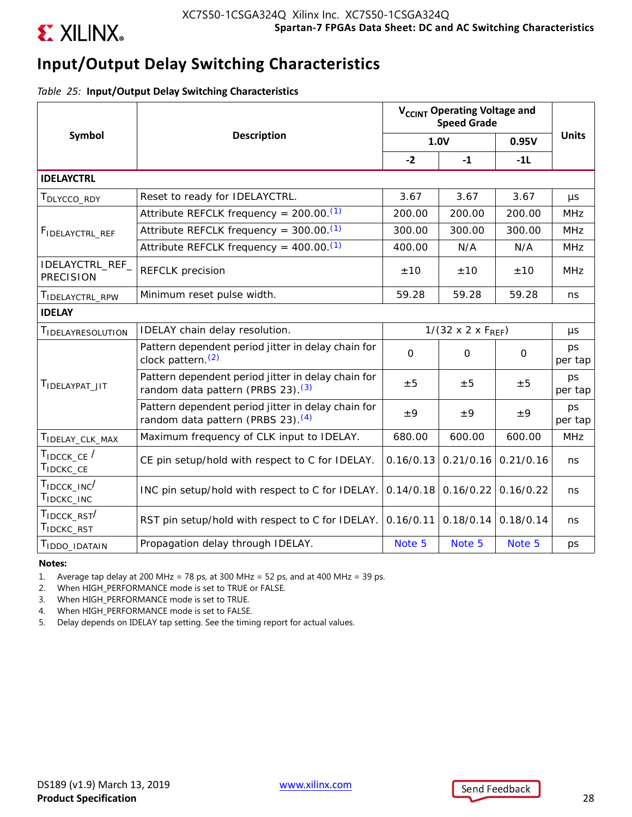

# **Input/Output Delay Switching Characteristics**

*Table 25:* **Input/Output Delay Switching Characteristics**

|                                       |                                                                                                     | V <sub>CCINT</sub> Operating Voltage and<br><b>Speed Grade</b> |                                  |              |               |
|---------------------------------------|-----------------------------------------------------------------------------------------------------|----------------------------------------------------------------|----------------------------------|--------------|---------------|
| Symbol                                | <b>Description</b>                                                                                  |                                                                | 1.0V                             | 0.95V        | <b>Units</b>  |
|                                       |                                                                                                     | $-2$                                                           | $-1$                             | $-11$        |               |
| <b>IDELAYCTRL</b>                     |                                                                                                     |                                                                |                                  |              |               |
| T <sub>DLYCCO</sub> _RDY              | Reset to ready for IDELAYCTRL.                                                                      | 3.67                                                           | 3.67                             | 3.67         | μs            |
|                                       | Attribute REFCLK frequency = $200.00$ . <sup>(1)</sup>                                              | 200.00                                                         | 200.00                           | 200.00       | <b>MHz</b>    |
| FIDELAYCTRL_REF                       | Attribute REFCLK frequency = $300.00$ . <sup>(1)</sup>                                              | 300.00                                                         | 300.00                           | 300.00       | <b>MHz</b>    |
|                                       | Attribute REFCLK frequency = $400.00$ . <sup>(1)</sup>                                              | 400.00                                                         | N/A                              | N/A          | <b>MHz</b>    |
| IDELAYCTRL_REF_<br><b>PRECISION</b>   | <b>REFCLK</b> precision                                                                             | ±10                                                            | ±10                              | ±10          | <b>MHz</b>    |
| TIDELAYCTRL_RPW                       | Minimum reset pulse width.                                                                          | 59.28                                                          | 59.28                            | 59.28        | ns            |
| <b>IDELAY</b>                         |                                                                                                     |                                                                |                                  |              |               |
| TIDELAYRESOLUTION                     | IDELAY chain delay resolution.                                                                      |                                                                | $1/(32 \times 2 \times F_{REF})$ |              | μs            |
|                                       | Pattern dependent period jitter in delay chain for<br>clock pattern. <sup>(2)</sup>                 | $\Omega$                                                       | $\Omega$                         | $\mathsf{O}$ | ps<br>per tap |
| TIDELAYPAT JIT                        | Pattern dependent period jitter in delay chain for<br>random data pattern (PRBS 23). <sup>(3)</sup> | ±5                                                             | ±5                               | ±5           | ps<br>per tap |
|                                       | Pattern dependent period jitter in delay chain for<br>random data pattern (PRBS 23). <sup>(4)</sup> | ±9                                                             | ±9                               | ±9           | ps<br>per tap |
| T <sub>IDELAY_CLK_MAX</sub>           | Maximum frequency of CLK input to IDELAY.                                                           | 680.00                                                         | 600.00                           | 600.00       | <b>MHz</b>    |
| TIDCCK_CE /<br>TIDCKC_CE              | CE pin setup/hold with respect to C for IDELAY.                                                     | 0.16/0.13                                                      | 0.21/0.16                        | 0.21/0.16    | ns            |
| $T_{\text{IDCCK\_INC}}$<br>TIDCKC_INC | INC pin setup/hold with respect to C for IDELAY.                                                    | 0.14/0.18                                                      | 0.16/0.22                        | 0.16/0.22    | ns            |
| TIDCCK_RST<br>T <sub>IDCKC</sub> RST  | RST pin setup/hold with respect to C for IDELAY.                                                    | 0.16/0.11                                                      | 0.18/0.14                        | 0.18/0.14    | ns            |
| T <sub>IDDO_IDATAIN</sub>             | Propagation delay through IDELAY.                                                                   | Note 5                                                         | Note 5                           | Note 5       | ps            |

### **Notes:**

1. Average tap delay at 200 MHz = 78 ps, at 300 MHz = 52 ps, and at 400 MHz = 39 ps.

2. When HIGH\_PERFORMANCE mode is set to TRUE or FALSE.

3. When HIGH\_PERFORMANCE mode is set to TRUE.

4. When HIGH\_PERFORMANCE mode is set to FALSE.

5. Delay depends on IDELAY tap setting. See the timing report for actual values.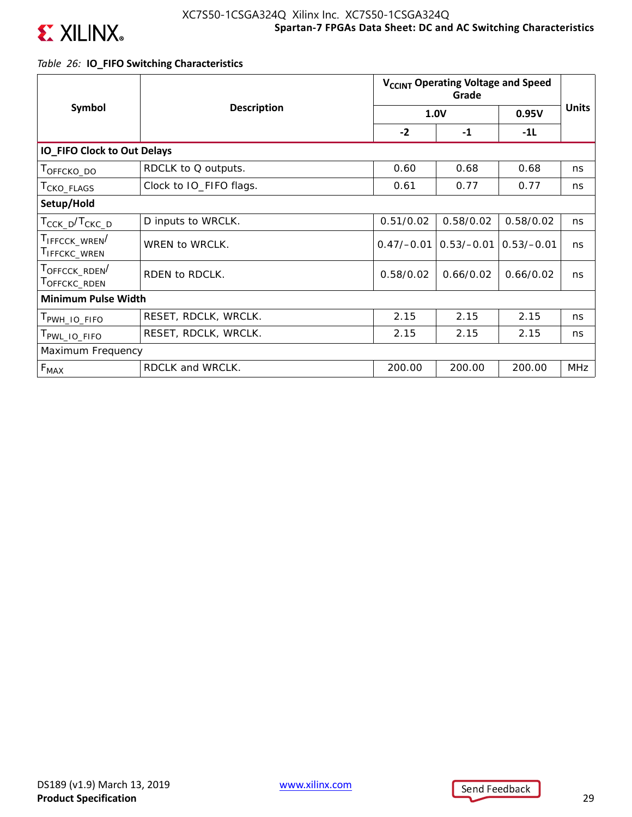

## *Table 26:* **IO\_FIFO Switching Characteristics**

|                                        | <b>Description</b>      | V <sub>CCINT</sub> Operating Voltage and Speed |              |              |              |
|----------------------------------------|-------------------------|------------------------------------------------|--------------|--------------|--------------|
| Symbol                                 |                         |                                                | 1.0V         | 0.95V        | <b>Units</b> |
|                                        |                         | $-2$                                           | $-1$         | $-1L$        |              |
| <b>IO_FIFO Clock to Out Delays</b>     |                         |                                                |              |              |              |
| TOFFCKO_DO                             | RDCLK to Q outputs.     | 0.60                                           | 0.68         | 0.68         | ns           |
| T <sub>CKO</sub> _FLAGS                | Clock to IO_FIFO flags. | 0.61                                           | 0.77         | 0.77         | ns           |
| Setup/Hold                             |                         |                                                |              |              |              |
| T <sub>CCK_D</sub> /T <sub>CKC_D</sub> | D inputs to WRCLK.      | 0.51/0.02                                      | 0.58/0.02    | 0.58/0.02    | ns           |
| TIFFCCK_WREN<br>I IFFCKC_WREN          | WREN to WRCLK.          | $0.47/-0.01$                                   | $0.53/-0.01$ | $0.53/-0.01$ | ns           |
| TOFFCCK_RDEN<br>TOFFCKC_RDEN           | RDEN to RDCLK.          | 0.58/0.02                                      | 0.66/0.02    | 0.66/0.02    | ns           |
| <b>Minimum Pulse Width</b>             |                         |                                                |              |              |              |
| PWH_IO_FIFO                            | RESET, RDCLK, WRCLK.    | 2.15                                           | 2.15         | 2.15         | ns           |
| T <sub>PWL_IO_FIFO</sub>               | RESET, RDCLK, WRCLK.    | 2.15                                           | 2.15         | 2.15         | ns           |
| Maximum Frequency                      |                         |                                                |              |              |              |
| $F_{MAX}$                              | RDCLK and WRCLK.        | 200.00                                         | 200.00       | 200.00       | MHz          |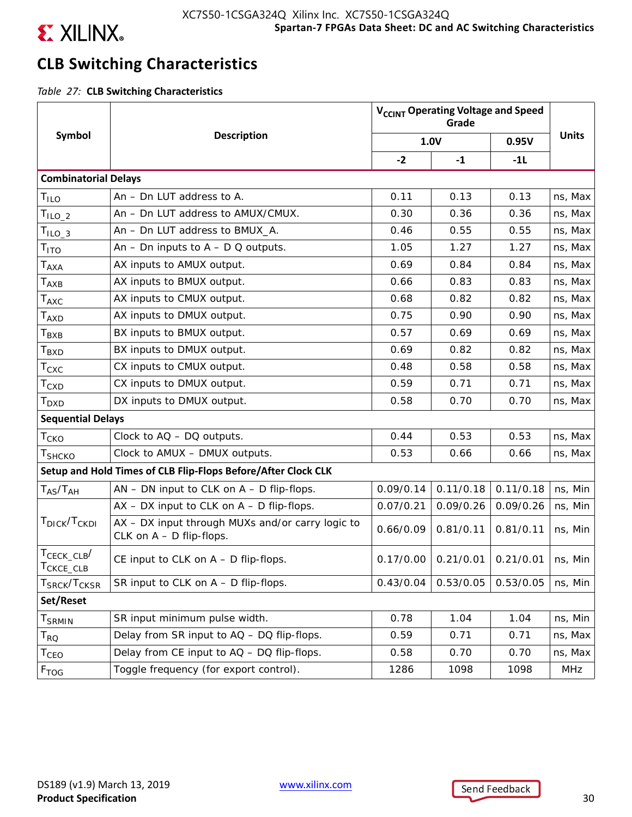

# **CLB Switching Characteristics**

*Table 27:* **CLB Switching Characteristics**

|                                      |                                                                                | V <sub>CCINT</sub> Operating Voltage and Speed |           |           |              |
|--------------------------------------|--------------------------------------------------------------------------------|------------------------------------------------|-----------|-----------|--------------|
| Symbol                               | <b>Description</b>                                                             | 1.0V                                           |           | 0.95V     | <b>Units</b> |
|                                      |                                                                                | $-2$                                           | $-1$      | $-1L$     |              |
| <b>Combinatorial Delays</b>          |                                                                                |                                                |           |           |              |
| T <sub>ILO</sub>                     | An - Dn LUT address to A.                                                      | 0.11                                           | 0.13      | 0.13      | ns, Max      |
| $TILO-2$                             | An - Dn LUT address to AMUX/CMUX.                                              | 0.30                                           | 0.36      | 0.36      | ns, Max      |
| $TILO-3$                             | An - Dn LUT address to BMUX_A.                                                 | 0.46                                           | 0.55      | 0.55      | ns, Max      |
| Τ <sub>ΙΤΟ</sub>                     | An $-$ Dn inputs to $A$ $-$ D Q outputs.                                       | 1.05                                           | 1.27      | 1.27      | ns, Max      |
| $T_{\sf AXA}$                        | AX inputs to AMUX output.                                                      | 0.69                                           | 0.84      | 0.84      | ns, Max      |
| $T_{\sf AXB}$                        | AX inputs to BMUX output.                                                      | 0.66                                           | 0.83      | 0.83      | ns, Max      |
| $T_{\sf AXC}$                        | AX inputs to CMUX output.                                                      | 0.68                                           | 0.82      | 0.82      | ns, Max      |
| $T_{\sf AXD}$                        | AX inputs to DMUX output.                                                      | 0.75                                           | 0.90      | 0.90      | ns, Max      |
| Т <sub>вхв</sub>                     | BX inputs to BMUX output.                                                      | 0.57                                           | 0.69      | 0.69      | ns, Max      |
| $T_{\mathsf{BXD}}$                   | BX inputs to DMUX output.                                                      | 0.69                                           | 0.82      | 0.82      | ns, Max      |
| $\mathsf{T}_{\mathsf{CXC}}$          | CX inputs to CMUX output.                                                      | 0.48                                           | 0.58      | 0.58      | ns, Max      |
| $\mathsf{T}_{\text{CXD}}$            | CX inputs to DMUX output.                                                      | 0.59                                           | 0.71      | 0.71      | ns, Max      |
| T <sub>DXD</sub>                     | DX inputs to DMUX output.                                                      | 0.58                                           | 0.70      | 0.70      | ns, Max      |
| <b>Sequential Delays</b>             |                                                                                |                                                |           |           |              |
| T <sub>CKO</sub>                     | Clock to $AQ - DQ$ outputs.                                                    | 0.44                                           | 0.53      | 0.53      | ns, Max      |
| T <sub>SHCKO</sub>                   | Clock to AMUX - DMUX outputs.                                                  | 0.53                                           | 0.66      | 0.66      | ns, Max      |
|                                      | Setup and Hold Times of CLB Flip-Flops Before/After Clock CLK                  |                                                |           |           |              |
| $T_{AS}/T_{AH}$                      | AN - DN input to CLK on A - D flip-flops.                                      | 0.09/0.14                                      | 0.11/0.18 | 0.11/0.18 | ns, Min      |
|                                      | $AX - DX$ input to CLK on $A - D$ flip-flops.                                  | 0.07/0.21                                      | 0.09/0.26 | 0.09/0.26 | ns, Min      |
| T <sub>DICK</sub> /T <sub>CKDI</sub> | AX - DX input through MUXs and/or carry logic to<br>CLK on $A - D$ flip-flops. | 0.66/0.09                                      | 0.81/0.11 | 0.81/0.11 | ns, Min      |
| $T_{\text{CECK\_CLB}}/$<br>CKCE_CLB  | CE input to CLK on $A - D$ flip-flops.                                         | 0.17/0.00                                      | 0.21/0.01 | 0.21/0.01 | ns, Min      |
| T <sub>SRCK</sub> /T <sub>CKSR</sub> | SR input to CLK on $A - D$ flip-flops.                                         | 0.43/0.04                                      | 0.53/0.05 | 0.53/0.05 | ns, Min      |
| Set/Reset                            |                                                                                |                                                |           |           |              |
| <b>T</b> <sub>SRMIN</sub>            | SR input minimum pulse width.                                                  | 0.78                                           | 1.04      | 1.04      | ns, Min      |
| $\mathsf{T}_{\mathsf{RQ}}$           | Delay from SR input to AQ - DQ flip-flops.                                     | 0.59                                           | 0.71      | 0.71      | ns, Max      |
| $\mathsf{T}_{\mathsf{CEO}}$          | Delay from CE input to AQ - DQ flip-flops.                                     | 0.58                                           | 0.70      | 0.70      | ns, Max      |
| F <sub>TOG</sub>                     | Toggle frequency (for export control).                                         | 1286                                           | 1098      | 1098      | MHz          |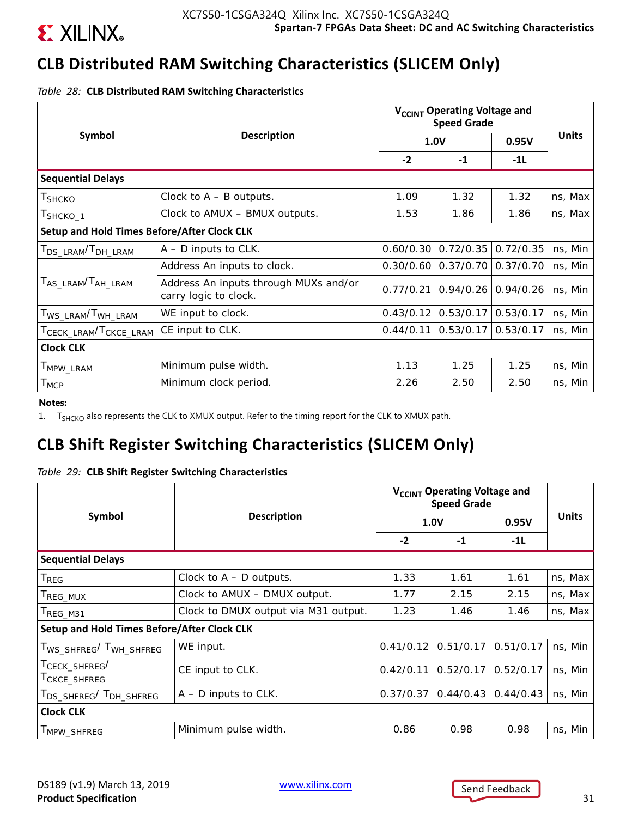

# **CLB Distributed RAM Switching Characteristics (SLICEM Only)**

*Table 28:* **CLB Distributed RAM Switching Characteristics**

|                                                    |                                                                | V <sub>CCINT</sub> Operating Voltage and<br><b>Speed Grade</b> |                                     |           |              |
|----------------------------------------------------|----------------------------------------------------------------|----------------------------------------------------------------|-------------------------------------|-----------|--------------|
| Symbol                                             | <b>Description</b>                                             |                                                                | 1.0V                                | 0.95V     | <b>Units</b> |
|                                                    |                                                                | $-2$                                                           | $-1$                                | $-11$     |              |
| <b>Sequential Delays</b>                           |                                                                |                                                                |                                     |           |              |
| T <sub>SHCKO</sub>                                 | Clock to $A - B$ outputs.                                      | 1.09                                                           | 1.32                                | 1.32      | ns, Max      |
| T <sub>SHCKO_1</sub>                               | Clock to AMUX - BMUX outputs.                                  | 1.53                                                           | 1.86                                | 1.86      | ns, Max      |
| <b>Setup and Hold Times Before/After Clock CLK</b> |                                                                |                                                                |                                     |           |              |
| T <sub>DS_LRAM</sub> /T <sub>DH_LRAM</sub>         | $A - D$ inputs to CLK.                                         | 0.60/0.30                                                      | 0.72/0.35                           | 0.72/0.35 | ns, Min      |
|                                                    | Address An inputs to clock.                                    |                                                                | $0.30/0.60$   0.37/0.70   0.37/0.70 |           | ns, Min      |
| T <sub>AS_LRAM</sub> /T <sub>AH_LRAM</sub>         | Address An inputs through MUXs and/or<br>carry logic to clock. | 0.77/0.21                                                      | $0.94/0.26$ 0.94/0.26               |           | ns, Min      |
| T <sub>WS</sub> _LRAM <sup>/T</sup> WH_LRAM        | WE input to clock.                                             | 0.43/0.12                                                      | 0.53/0.17                           | 0.53/0.17 | ns, Min      |
| TCECK_LRAM <sup>/T</sup> CKCE_LRAM                 | CE input to CLK.                                               | 0.44/0.11                                                      | 0.53/0.17                           | 0.53/0.17 | ns, Min      |
| <b>Clock CLK</b>                                   |                                                                |                                                                |                                     |           |              |
| T <sub>MPW</sub> _LRAM                             | Minimum pulse width.                                           | 1.13                                                           | 1.25                                | 1.25      | ns, Min      |
| $T_{\text{MCP}}$                                   | Minimum clock period.                                          | 2.26                                                           | 2.50                                | 2.50      | ns, Min      |

**Notes:** 

1. T<sub>SHCKO</sub> also represents the CLK to XMUX output. Refer to the timing report for the CLK to XMUX path.

# **CLB Shift Register Switching Characteristics (SLICEM Only)**

|  |  |  |  |  | Table 29: CLB Shift Register Switching Characteristics |
|--|--|--|--|--|--------------------------------------------------------|
|--|--|--|--|--|--------------------------------------------------------|

|                                                                     |                                      | V <sub>CCINT</sub> Operating Voltage and<br><b>Speed Grade</b> |           |           |              |
|---------------------------------------------------------------------|--------------------------------------|----------------------------------------------------------------|-----------|-----------|--------------|
| Symbol                                                              | <b>Description</b>                   |                                                                | 1.0V      | 0.95V     | <b>Units</b> |
|                                                                     |                                      | $-2$                                                           | $-1$      | $-1L$     |              |
| <b>Sequential Delays</b>                                            |                                      |                                                                |           |           |              |
| T <sub>REG</sub>                                                    | Clock to $A - D$ outputs.            | 1.33                                                           | 1.61      | 1.61      | ns, Max      |
| T <sub>REG_MUX</sub>                                                | Clock to AMUX - DMUX output.         | 1.77                                                           | 2.15      | 2.15      | ns, Max      |
| T <sub>REG_M31</sub>                                                | Clock to DMUX output via M31 output. | 1.23                                                           | 1.46      | 1.46      | ns, Max      |
| Setup and Hold Times Before/After Clock CLK                         |                                      |                                                                |           |           |              |
| T <sub>WS_SHFREG</sub> /T <sub>WH_SHFREG</sub>                      | WE input.                            | 0.41/0.12                                                      | 0.51/0.17 | 0.51/0.17 | ns, Min      |
| T <sub>CECK</sub> _SHFREG <sup>/</sup><br>T <sub>CKCE</sub> _SHFREG | CE input to CLK.                     | 0.42/0.11                                                      | 0.52/0.17 | 0.52/0.17 | ns, Min      |
| T <sub>DS</sub> SHFREG <sup>/T</sup> DH SHFREG                      | $A - D$ inputs to CLK.               | 0.37/0.37                                                      | 0.44/0.43 | 0.44/0.43 | ns, Min      |
| <b>Clock CLK</b>                                                    |                                      |                                                                |           |           |              |
| MPW_SHFREG                                                          | Minimum pulse width.                 | 0.86                                                           | 0.98      | 0.98      | ns, Min      |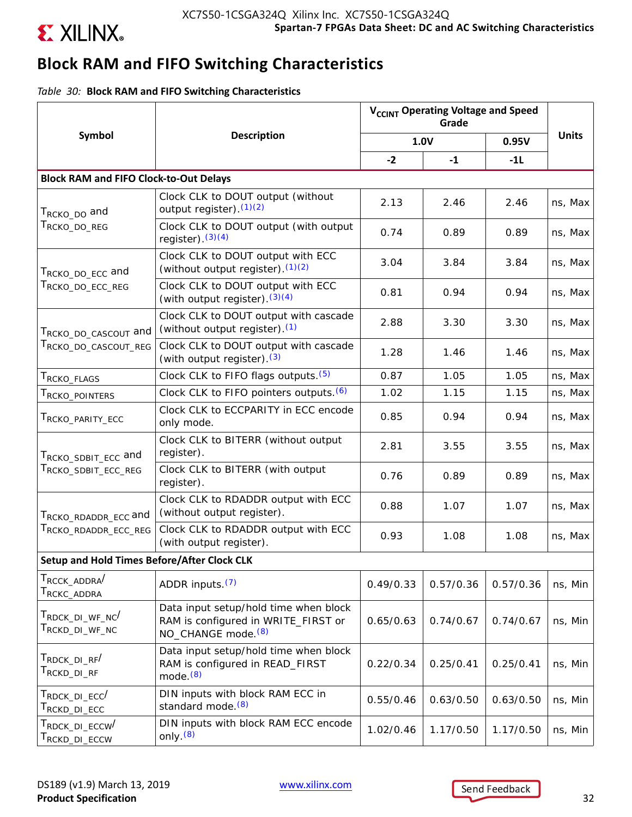

# **Block RAM and FIFO Switching Characteristics**

*Table 30:* **Block RAM and FIFO Switching Characteristics**

|                                                                                                        |                                                                                                                | V <sub>CCINT</sub> Operating Voltage and Speed |           |           |              |
|--------------------------------------------------------------------------------------------------------|----------------------------------------------------------------------------------------------------------------|------------------------------------------------|-----------|-----------|--------------|
| Symbol                                                                                                 | <b>Description</b>                                                                                             |                                                | 1.0V      | 0.95V     | <b>Units</b> |
|                                                                                                        |                                                                                                                | $-2$                                           | $-1$      | $-1L$     |              |
| <b>Block RAM and FIFO Clock-to-Out Delays</b>                                                          |                                                                                                                |                                                |           |           |              |
| T <sub>RCKO_DO</sub> and                                                                               | Clock CLK to DOUT output (without<br>output register). $(1)(2)$                                                | 2.13                                           | 2.46      | 2.46      | ns, Max      |
| $T_{\scriptstyle\rm RCKO\_DO\_REG}$                                                                    | Clock CLK to DOUT output (with output<br>register). $(3)(4)$                                                   | 0.74                                           | 0.89      | 0.89      | ns, Max      |
| Т <sub>RCKO_DO_ECC</sub> and<br>$\mathsf{T}_{\mathsf{RCKO\_DO\_ECC\_REG}}$                             | Clock CLK to DOUT output with ECC<br>(without output register). $(1)(2)$                                       | 3.04                                           | 3.84      | 3.84      | ns, Max      |
|                                                                                                        | Clock CLK to DOUT output with ECC<br>(with output register). $(3)(4)$                                          | 0.81                                           | 0.94      | 0.94      | ns, Max      |
| T <sub>RCKO_DO_CASCOUT</sub> and<br>TRCKO_DO_CASCOUT_REG                                               | Clock CLK to DOUT output with cascade<br>(without output register). <sup>(1)</sup>                             | 2.88                                           | 3.30      | 3.30      | ns, Max      |
|                                                                                                        | Clock CLK to DOUT output with cascade<br>(with output register). (3)                                           | 1.28                                           | 1.46      | 1.46      | ns, Max      |
| T <sub>RCKO</sub> _FLAGS                                                                               | Clock CLK to FIFO flags outputs. (5)                                                                           | 0.87                                           | 1.05      | 1.05      | ns, Max      |
| T <sub>rcko</sub> _pointers                                                                            | Clock CLK to FIFO pointers outputs. (6)                                                                        | 1.02                                           | 1.15      | 1.15      | ns, Max      |
| T <sub>RCKO</sub> _parity_ecc                                                                          | Clock CLK to ECCPARITY in ECC encode<br>only mode.                                                             | 0.85                                           | 0.94      | 0.94      | ns, Max      |
| T <sub>RCKO</sub> _spBIT_ECC and                                                                       | Clock CLK to BITERR (without output<br>register).                                                              | 2.81                                           | 3.55      | 3.55      | ns, Max      |
| $\mathsf{T}_{\mathsf{RCKO}\_\mathsf{SDBIT}\_\mathsf{ECC}\_\mathsf{REG}}$                               | Clock CLK to BITERR (with output<br>register).                                                                 | 0.76                                           | 0.89      | 0.89      | ns, Max      |
| T <sub>RCKO</sub> _RDADDR_ECC and                                                                      | Clock CLK to RDADDR output with ECC<br>(without output register).                                              | 0.88                                           | 1.07      | 1.07      | ns, Max      |
| T <sub>RCKO</sub> _RDADDR_ECC_REG                                                                      | Clock CLK to RDADDR output with ECC<br>(with output register).                                                 | 0.93                                           | 1.08      | 1.08      | ns, Max      |
| Setup and Hold Times Before/After Clock CLK                                                            |                                                                                                                |                                                |           |           |              |
| $T_{\rm RCCK\_ADDRA}/$<br>T <sub>RCKC</sub> _ADDRA                                                     | ADDR inputs. (7)                                                                                               | 0.49/0.33                                      | 0.57/0.36 | 0.57/0.36 | ns, Min      |
| T <sub>RDCK</sub> _DI_WF_NC <sup>/</sup><br>$\mathsf{T}_{\mathsf{RCKD\_DI\_WF\_NC}}$                   | Data input setup/hold time when block<br>RAM is configured in WRITE_FIRST or<br>NO_CHANGE mode. <sup>(8)</sup> | 0.65/0.63                                      | 0.74/0.67 | 0.74/0.67 | ns, Min      |
| T <sub>RDCK</sub> _ <sub>DI</sub> _ <sub>RF</sub> <sup>/</sup><br>$\mathsf{T}_{\mathsf{RCKD\_DI\_RF}}$ | Data input setup/hold time when block<br>RAM is configured in READ_FIRST<br>mode. $(8)$                        | 0.22/0.34                                      | 0.25/0.41 | 0.25/0.41 | ns, Min      |
| $\mathsf{T}_{\mathsf{RDCK\_DI\_ECC}}$<br>$\mathsf{T}_{\mathsf{RCKD\_DI\_ECC}}$                         | DIN inputs with block RAM ECC in<br>standard mode. <sup>(8)</sup>                                              | 0.55/0.46                                      | 0.63/0.50 | 0.63/0.50 | ns, Min      |
| $\mathsf{T}_{\mathsf{RDCK\_DI\_ECCW}}/$<br>T <sub>RCKD</sub> _DI_ECCW                                  | DIN inputs with block RAM ECC encode<br>only. $(8)$                                                            | 1.02/0.46                                      | 1.17/0.50 | 1.17/0.50 | ns, Min      |

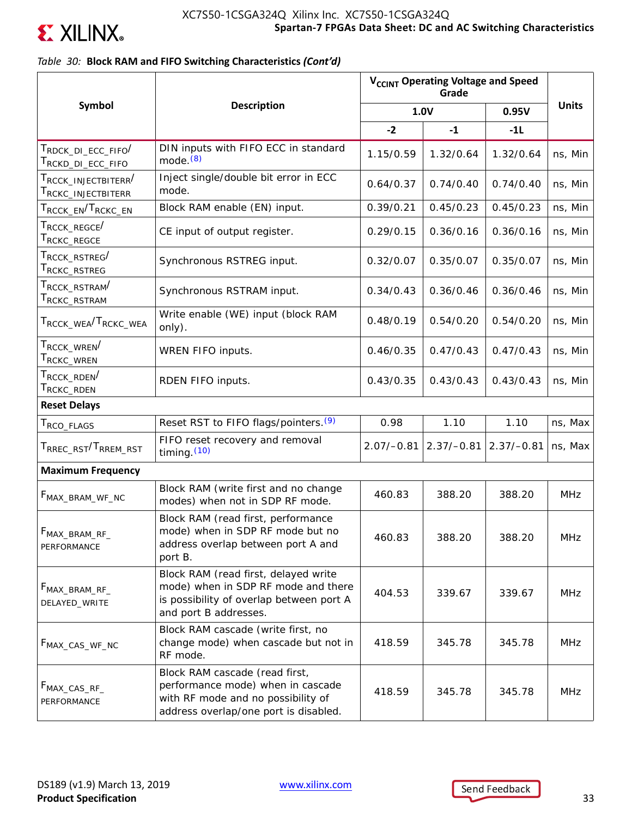

## *Table 30:* **Block RAM and FIFO Switching Characteristics** *(Cont'd)*

|                                                                                                    |                                                                                                                                                    | V <sub>CCINT</sub> Operating Voltage and Speed |              |              |              |
|----------------------------------------------------------------------------------------------------|----------------------------------------------------------------------------------------------------------------------------------------------------|------------------------------------------------|--------------|--------------|--------------|
| <b>Symbol</b>                                                                                      | <b>Description</b>                                                                                                                                 |                                                | 1.0V         | 0.95V        | <b>Units</b> |
|                                                                                                    |                                                                                                                                                    | $-2$                                           | $-1$         | $-11$        |              |
| $\tau_{\texttt{RDCK\_DI\_ECC\_FIFO}}/$<br>T <sub>RCKD_DI_ECC_FIFO</sub>                            | DIN inputs with FIFO ECC in standard<br>mode.(8)                                                                                                   | 1.15/0.59                                      | 1.32/0.64    | 1.32/0.64    | ns, Min      |
| $\tau_{\text{\tiny{RCCK}}}$ injectbiterr $^{\prime}$<br>$\mathsf{T}_{\mathsf{RCKC\_INIECTBITERR}}$ | Inject single/double bit error in ECC<br>mode.                                                                                                     | 0.64/0.37                                      | 0.74/0.40    | 0.74/0.40    | ns, Min      |
| ${\sf T}_{\sf RCCK\_EN}/{\sf T}_{\sf RCKC\_EN}$                                                    | Block RAM enable (EN) input.                                                                                                                       | 0.39/0.21                                      | 0.45/0.23    | 0.45/0.23    | ns, Min      |
| T <sub>RCCK</sub> _REGCE <sup>/</sup><br>$\mathsf{T}_{\mathsf{RCKC\_REGCE}}$                       | CE input of output register.                                                                                                                       | 0.29/0.15                                      | 0.36/0.16    | 0.36/0.16    | ns, Min      |
| ${\sf T}_{\sf RCCK\_RSTREG}$<br>$\mathsf{T}_{\mathsf{RCKC\_RSTREG}}$                               | Synchronous RSTREG input.                                                                                                                          | 0.32/0.07                                      | 0.35/0.07    | 0.35/0.07    | ns, Min      |
| ${\sf T}_{\sf RCCK\_RSTRAM} /$<br>T <sub>RCKC</sub> _RSTRAM                                        | Synchronous RSTRAM input.                                                                                                                          | 0.34/0.43                                      | 0.36/0.46    | 0.36/0.46    | ns, Min      |
| T <sub>RCCK</sub> _wea <sup>/T</sup> RCKC_WEA                                                      | Write enable (WE) input (block RAM<br>only).                                                                                                       | 0.48/0.19                                      | 0.54/0.20    | 0.54/0.20    | ns, Min      |
| T <sub>RCCK</sub> _WREN <sup>/</sup><br>$\mathsf{T}_{\mathsf{RCKC\_WREN}}$                         | WREN FIFO inputs.                                                                                                                                  | 0.46/0.35                                      | 0.47/0.43    | 0.47/0.43    | ns, Min      |
| $\mathsf{T}_{\mathsf{RCCK\_RDEN}}$<br>$\mathsf{T}_{\mathsf{RCKC\_RDEN}}$                           | RDEN FIFO inputs.                                                                                                                                  | 0.43/0.35                                      | 0.43/0.43    | 0.43/0.43    | ns, Min      |
| <b>Reset Delays</b>                                                                                |                                                                                                                                                    |                                                |              |              |              |
| T <sub>RCO</sub> _FLAGS                                                                            | Reset RST to FIFO flags/pointers. <sup>(9)</sup>                                                                                                   | 0.98                                           | 1.10         | 1.10         | ns, Max      |
| T <sub>RREC</sub> _RST <sup>/T</sup> RREM_RST                                                      | FIFO reset recovery and removal<br>timing $(10)$                                                                                                   | $2.07/-0.81$                                   | $2.37/-0.81$ | $2.37/-0.81$ | ns, Max      |
| <b>Maximum Frequency</b>                                                                           |                                                                                                                                                    |                                                |              |              |              |
| F <sub>MAX_BRAM_WF_NC</sub>                                                                        | Block RAM (write first and no change<br>modes) when not in SDP RF mode.                                                                            | 460.83                                         | 388.20       | 388.20       | <b>MHz</b>   |
| $F_{MAX\_BRAM\_RF\_}$<br>PERFORMANCE                                                               | Block RAM (read first, performance<br>mode) when in SDP RF mode but no<br>address overlap between port A and<br>port B.                            | 460.83                                         | 388.20       | 388.20       | <b>MHz</b>   |
| $F_{MAX\_BRAM\_RF\_}$<br>DELAYED_WRITE                                                             | Block RAM (read first, delayed write<br>mode) when in SDP RF mode and there<br>is possibility of overlap between port A<br>and port B addresses.   | 404.53                                         | 339.67       | 339.67       | MHz          |
| F <sub>MAX_CAS_WF_NC</sub>                                                                         | Block RAM cascade (write first, no<br>change mode) when cascade but not in<br>RF mode.                                                             | 418.59                                         | 345.78       | 345.78       | <b>MHz</b>   |
| $F_{MAX\_CAS\_RF\_}$<br>PERFORMANCE                                                                | Block RAM cascade (read first,<br>performance mode) when in cascade<br>with RF mode and no possibility of<br>address overlap/one port is disabled. | 418.59                                         | 345.78       | 345.78       | <b>MHz</b>   |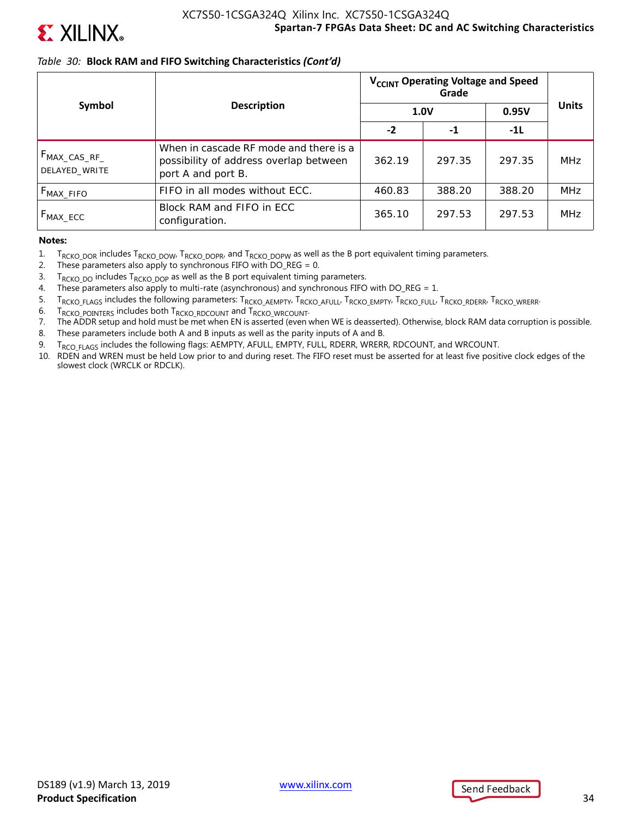

### *Table 30:* **Block RAM and FIFO Switching Characteristics** *(Cont'd)*

|                                           |                                                                                                        | V <sub>CCINT</sub> Operating Voltage and Speed |        |        |              |
|-------------------------------------------|--------------------------------------------------------------------------------------------------------|------------------------------------------------|--------|--------|--------------|
| Symbol                                    | <b>Description</b>                                                                                     | <b>1.0V</b>                                    |        | 0.95V  | <b>Units</b> |
|                                           |                                                                                                        | $-2$                                           | -1     | $-11$  |              |
| F <sub>MAX_CAS_RF_</sub><br>DELAYED WRITE | When in cascade RF mode and there is a<br>possibility of address overlap between<br>port A and port B. | 362.19                                         | 297.35 | 297.35 | <b>MHz</b>   |
| $F_{MAX\_FIFO}$                           | FIFO in all modes without ECC.                                                                         | 460.83                                         | 388.20 | 388.20 | <b>MHz</b>   |
| $F_{MAX\_ECC}$                            | Block RAM and FIFO in ECC<br>configuration.                                                            | 365.10                                         | 297.53 | 297.53 | <b>MHz</b>   |

**Notes:** 

- 1.  $T_{RCKO_DOR}$  includes  $T_{RCKO_DOW}$ ,  $T_{RCKO_DOPR}$ , and  $T_{RCKO_DOPW}$  as well as the B port equivalent timing parameters.<br>2. These parameters also apply to synchronous FIFO with DO REG = 0.
- These parameters also apply to synchronous FIFO with  $DO\_REG = 0$ .
- 3.  $T_{RCKO\_DO}$  includes  $T_{RCKO\_DOP}$  as well as the B port equivalent timing parameters.<br>4. These parameters also apply to multi-rate (asynchronous) and synchronous FIFO
- These parameters also apply to multi-rate (asynchronous) and synchronous FIFO with  $DO\_REG = 1$ .
- 5. TRCKO\_FLAGS includes the following parameters: TRCKO\_AEMPTY, TRCKO\_AFULL, TRCKO\_EMPTY, TRCKO\_FULL, TRCKO\_RDERR, TRCKO\_WRERR.
- 6.  $T_{RCKO}$  pointers includes both  $T_{RCKO}$  RDCOUNT and  $T_{RCKO}$  wrcount.<br>7. The ADDR setup and hold must be met when EN is asserted (even y
- 7. The ADDR setup and hold must be met when EN is asserted (even when WE is deasserted). Otherwise, block RAM data corruption is possible.
- 8. These parameters include both A and B inputs as well as the parity inputs of A and B.
- 9. T<sub>RCO FLAGS</sub> includes the following flags: AEMPTY, AFULL, EMPTY, FULL, RDERR, WRERR, RDCOUNT, and WRCOUNT.
- 10. RDEN and WREN must be held Low prior to and during reset. The FIFO reset must be asserted for at least five positive clock edges of the slowest clock (WRCLK or RDCLK).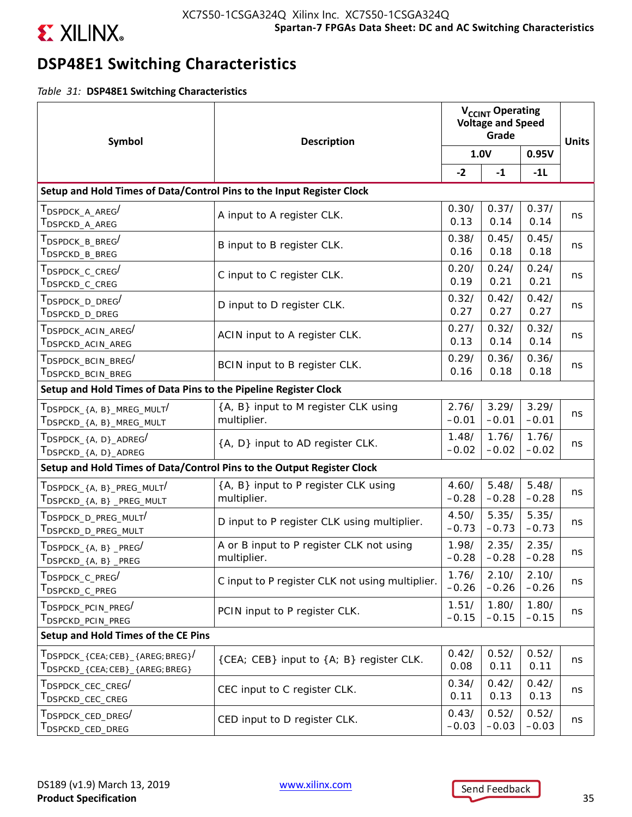

# **DSP48E1 Switching Characteristics**

*Table 31:* **DSP48E1 Switching Characteristics**

| Symbol                                                                                                               | <b>Description</b>                                      |                  | V <sub>CCINT</sub> Operating<br><b>Voltage and Speed</b><br>Grade |                  |              |
|----------------------------------------------------------------------------------------------------------------------|---------------------------------------------------------|------------------|-------------------------------------------------------------------|------------------|--------------|
|                                                                                                                      |                                                         |                  | 1.0V                                                              |                  | <b>Units</b> |
|                                                                                                                      |                                                         | $-2$             | $-1$                                                              | $-11$            |              |
| Setup and Hold Times of Data/Control Pins to the Input Register Clock                                                |                                                         |                  |                                                                   |                  |              |
| T <sub>DSPDCK</sub> _A_AREG <sup>/</sup><br>$\mathsf{T}_{\mathsf{DSPCKD\_A\_AREG}}$                                  | A input to A register CLK.                              | 0.30/<br>0.13    | 0.37/<br>0.14                                                     | 0.37/<br>0.14    | ns           |
| $\tau_{\texttt{DSPDCK\_B\_BREG}}/$<br>$\mathsf{T}_{\mathsf{DSPCKD\_B\_BREG}}$                                        | B input to B register CLK.                              | 0.38/<br>0.16    | 0.45/<br>0.18                                                     | 0.45/<br>0.18    | ns           |
| T <sub>DSPDCK</sub> _C_CREG <sup>/</sup><br>T <sub>DSPCKD</sub> _C_CREG                                              | C input to C register CLK.                              | 0.20/<br>0.19    | 0.24/<br>0.21                                                     | 0.24/<br>0.21    | ns           |
| ${\rm T}_{\mathsf{DSPDCK\_D\_DREG}}/$<br>$\mathsf{T}_{\mathsf{DSPCKD\_D\_DREG}}$                                     | D input to D register CLK.                              | 0.32/<br>0.27    | 0.42/<br>0.27                                                     | 0.42/<br>0.27    | ns           |
| $\tau_{\texttt{DSPDCK\_ACIN\_AREG}}/$<br>T <sub>DSPCKD</sub> _ACIN_AREG                                              | ACIN input to A register CLK.                           | 0.27/<br>0.13    | 0.32/<br>0.14                                                     | 0.32/<br>0.14    | ns           |
| $\tau_{\texttt{DSPDCK\_BCIN\_BREG}}/$<br>T <sub>DSPCKD</sub> _BCIN_BREG                                              | BCIN input to B register CLK.                           | 0.29/<br>0.16    | 0.36/<br>0.18                                                     | 0.36/<br>0.18    | ns           |
| Setup and Hold Times of Data Pins to the Pipeline Register Clock                                                     |                                                         |                  |                                                                   |                  |              |
| $\mathsf{T}_{\mathsf{DSPDCK}\_ \{A,\ B\}\_ \mathsf{MREG}\_ \mathsf{MULT}}/$<br>T <sub>DSPCKD</sub> _{A, B}_MREG_MULT | {A, B} input to M register CLK using<br>multiplier.     | 2.76/<br>$-0.01$ | 3.29/<br>$-0.01$                                                  | 3.29/<br>$-0.01$ | ns           |
| $\mathsf{T}_{\mathsf{DSPDCK}\_ \{A,\ D\}\_ \mathsf{ADREG}}/$<br>$T_{\sf DSPCKD_{4, D_{A}D_{C}}$                      | {A, D} input to AD register CLK.                        | 1.48/<br>$-0.02$ | 1.76/<br>$-0.02$                                                  | 1.76/<br>$-0.02$ | ns           |
| Setup and Hold Times of Data/Control Pins to the Output Register Clock                                               |                                                         |                  |                                                                   |                  |              |
| $T_{\sf DSPDCK_{-}\{A,\;B\_{\sf PREG\_MULT}}/$<br>$T_{\text{DSPCKD_{4, A, B}}_{\text{PREG_MULT}}}$                   | {A, B} input to P register CLK using<br>multiplier.     | 4.60/<br>$-0.28$ | 5.48/<br>$-0.28$                                                  | 5.48/<br>$-0.28$ | ns           |
| $T_{\mathsf{DSPDCK}}$ d preg mult $'$<br>T <sub>DSPCKD_D_PREG_MULT</sub>                                             | D input to P register CLK using multiplier.             | 4.50/<br>$-0.73$ | 5.35/<br>$-0.73$                                                  | 5.35/<br>$-0.73$ | ns           |
| $\mathsf{T}_{\mathsf{DSPDCK}\_ \{A,\ B\}\_ \mathsf{PREG}}/$<br>$T_{\sf DSPCKD_{A,B} \_PREG}$                         | A or B input to P register CLK not using<br>multiplier. | 1.98/<br>$-0.28$ | 2.35/<br>$-0.28$                                                  | 2.35/<br>$-0.28$ | ns           |
| $T_{\mathsf{DSPDCK\_C\_PREG}}/$<br>T <sub>DSPCKD</sub> _C_PREG                                                       | C input to P register CLK not using multiplier.         | 1.76/<br>$-0.26$ | 2.10/<br>$-0.26$                                                  | 2.10/<br>$-0.26$ | ns           |
| $\tau_{\texttt{DSPDCK\_PCIN\_PREG}}/$<br>T <sub>DSPCKD</sub> _PCIN_PREG                                              | PCIN input to P register CLK.                           | 1.51/<br>$-0.15$ | 1.80/<br>$-0.15$                                                  | 1.80/<br>$-0.15$ | ns           |
| Setup and Hold Times of the CE Pins                                                                                  |                                                         |                  |                                                                   |                  |              |
| $T_{\sf DSPDCK_{\prec} (CEA; CEB)_{\prec} (AREG; BREG)}$<br>TDSPCKD_{CEA;CEB}_{AREG;BREG}                            | {CEA; CEB} input to {A; B} register CLK.                | 0.42/<br>0.08    | 0.52/<br>0.11                                                     | 0.52/<br>0.11    | ns           |
| $\tau_{\texttt{DSPDCK\_CEC\_CREG}}$<br>T <sub>DSPCKD</sub> _CEC_CREG                                                 | CEC input to C register CLK.                            | 0.34/<br>0.11    | 0.42/<br>0.13                                                     | 0.42/<br>0.13    | ns           |
| $\tau_{\texttt{DSPDCK\_CED\_DREG}}/$<br>$^\mathsf{T}$ DSPCKD_CED_DREG                                                | CED input to D register CLK.                            | 0.43/<br>$-0.03$ | 0.52/<br>$-0.03$                                                  | 0.52/<br>$-0.03$ | ns           |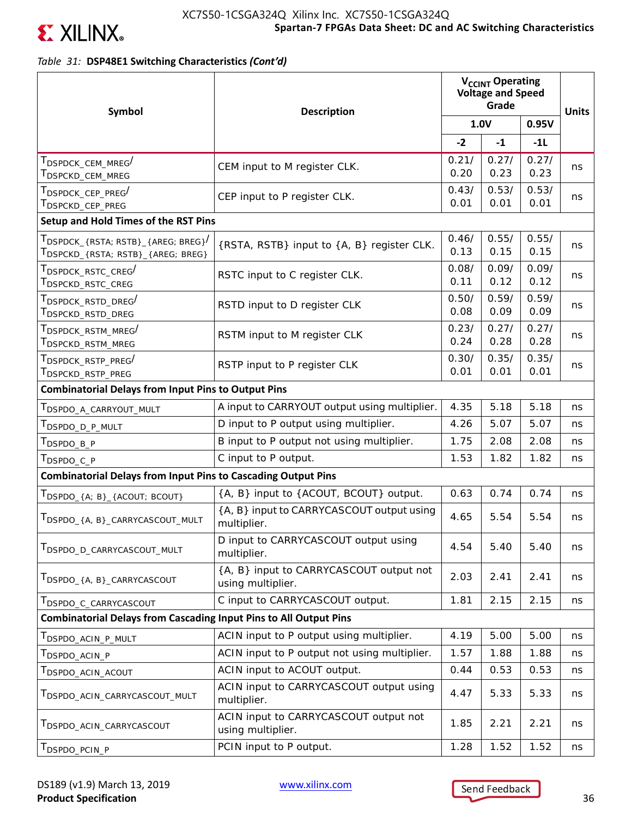

*Table 31:* **DSP48E1 Switching Characteristics** *(Cont'd)*

| Symbol                                                                        | <b>Description</b>                                           |               | V <sub>CCINT</sub> Operating<br><b>Voltage and Speed</b><br>Grade |               |              |  |
|-------------------------------------------------------------------------------|--------------------------------------------------------------|---------------|-------------------------------------------------------------------|---------------|--------------|--|
|                                                                               |                                                              | 1.0V          |                                                                   | 0.95V         | <b>Units</b> |  |
|                                                                               |                                                              | $-2$          | $-1$                                                              | $-11$         |              |  |
| T <sub>DSPDCK</sub> _CEM_MREG <sup>/</sup><br>T <sub>DSPCKD</sub> _CEM_MREG   | CEM input to M register CLK.                                 | 0.21/<br>0.20 | 0.27/<br>0.23                                                     | 0.27/<br>0.23 | ns           |  |
| TDSPDCK_CEP_PREG/<br>T <sub>DSPCKD</sub> _CEP_PREG                            | CEP input to P register CLK.                                 | 0.43/<br>0.01 | 0.53/<br>0.01                                                     | 0.53/<br>0.01 | ns           |  |
| Setup and Hold Times of the RST Pins                                          |                                                              |               |                                                                   |               |              |  |
| TDSPDCK_{RSTA; RSTB}_{AREG; BREG}<br>TDSPCKD_{RSTA; RSTB}_{AREG; BREG}        | {RSTA, RSTB} input to {A, B} register CLK.                   | 0.46/<br>0.13 | 0.55/<br>0.15                                                     | 0.55/<br>0.15 | ns           |  |
| T <sub>DSPDCK</sub> _RSTC_CREG <sup>/</sup><br>T <sub>DSPCKD</sub> _RSTC_CREG | RSTC input to C register CLK.                                | 0.08/<br>0.11 | 0.09/<br>0.12                                                     | 0.09/<br>0.12 | ns           |  |
| T <sub>DSPDCK</sub> _RSTD_DREG <sup>/</sup><br>T <sub>DSPCKD</sub> _RSTD_DREG | RSTD input to D register CLK                                 | 0.50/<br>0.08 | 0.59/<br>0.09                                                     | 0.59/<br>0.09 | ns           |  |
| T <sub>DSPDCK</sub> RSTM MREG <sup>/</sup><br>T <sub>DSPCKD</sub> _RSTM_MREG  | RSTM input to M register CLK                                 | 0.23/<br>0.24 | 0.27/<br>0.28                                                     | 0.27/<br>0.28 | ns           |  |
| T <sub>DSPDCK</sub> _RSTP_PREG <sup>/</sup><br>T <sub>DSPCKD</sub> _RSTP_PREG | RSTP input to P register CLK                                 | 0.30/<br>0.01 | 0.35/<br>0.01                                                     | 0.35/<br>0.01 | ns           |  |
| <b>Combinatorial Delays from Input Pins to Output Pins</b>                    |                                                              |               |                                                                   |               |              |  |
| T <sub>DSPDO_A_CARRYOUT_MULT</sub>                                            | A input to CARRYOUT output using multiplier.                 | 4.35          | 5.18                                                              | 5.18          | ns           |  |
| T <sub>DSPDO_D_P_MULT</sub>                                                   | D input to P output using multiplier.                        | 4.26          | 5.07                                                              | 5.07          | ns           |  |
| T <sub>DSPDO_B_P</sub>                                                        | B input to P output not using multiplier.                    | 1.75          | 2.08                                                              | 2.08          | ns           |  |
| T <sub>DSPDO_C_P</sub>                                                        | C input to P output.                                         | 1.53          | 1.82                                                              | 1.82          | ns           |  |
| <b>Combinatorial Delays from Input Pins to Cascading Output Pins</b>          |                                                              |               |                                                                   |               |              |  |
| TDSPDO_{A; B}_{ACOUT; BCOUT}                                                  | {A, B} input to {ACOUT, BCOUT} output.                       | 0.63          | 0.74                                                              | 0.74          | ns           |  |
| TDSPDO_{A, B}_CARRYCASCOUT_MULT                                               | {A, B} input to CARRYCASCOUT output using<br>multiplier.     | 4.65          | 5.54                                                              | 5.54          | ns           |  |
| TDSPDO_D_CARRYCASCOUT_MULT                                                    | D input to CARRYCASCOUT output using<br>multiplier.          | 4.54          | 5.40                                                              | 5.40          | ns           |  |
| TDSPDO_{A, B}_CARRYCASCOUT                                                    | {A, B} input to CARRYCASCOUT output not<br>using multiplier. | 2.03          | 2.41                                                              | 2.41          | ns           |  |
| T <sub>DSPDO_C</sub> _CARRYCASCOUT                                            | C input to CARRYCASCOUT output.                              | 1.81          | 2.15                                                              | 2.15          | ns           |  |
| <b>Combinatorial Delays from Cascading Input Pins to All Output Pins</b>      |                                                              |               |                                                                   |               |              |  |
| T <sub>DSPDO</sub> _ACIN_P_MULT                                               | ACIN input to P output using multiplier.                     | 4.19          | 5.00                                                              | 5.00          | ns           |  |
| T <sub>DSPDO</sub> acin p                                                     | ACIN input to P output not using multiplier.                 | 1.57          | 1.88                                                              | 1.88          | ns           |  |
| T <sub>DSPDO</sub> _ACIN_ACOUT                                                | ACIN input to ACOUT output.                                  | 0.44          | 0.53                                                              | 0.53          | ns           |  |
| TDSPDO_ACIN_CARRYCASCOUT_MULT                                                 | ACIN input to CARRYCASCOUT output using<br>multiplier.       | 4.47          | 5.33                                                              | 5.33          | ns           |  |
| T <sub>DSPDO_ACIN_CARRYCASCOUT</sub>                                          | ACIN input to CARRYCASCOUT output not<br>using multiplier.   | 1.85          | 2.21                                                              | 2.21          | ns           |  |
| T <sub>DSPDO</sub> _PCIN_P                                                    | PCIN input to P output.                                      | 1.28          | 1.52                                                              | 1.52          | ns           |  |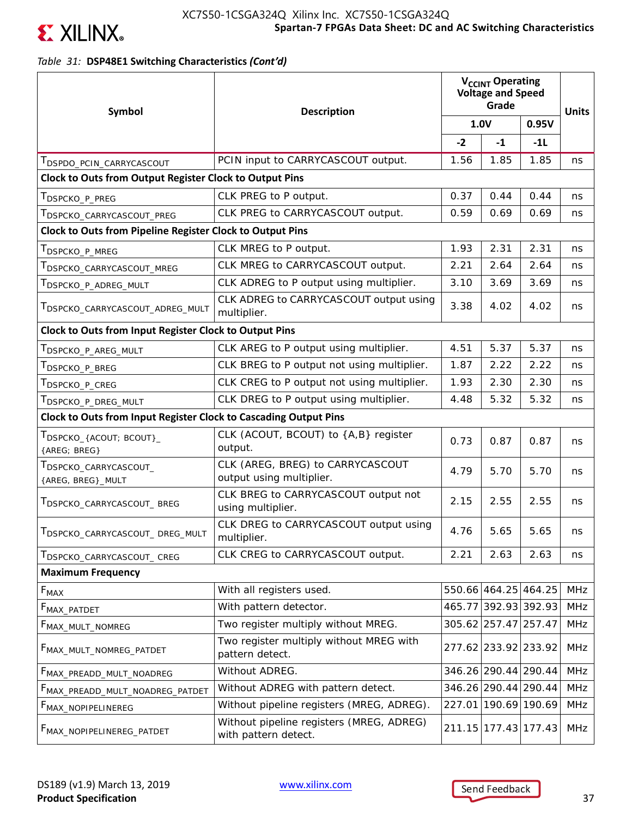

## *Table 31:* **DSP48E1 Switching Characteristics** *(Cont'd)*

| Symbol                                                           | <b>Description</b>                                               |      | V <sub>CCINT</sub> Operating<br><b>Voltage and Speed</b><br>Grade |       |              |
|------------------------------------------------------------------|------------------------------------------------------------------|------|-------------------------------------------------------------------|-------|--------------|
|                                                                  |                                                                  |      | 1.0V                                                              | 0.95V | <b>Units</b> |
|                                                                  |                                                                  | $-2$ | $-1$                                                              | $-11$ |              |
| <b>IDSPDO_PCIN_CARRYCASCOUT</b>                                  | PCIN input to CARRYCASCOUT output.                               | 1.56 | 1.85                                                              | 1.85  | ns           |
| Clock to Outs from Output Register Clock to Output Pins          |                                                                  |      |                                                                   |       |              |
| $\mathsf{T}_{\mathsf{DSPCKO\_P\_PREG}}$                          | CLK PREG to P output.                                            | 0.37 | 0.44                                                              | 0.44  | ns           |
| T <sub>DSPCKO</sub> _CARRYCASCOUT_PREG                           | CLK PREG to CARRYCASCOUT output.                                 | 0.59 | 0.69                                                              | 0.69  | ns           |
| <b>Clock to Outs from Pipeline Register Clock to Output Pins</b> |                                                                  |      |                                                                   |       |              |
| T <sub>DSPCKO_P_MREG</sub>                                       | CLK MREG to P output.                                            | 1.93 | 2.31                                                              | 2.31  | ns           |
| T <sub>DSPCKO</sub> _CARRYCASCOUT_MREG                           | CLK MREG to CARRYCASCOUT output.                                 | 2.21 | 2.64                                                              | 2.64  | ns           |
| T <sub>DSPCKO_P_ADREG_MULT</sub>                                 | CLK ADREG to P output using multiplier.                          | 3.10 | 3.69                                                              | 3.69  | ns           |
| <b>IDSPCKO_CARRYCASCOUT_ADREG_MULT</b>                           | CLK ADREG to CARRYCASCOUT output using<br>multiplier.            | 3.38 | 4.02                                                              | 4.02  | ns           |
| Clock to Outs from Input Register Clock to Output Pins           |                                                                  |      |                                                                   |       |              |
| T <sub>DSPCKO_P_AREG_MULT</sub>                                  | CLK AREG to P output using multiplier.                           | 4.51 | 5.37                                                              | 5.37  | ns           |
| T <sub>DSPCKO</sub> _P_BREG                                      | CLK BREG to P output not using multiplier.                       | 1.87 | 2.22                                                              | 2.22  | ns           |
| T <sub>DSPCKO</sub> _P_CREG                                      | CLK CREG to P output not using multiplier.                       | 1.93 | 2.30                                                              | 2.30  | ns           |
| T <sub>DSPCKO_P_DREG_MULT</sub>                                  | CLK DREG to P output using multiplier.                           | 4.48 | 5.32                                                              | 5.32  | ns           |
| Clock to Outs from Input Register Clock to Cascading Output Pins |                                                                  |      |                                                                   |       |              |
| $T_{\sf DSPCKO\_{ACOUT; BCOUT\}_{-}}$<br>{AREG; BREG}            | CLK (ACOUT, BCOUT) to {A,B} register<br>output.                  | 0.73 | 0.87                                                              | 0.87  | ns           |
| TDSPCKO_CARRYCASCOUT_<br>{AREG, BREG}_MULT                       | CLK (AREG, BREG) to CARRYCASCOUT<br>output using multiplier.     | 4.79 | 5.70                                                              | 5.70  | ns           |
| T <sub>DSPCKO</sub> _CARRYCASCOUT_BREG                           | CLK BREG to CARRYCASCOUT output not<br>using multiplier.         | 2.15 | 2.55                                                              | 2.55  | ns           |
| TDSPCKO_CARRYCASCOUT_DREG_MULT                                   | CLK DREG to CARRYCASCOUT output using<br>multiplier.             | 4.76 | 5.65                                                              | 5.65  | ns           |
| TDSPCKO_CARRYCASCOUT_CREG                                        | CLK CREG to CARRYCASCOUT output.                                 | 2.21 | 2.63                                                              | 2.63  | ns           |
| <b>Maximum Frequency</b>                                         |                                                                  |      |                                                                   |       |              |
| $\mathsf{F}_{\mathsf{MAX}}$                                      | With all registers used.                                         |      | 550.66 464.25 464.25                                              |       | <b>MHz</b>   |
| F <sub>MAX_PATDET</sub>                                          | With pattern detector.                                           |      | 465.77 392.93 392.93                                              |       | <b>MHz</b>   |
| F <sub>MAX_MULT_NOMREG</sub>                                     | Two register multiply without MREG.                              |      | 305.62 257.47 257.47                                              |       | MHz          |
| FMAX_MULT_NOMREG_PATDET                                          | Two register multiply without MREG with<br>pattern detect.       |      | 277.62 233.92 233.92                                              |       | <b>MHz</b>   |
| FMAX_PREADD_MULT_NOADREG                                         | Without ADREG.                                                   |      | 346.26 290.44 290.44                                              |       | <b>MHz</b>   |
| FMAX_PREADD_MULT_NOADREG_PATDET                                  | Without ADREG with pattern detect.                               |      | 346.26 290.44 290.44                                              |       | <b>MHz</b>   |
| F <sub>MAX_NOPIPELINEREG</sub>                                   | Without pipeline registers (MREG, ADREG).                        |      | 227.01 190.69 190.69                                              |       | <b>MHz</b>   |
| <b>FMAX_NOPIPELINEREG_PATDET</b>                                 | Without pipeline registers (MREG, ADREG)<br>with pattern detect. |      | 211.15 177.43 177.43                                              |       | <b>MHz</b>   |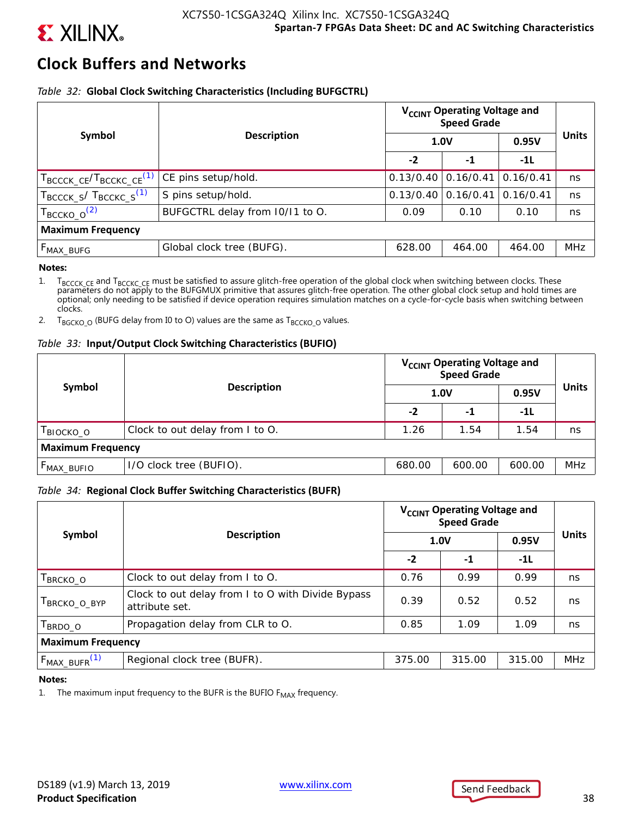

# **Clock Buffers and Networks**

### *Table 32:* **Global Clock Switching Characteristics (Including BUFGCTRL)**

|                                                   |                                 | V <sub>CCINT</sub> Operating Voltage and<br><b>Speed Grade</b> |           |           |              |  |  |  |  |
|---------------------------------------------------|---------------------------------|----------------------------------------------------------------|-----------|-----------|--------------|--|--|--|--|
| Symbol                                            | <b>Description</b>              |                                                                | 1.0V      | 0.95V     | <b>Units</b> |  |  |  |  |
|                                                   |                                 | $-2$                                                           | $-1$      | $-11$     |              |  |  |  |  |
| $T_{\text{BCCCK\_CE}}/T_{\text{BCCKC\_CE}}^{(1)}$ | CE pins setup/hold.             | 0.13/0.40                                                      | 0.16/0.41 | 0.16/0.41 | ns           |  |  |  |  |
| $T_{\text{BCCCK\_S}}/T_{\text{BCCKC\_S}}^{(1)}$   | S pins setup/hold.              | 0.13/0.40                                                      | 0.16/0.41 | 0.16/0.41 | ns           |  |  |  |  |
| $T_{\text{BCCKO}\_\text{O}}^{(2)}$                | BUFGCTRL delay from 10/11 to O. | 0.09                                                           | 0.10      | 0.10      | ns           |  |  |  |  |
| <b>Maximum Frequency</b>                          |                                 |                                                                |           |           |              |  |  |  |  |
| $F_{MAX_BUFG}$                                    | Global clock tree (BUFG).       | 628.00                                                         | 464.00    | 464.00    | <b>MHz</b>   |  |  |  |  |

### **Notes:**

1. T<sub>BCCCK</sub> c<sub>E</sub> and T<sub>BCCKC</sub> c<sub>E</sub> must be satisfied to assure glitch-free operation of the global clock when switching between clocks. These parameters do not apply to the BUFGMUX primitive that assures glitch-free opera optional; only needing to be satisfied if device operation requires simulation matches on a cycle-for-cycle basis when switching between clocks.

2. T<sub>BGCKO</sub>  $_0$  (BUFG delay from I0 to O) values are the same as T<sub>BCCKO</sub>  $_0$  values.

### *Table 33:* **Input/Output Clock Switching Characteristics (BUFIO)**

| Symbol                   | <b>Description</b>              | V <sub>CCINT</sub> Operating Voltage and<br>Speed Grade |        |        |              |  |
|--------------------------|---------------------------------|---------------------------------------------------------|--------|--------|--------------|--|
|                          |                                 |                                                         | 1.0V   | 0.95V  | <b>Units</b> |  |
|                          |                                 | -2                                                      | -1     | $-11$  |              |  |
| BIOCKO_O                 | Clock to out delay from I to O. | 1.26                                                    | 1.54   | 1.54   | ns           |  |
| <b>Maximum Frequency</b> |                                 |                                                         |        |        |              |  |
| $F_{MAX_BUFIO}$          | I/O clock tree (BUFIO).         | 680.00                                                  | 600.00 | 600.00 | <b>MHz</b>   |  |

### *Table 34:* **Regional Clock Buffer Switching Characteristics (BUFR)**

| Symbol                   | <b>Description</b>                                                  | V <sub>CCINT</sub> Operating Voltage and<br><b>Speed Grade</b> |        |        |              |  |  |
|--------------------------|---------------------------------------------------------------------|----------------------------------------------------------------|--------|--------|--------------|--|--|
|                          |                                                                     | <b>1.0V</b>                                                    |        | 0.95V  | <b>Units</b> |  |  |
|                          |                                                                     | $-2$                                                           | $-1$   | $-11$  |              |  |  |
| BRCKO_O                  | Clock to out delay from I to O.                                     | 0.76                                                           | 0.99   | 0.99   | ns           |  |  |
| BRCKO_O_BYP              | Clock to out delay from I to O with Divide Bypass<br>attribute set. | 0.39                                                           | 0.52   | 0.52   | ns           |  |  |
| BRDO_O                   | Propagation delay from CLR to O.                                    | 0.85                                                           | 1.09   | 1.09   | ns           |  |  |
| <b>Maximum Frequency</b> |                                                                     |                                                                |        |        |              |  |  |
| $F_{MAX_BUFF}$ $(1)$     | Regional clock tree (BUFR).                                         | 375.00                                                         | 315.00 | 315.00 | <b>MHz</b>   |  |  |

### **Notes:**

1. The maximum input frequency to the BUFR is the BUFIO  $F_{MAX}$  frequency.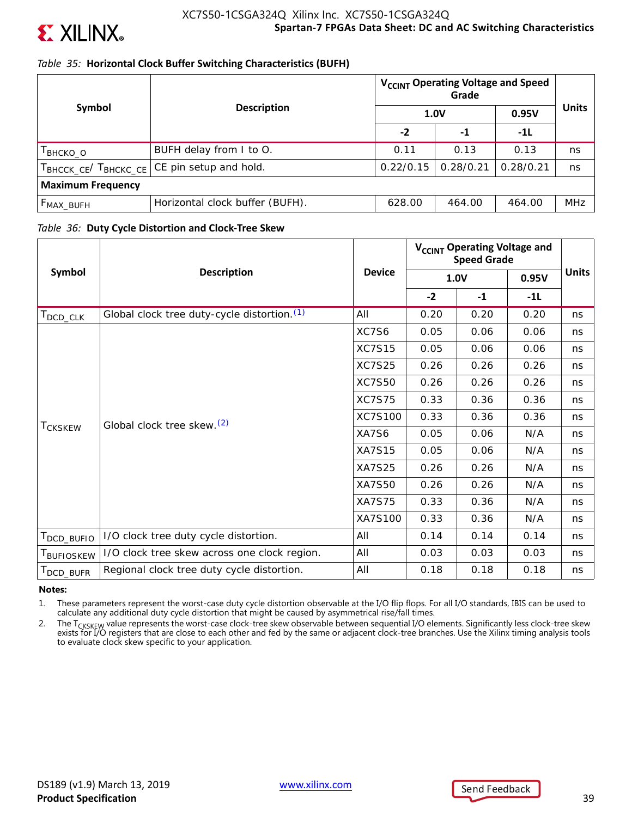

## *Table 35:* **Horizontal Clock Buffer Switching Characteristics (BUFH)**

|                          |                                             | V <sub>CCINT</sub> Operating Voltage and Speed<br>Grade |           |           | <b>Units</b> |
|--------------------------|---------------------------------------------|---------------------------------------------------------|-----------|-----------|--------------|
| Symbol                   | <b>Description</b>                          | 1.0V                                                    |           | 0.95V     |              |
|                          |                                             | $-2$                                                    | -1        | $-11$     |              |
| Твнско_о                 | BUFH delay from I to O.                     | 0.11                                                    | 0.13      | 0.13      | ns           |
|                          | TBHCCK_CE/ TBHCKC_CE CE pin setup and hold. | 0.22/0.15                                               | 0.28/0.21 | 0.28/0.21 | ns           |
| <b>Maximum Frequency</b> |                                             |                                                         |           |           |              |
| $F_{MAX\_BUFH}$          | Horizontal clock buffer (BUFH).             | 628.00                                                  | 464.00    | 464.00    | <b>MHz</b>   |

### *Table 36:* **Duty Cycle Distortion and Clock-Tree Skew**

| Symbol                  | <b>Description</b>                           |               | V <sub>CCINT</sub> Operating Voltage and<br><b>Speed Grade</b> |      |       |              |
|-------------------------|----------------------------------------------|---------------|----------------------------------------------------------------|------|-------|--------------|
|                         |                                              | <b>Device</b> | 1.0V                                                           |      | 0.95V | <b>Units</b> |
|                         |                                              |               | $-2$                                                           | $-1$ | $-1L$ |              |
| $T_{\mathsf{DCD\_CLK}}$ | Global clock tree duty-cycle distortion. (1) | All           | 0.20                                                           | 0.20 | 0.20  | ns           |
|                         |                                              | XC7S6         | 0.05                                                           | 0.06 | 0.06  | ns           |
|                         |                                              | <b>XC7S15</b> | 0.05                                                           | 0.06 | 0.06  | ns           |
|                         | Global clock tree skew. <sup>(2)</sup>       | <b>XC7S25</b> | 0.26                                                           | 0.26 | 0.26  | ns           |
|                         |                                              | <b>XC7S50</b> | 0.26                                                           | 0.26 | 0.26  | ns           |
|                         |                                              | <b>XC7S75</b> | 0.33                                                           | 0.36 | 0.36  | ns           |
|                         |                                              | XC7S100       | 0.33                                                           | 0.36 | 0.36  | ns           |
| <b>TCKSKEW</b>          |                                              | XA7S6         | 0.05                                                           | 0.06 | N/A   | ns           |
|                         |                                              | <b>XA7S15</b> | 0.05                                                           | 0.06 | N/A   | ns           |
|                         |                                              | <b>XA7S25</b> | 0.26                                                           | 0.26 | N/A   | ns           |
|                         |                                              | <b>XA7S50</b> | 0.26                                                           | 0.26 | N/A   | ns           |
|                         |                                              | <b>XA7S75</b> | 0.33                                                           | 0.36 | N/A   | ns           |
|                         |                                              | XA7S100       | 0.33                                                           | 0.36 | N/A   | ns           |
| T <sub>DCD_BUFIO</sub>  | I/O clock tree duty cycle distortion.        | All           | 0.14                                                           | 0.14 | 0.14  | ns           |
| T <sub>BUFIOSKEW</sub>  | I/O clock tree skew across one clock region. | All           | 0.03                                                           | 0.03 | 0.03  | ns           |
| DCD_BUFR                | Regional clock tree duty cycle distortion.   | All           | 0.18                                                           | 0.18 | 0.18  | ns           |

### **Notes:**

1. These parameters represent the worst-case duty cycle distortion observable at the I/O flip flops. For all I/O standards, IBIS can be used to calculate any additional duty cycle distortion that might be caused by asymmetrical rise/fall times.

2. The T<sub>CKSKEW</sub> value represents the worst-case clock-tree skew observable between sequential I/O elements. Significantly less clock-tree skew exists for I/O registers that are close to each other and fed by the same or adjacent clock-tree branches. Use the Xilinx timing analysis tools to evaluate clock skew specific to your application.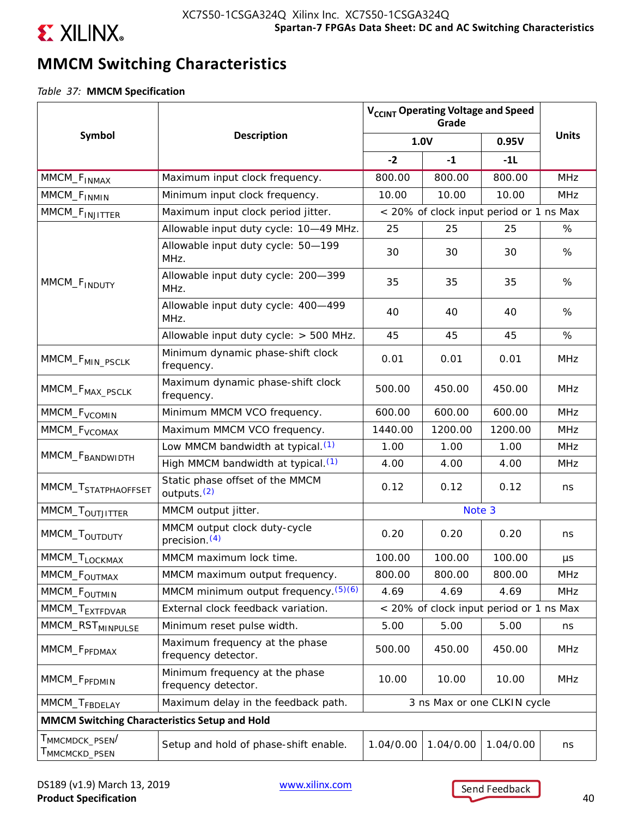

# **MMCM Switching Characteristics**

*Table 37:* **MMCM Specification**

|                                                                      |                                                            |                                         | V <sub>CCINT</sub> Operating Voltage and Speed<br>Grade |                                         |              |
|----------------------------------------------------------------------|------------------------------------------------------------|-----------------------------------------|---------------------------------------------------------|-----------------------------------------|--------------|
| Symbol                                                               | <b>Description</b>                                         | 1.0V                                    |                                                         | 0.95V                                   | <b>Units</b> |
|                                                                      |                                                            | $-2$                                    | $-1$                                                    | $-11$                                   |              |
| MMCM_F <sub>INMAX</sub>                                              | Maximum input clock frequency.                             | 800.00                                  | 800.00                                                  | 800.00                                  | <b>MHz</b>   |
| MMCM_F <sub>INMIN</sub>                                              | Minimum input clock frequency.                             | 10.00                                   | 10.00                                                   | 10.00                                   | <b>MHz</b>   |
| MMCM_F <sub>INJITTER</sub>                                           | Maximum input clock period jitter.                         | < 20% of clock input period or 1 ns Max |                                                         |                                         |              |
|                                                                      | Allowable input duty cycle: 10-49 MHz.                     | 25                                      | 25                                                      | 25                                      | %            |
|                                                                      | Allowable input duty cycle: 50-199<br>MHz.                 | 30                                      | 30                                                      | 30                                      | %            |
| MMCM_F <sub>INDUTY</sub>                                             | Allowable input duty cycle: 200-399<br>MHz.                | 35                                      | 35                                                      | 35                                      | %            |
|                                                                      | Allowable input duty cycle: 400-499<br>MHz.                | 40                                      | 40                                                      | 40                                      | %            |
|                                                                      | Allowable input duty cycle: > 500 MHz.                     | 45                                      | 45                                                      | 45                                      | %            |
| MMCM_F <sub>MIN_PSCLK</sub>                                          | Minimum dynamic phase-shift clock<br>frequency.            | 0.01                                    | 0.01                                                    | 0.01                                    | <b>MHz</b>   |
| MMCM_F <sub>MAX_PSCLK</sub>                                          | Maximum dynamic phase-shift clock<br>frequency.            | 500.00                                  | 450.00                                                  | 450.00                                  | <b>MHz</b>   |
| MMCM_F <sub>VCOMIN</sub>                                             | Minimum MMCM VCO frequency.                                | 600.00                                  | 600.00                                                  | 600.00                                  | <b>MHz</b>   |
| MMCM_F <sub>VCOMAX</sub>                                             | Maximum MMCM VCO frequency.                                | 1440.00                                 | 1200.00                                                 | 1200.00                                 | <b>MHz</b>   |
|                                                                      | Low MMCM bandwidth at typical. <sup>(1)</sup>              | 1.00                                    | 1.00                                                    | 1.00                                    | <b>MHz</b>   |
| MMCM_F <sub>BANDWIDTH</sub>                                          | High MMCM bandwidth at typical. <sup>(1)</sup>             | 4.00                                    | 4.00                                                    | 4.00                                    | <b>MHz</b>   |
| MMCM_T <sub>STATPHAOFFSET</sub>                                      | Static phase offset of the MMCM<br>outputs. <sup>(2)</sup> | 0.12                                    | 0.12                                                    | 0.12                                    | ns           |
| MMCM_T <sub>OUTJITTER</sub>                                          | MMCM output jitter.                                        |                                         | Note 3                                                  |                                         |              |
| MMCM_T <sub>OUTDUTY</sub>                                            | MMCM output clock duty-cycle<br>precision. <sup>(4)</sup>  | 0.20                                    | 0.20                                                    | 0.20                                    | ns           |
| MMCM_T <sub>LOCKMAX</sub>                                            | MMCM maximum lock time.                                    | 100.00                                  | 100.00                                                  | 100.00                                  | $\mu s$      |
| MMCM_F <sub>OUTMAX</sub>                                             | MMCM maximum output frequency.                             | 800.00                                  | 800.00                                                  | 800.00                                  | <b>MHz</b>   |
| MMCM_F <sub>OUTMIN</sub>                                             | MMCM minimum output frequency. (5)(6)                      | 4.69                                    | 4.69                                                    | 4.69                                    | <b>MHz</b>   |
| MMCM_T <sub>EXTFDVAR</sub>                                           | External clock feedback variation.                         |                                         |                                                         | < 20% of clock input period or 1 ns Max |              |
| MMCM_RST <sub>MINPULSE</sub>                                         | Minimum reset pulse width.                                 | 5.00                                    | 5.00                                                    | 5.00                                    | ns           |
| MMCM_F <sub>PFDMAX</sub>                                             | Maximum frequency at the phase<br>frequency detector.      | 500.00                                  | 450.00                                                  | 450.00                                  | <b>MHz</b>   |
| MMCM_F <sub>PFDMIN</sub>                                             | Minimum frequency at the phase<br>frequency detector.      | 10.00                                   | 10.00                                                   | 10.00                                   | <b>MHz</b>   |
| MMCM_T <sub>FBDELAY</sub>                                            | Maximum delay in the feedback path.                        |                                         |                                                         | 3 ns Max or one CLKIN cycle             |              |
| MMCM Switching Characteristics Setup and Hold                        |                                                            |                                         |                                                         |                                         |              |
| $\mathsf{T}_{\mathsf{MMCMDCK\_PSEN}}/$<br>T <sub>MMCMCKD</sub> _PSEN | Setup and hold of phase-shift enable.                      | 1.04/0.00                               | 1.04/0.00                                               | 1.04/0.00                               | ns           |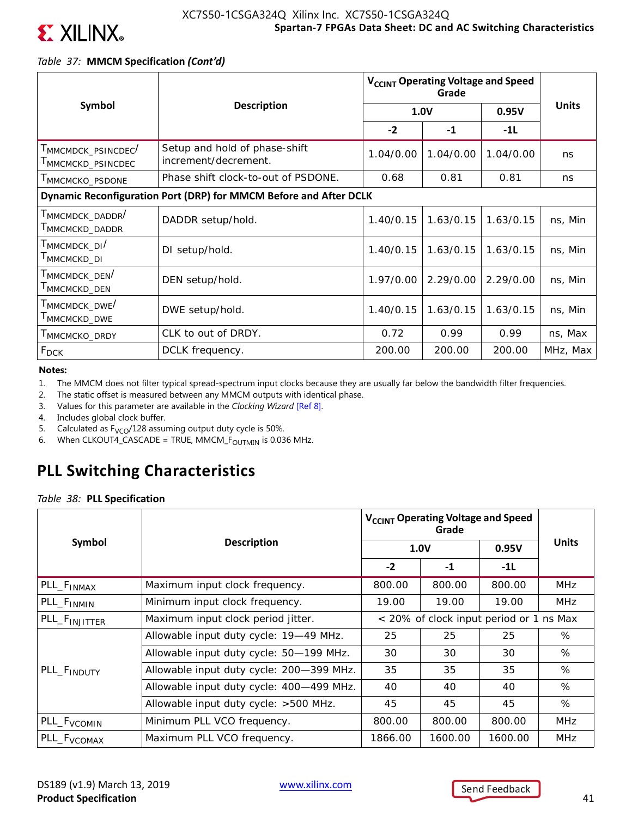

## *Table 37:* **MMCM Specification** *(Cont'd)*

|                                                                                    |                                                                   | V <sub>CCINT</sub> Operating Voltage and Speed |           |           |              |
|------------------------------------------------------------------------------------|-------------------------------------------------------------------|------------------------------------------------|-----------|-----------|--------------|
| Symbol                                                                             | <b>Description</b>                                                |                                                | 1.0V      | 0.95V     | <b>Units</b> |
|                                                                                    |                                                                   | $-2$                                           | $-1$      | $-1L$     |              |
| MMCMDCK_PSINCDEC<br>MMCMCKD_PSINCDEC                                               | Setup and hold of phase-shift<br>increment/decrement.             | 1.04/0.00                                      | 1.04/0.00 | 1.04/0.00 | ns           |
| MMCMCKO_PSDONE                                                                     | Phase shift clock-to-out of PSDONE.                               | 0.68                                           | 0.81      | 0.81      | ns.          |
|                                                                                    | Dynamic Reconfiguration Port (DRP) for MMCM Before and After DCLK |                                                |           |           |              |
| T <sub>MMCMDCK</sub> _DADDR <sup>/</sup><br>$\mathsf{T}_{\mathsf{MMCMCKD\_DADDR}}$ | DADDR setup/hold.                                                 | 1.40/0.15                                      | 1.63/0.15 | 1.63/0.15 | ns, Min      |
| Т <sub>ММСМDСК_DI</sub> /<br>MMCMCKD_DI                                            | DI setup/hold.                                                    | 1.40/0.15                                      | 1.63/0.15 | 1.63/0.15 | ns, Min      |
| $\mathsf{T}_{\mathsf{MMCMDCK\_DEN}}/$<br>MMCMCKD_DEN                               | DEN setup/hold.                                                   | 1.97/0.00                                      | 2.29/0.00 | 2.29/0.00 | ns, Min      |
| $\mathsf{T}_{\mathsf{MMCMDCK\_DWE}}/$<br>MMCMCKD_DWE                               | DWE setup/hold.                                                   | 1.40/0.15                                      | 1.63/0.15 | 1.63/0.15 | ns, Min      |
| MMCMCKO_DRDY                                                                       | CLK to out of DRDY.                                               | 0.72                                           | 0.99      | 0.99      | ns, Max      |
| $F_{DCK}$                                                                          | DCLK frequency.                                                   | 200.00                                         | 200.00    | 200.00    | MHz, Max     |

**Notes:** 

- 1. The MMCM does not filter typical spread-spectrum input clocks because they are usually far below the bandwidth filter frequencies.
- 2. The static offset is measured between any MMCM outputs with identical phase.
- 3. Values for this parameter are available in the *Clocking Wizard* [Ref 8].
- 4. Includes global clock buffer.
- 5. Calculated as  $F_{VCO}/128$  assuming output duty cycle is 50%.
- 6. When CLKOUT4\_CASCADE = TRUE, MMCM\_ $F_{\text{OUTMIN}}$  is 0.036 MHz.

## **PLL Switching Characteristics**

*Table 38:* **PLL Specification**

|                           |                                          |         | V <sub>CCINT</sub> Operating Voltage and Speed<br>Grade |         |              |  |
|---------------------------|------------------------------------------|---------|---------------------------------------------------------|---------|--------------|--|
| Symbol                    | <b>Description</b>                       | 1.0V    |                                                         | 0.95V   | <b>Units</b> |  |
|                           |                                          | $-2$    | $-1$                                                    | $-1L$   |              |  |
| PLL_F <sub>INMAX</sub>    | Maximum input clock frequency.           | 800.00  | 800.00                                                  | 800.00  | <b>MHz</b>   |  |
| PLL_F <sub>INMIN</sub>    | Minimum input clock frequency.           | 19.00   | 19.00                                                   | 19.00   | <b>MHz</b>   |  |
| PLL_F <sub>INJITTER</sub> | Maximum input clock period jitter.       |         | < 20% of clock input period or 1 ns Max                 |         |              |  |
|                           | Allowable input duty cycle: 19-49 MHz.   | 25      | 25                                                      | 25      | %            |  |
|                           | Allowable input duty cycle: 50-199 MHz.  | 30      | 30                                                      | 30      | %            |  |
| PLL_F <sub>INDUTY</sub>   | Allowable input duty cycle: 200-399 MHz. | 35      | 35                                                      | 35      | %            |  |
|                           | Allowable input duty cycle: 400-499 MHz. | 40      | 40                                                      | 40      | %            |  |
|                           | Allowable input duty cycle: >500 MHz.    | 45      | 45                                                      | 45      | %            |  |
| PLL_F <sub>VCOMIN</sub>   | Minimum PLL VCO frequency.               | 800.00  | 800.00                                                  | 800.00  | <b>MHz</b>   |  |
| PLL_F <sub>VCOMAX</sub>   | Maximum PLL VCO frequency.               | 1866.00 | 1600.00                                                 | 1600.00 | <b>MHz</b>   |  |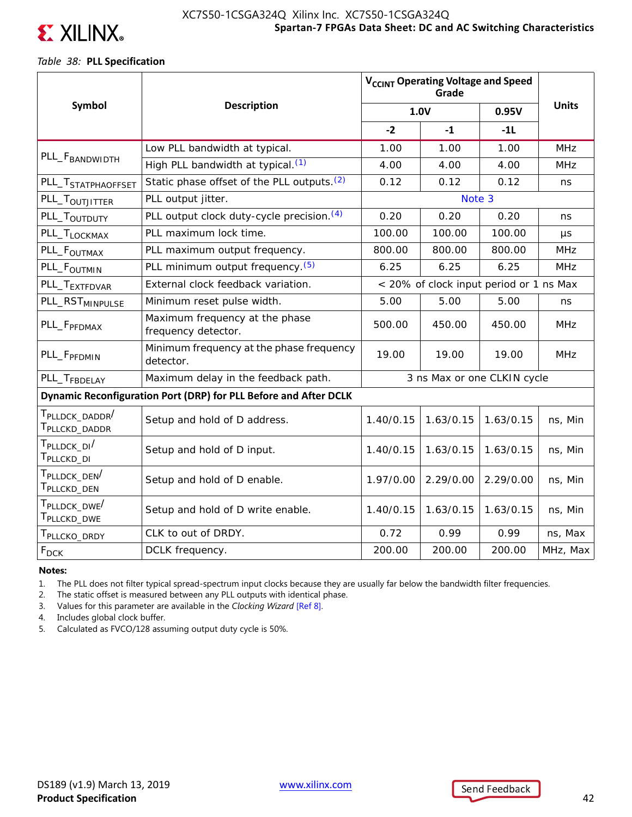

## *Table 38:* **PLL Specification**

|                                                                      |                                                                  | V <sub>CCINT</sub> Operating Voltage and Speed |           |                             |              |
|----------------------------------------------------------------------|------------------------------------------------------------------|------------------------------------------------|-----------|-----------------------------|--------------|
| Symbol                                                               | <b>Description</b>                                               |                                                | 1.0V      | 0.95V                       | <b>Units</b> |
|                                                                      |                                                                  | $-2$                                           | $-1$      | $-11$                       |              |
|                                                                      | Low PLL bandwidth at typical.                                    | 1.00                                           | 1.00      | 1.00                        | <b>MHz</b>   |
| PLL_F <sub>BANDWIDTH</sub>                                           | High PLL bandwidth at typical. (1)                               | 4.00                                           | 4.00      | 4.00                        | <b>MHz</b>   |
| PLL_T <sub>STATPHAOFFSET</sub>                                       | Static phase offset of the PLL outputs. <sup>(2)</sup>           | 0.12                                           | 0.12      | 0.12                        | ns           |
| PLL_T <sub>OUTJITTER</sub>                                           | PLL output jitter.                                               |                                                |           |                             |              |
| PLL_T <sub>OUTDUTY</sub>                                             | PLL output clock duty-cycle precision. (4)                       | 0.20                                           | 0.20      | 0.20                        | ns           |
| PLL_T <sub>LOCKMAX</sub>                                             | PLL maximum lock time.                                           | 100.00                                         | 100.00    | 100.00                      | μs           |
| PLL_F <sub>OUTMAX</sub>                                              | PLL maximum output frequency.                                    | 800.00                                         | 800.00    | 800.00                      | <b>MHz</b>   |
| PLL_F <sub>OUTMIN</sub>                                              | PLL minimum output frequency. (5)                                | 6.25                                           | 6.25      | 6.25                        | <b>MHz</b>   |
| PLL_T <sub>EXTFDVAR</sub>                                            | External clock feedback variation.                               | < 20% of clock input period or 1 ns Max        |           |                             |              |
| PLL_RST <sub>MINPULSE</sub>                                          | Minimum reset pulse width.                                       | 5.00                                           | 5.00      | 5.00                        | ns           |
| PLL_F <sub>PFDMAX</sub>                                              | Maximum frequency at the phase<br>frequency detector.            | 500.00                                         | 450.00    | 450.00                      | <b>MHz</b>   |
| PLL_F <sub>PFDMIN</sub>                                              | Minimum frequency at the phase frequency<br>detector.            | 19.00                                          | 19.00     | 19.00                       | <b>MHz</b>   |
| PLL_T <sub>FBDELAY</sub>                                             | Maximum delay in the feedback path.                              |                                                |           | 3 ns Max or one CLKIN cycle |              |
|                                                                      | Dynamic Reconfiguration Port (DRP) for PLL Before and After DCLK |                                                |           |                             |              |
| T <sub>PLLDCK</sub> DADDR <sup>/</sup><br>T <sub>PLLCKD</sub> _DADDR | Setup and hold of D address.                                     | 1.40/0.15                                      | 1.63/0.15 | 1.63/0.15                   | ns, Min      |
| T <sub>PLLDCK</sub> DI <sup>/</sup><br>T <sub>PLLCKD</sub> _DI       | Setup and hold of D input.                                       | 1.40/0.15                                      | 1.63/0.15 | 1.63/0.15                   | ns, Min      |
| T <sub>PLLDCK</sub> _DEN <sup>/</sup><br>T <sub>PLLCKD</sub> _DEN    | Setup and hold of D enable.                                      | 1.97/0.00                                      | 2.29/0.00 | 2.29/0.00                   | ns, Min      |
| T <sub>PLLDCK</sub> DWE <sup>/</sup><br>T <sub>PLLCKD</sub> _DWE     | Setup and hold of D write enable.                                | 1.40/0.15                                      | 1.63/0.15 | 1.63/0.15                   | ns, Min      |
| T <sub>PLLCKO</sub> _DRDY                                            | CLK to out of DRDY.                                              | 0.72                                           | 0.99      | 0.99                        | ns, Max      |
| $F_{DCK}$                                                            | DCLK frequency.                                                  | 200.00                                         | 200.00    | 200.00                      | MHz, Max     |

### **Notes:**

1. The PLL does not filter typical spread-spectrum input clocks because they are usually far below the bandwidth filter frequencies.

2. The static offset is measured between any PLL outputs with identical phase.

3. Values for this parameter are available in the *Clocking Wizard* [Ref 8].

4. Includes global clock buffer.

5. Calculated as FVCO/128 assuming output duty cycle is 50%.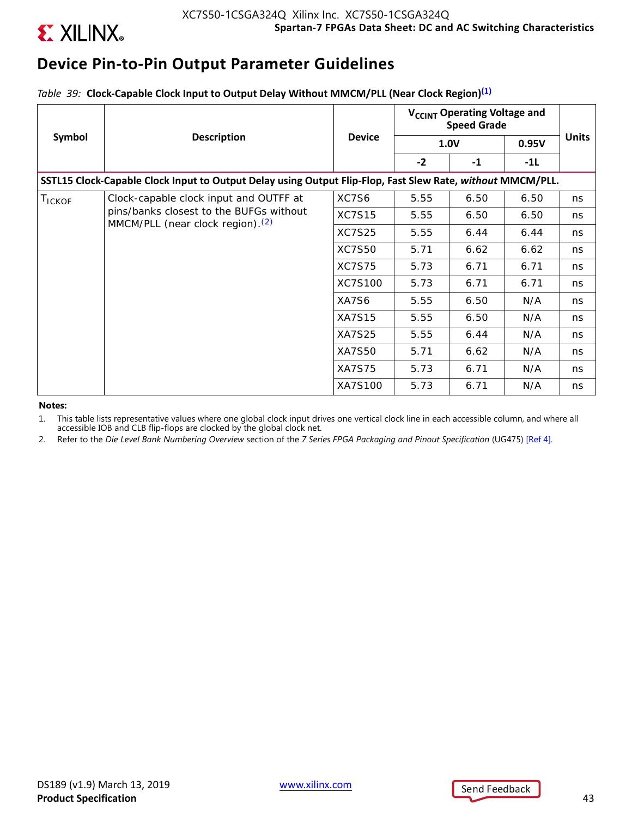

## **Device Pin-to-Pin Output Parameter Guidelines**

*Table 39:* **Clock-Capable Clock Input to Output Delay Without MMCM/PLL (Near Clock Region)(1)**

|        |                                                                                                            |               | V <sub>CCINT</sub> Operating Voltage and<br><b>Speed Grade</b> |             |       |              |
|--------|------------------------------------------------------------------------------------------------------------|---------------|----------------------------------------------------------------|-------------|-------|--------------|
| Symbol | <b>Description</b>                                                                                         | <b>Device</b> |                                                                | <b>1.0V</b> | 0.95V | <b>Units</b> |
|        |                                                                                                            |               | $-2$                                                           | $-1$        | -1L   |              |
|        | SSTL15 Clock-Capable Clock Input to Output Delay using Output Flip-Flop, Fast Slew Rate, without MMCM/PLL. |               |                                                                |             |       |              |
| TICKOF | Clock-capable clock input and OUTFF at                                                                     | XC7S6         | 5.55                                                           | 6.50        | 6.50  | ns           |
|        | pins/banks closest to the BUFGs without<br>MMCM/PLL (near clock region). <sup>(2)</sup>                    | <b>XC7S15</b> | 5.55                                                           | 6.50        | 6.50  | ns.          |
|        | <b>XC7S25</b>                                                                                              | 5.55          | 6.44                                                           | 6.44        | ns    |              |
|        | <b>XC7S50</b>                                                                                              | 5.71          | 6.62                                                           | 6.62        | ns    |              |
|        |                                                                                                            | <b>XC7S75</b> | 5.73                                                           | 6.71        | 6.71  | ns           |
|        |                                                                                                            | XC7S100       | 5.73                                                           | 6.71        | 6.71  | ns.          |
|        |                                                                                                            | XA7S6         | 5.55                                                           | 6.50        | N/A   | ns           |
|        |                                                                                                            | <b>XA7S15</b> | 5.55                                                           | 6.50        | N/A   | ns           |
|        |                                                                                                            | <b>XA7S25</b> | 5.55                                                           | 6.44        | N/A   | ns           |
|        |                                                                                                            | <b>XA7S50</b> | 5.71                                                           | 6.62        | N/A   | ns           |
|        |                                                                                                            | <b>XA7S75</b> | 5.73                                                           | 6.71        | N/A   | ns           |
|        |                                                                                                            | XA7S100       | 5.73                                                           | 6.71        | N/A   | ns           |

#### **Notes:**

1. This table lists representative values where one global clock input drives one vertical clock line in each accessible column, and where all accessible IOB and CLB flip-flops are clocked by the global clock net.

2. Refer to the *Die Level Bank Numbering Overview* section of the *7 Series FPGA Packaging and Pinout Specification* (UG475) [Ref 4].



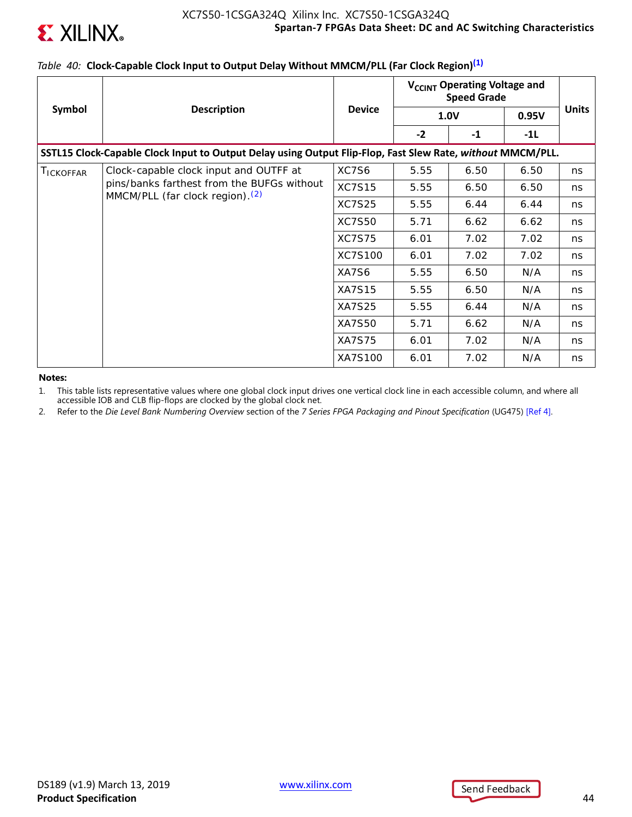

## *Table 40:* **Clock-Capable Clock Input to Output Delay Without MMCM/PLL (Far Clock Region)(1)**

|                   |                                                                                                            |               | V <sub>CCINT</sub> Operating Voltage and<br><b>Speed Grade</b> |             |       |              |
|-------------------|------------------------------------------------------------------------------------------------------------|---------------|----------------------------------------------------------------|-------------|-------|--------------|
| Symbol            | <b>Description</b>                                                                                         | <b>Device</b> |                                                                | <b>1.0V</b> | 0.95V | <b>Units</b> |
|                   |                                                                                                            |               | $-2$                                                           | $-1$        | -1L   |              |
|                   | SSTL15 Clock-Capable Clock Input to Output Delay using Output Flip-Flop, Fast Slew Rate, without MMCM/PLL. |               |                                                                |             |       |              |
| <b>I</b> ICKOFFAR | Clock-capable clock input and OUTFF at                                                                     | XC7S6         | 5.55                                                           | 6.50        | 6.50  | ns           |
|                   | pins/banks farthest from the BUFGs without<br>MMCM/PLL (far clock region). <sup>(2)</sup>                  | <b>XC7S15</b> | 5.55                                                           | 6.50        | 6.50  | ns           |
|                   |                                                                                                            | <b>XC7S25</b> | 5.55                                                           | 6.44        | 6.44  | ns           |
|                   |                                                                                                            | <b>XC7S50</b> | 5.71                                                           | 6.62        | 6.62  | ns           |
|                   |                                                                                                            | <b>XC7S75</b> | 6.01                                                           | 7.02        | 7.02  | ns           |
|                   |                                                                                                            | XC7S100       | 6.01                                                           | 7.02        | 7.02  | ns           |
|                   |                                                                                                            | XA7S6         | 5.55                                                           | 6.50        | N/A   | ns           |
|                   |                                                                                                            | <b>XA7S15</b> | 5.55                                                           | 6.50        | N/A   | ns           |
|                   |                                                                                                            | <b>XA7S25</b> | 5.55                                                           | 6.44        | N/A   | ns           |
|                   |                                                                                                            | <b>XA7S50</b> | 5.71                                                           | 6.62        | N/A   | ns           |
|                   |                                                                                                            | <b>XA7S75</b> | 6.01                                                           | 7.02        | N/A   | ns           |
|                   |                                                                                                            | XA7S100       | 6.01                                                           | 7.02        | N/A   | ns           |

**Notes:** 

1. This table lists representative values where one global clock input drives one vertical clock line in each accessible column, and where all accessible IOB and CLB flip-flops are clocked by the global clock net.

2. Refer to the *Die Level Bank Numbering Overview* section of the *7 Series FPGA Packaging and Pinout Specification* (UG475) [Ref 4].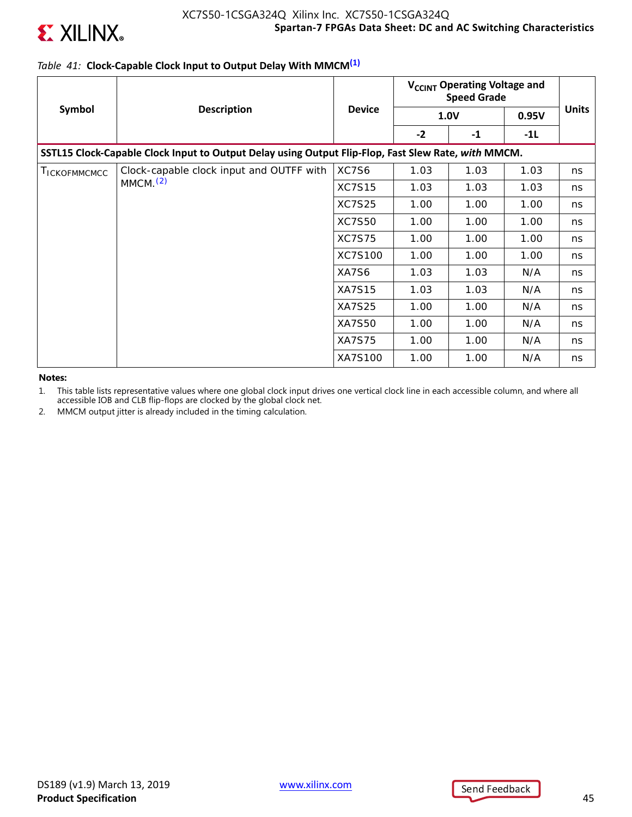

## *Table 41:* **Clock-Capable Clock Input to Output Delay With MMCM(1)**

|                      | <b>Description</b>                                                                                  |               | V <sub>CCINT</sub> Operating Voltage and<br><b>Speed Grade</b> |             |       |              |
|----------------------|-----------------------------------------------------------------------------------------------------|---------------|----------------------------------------------------------------|-------------|-------|--------------|
| Symbol               |                                                                                                     | <b>Device</b> |                                                                | <b>1.0V</b> | 0.95V | <b>Units</b> |
|                      |                                                                                                     |               | $-2$                                                           | $-1$        | -1L   |              |
|                      | SSTL15 Clock-Capable Clock Input to Output Delay using Output Flip-Flop, Fast Slew Rate, with MMCM. |               |                                                                |             |       |              |
| <b>I</b> ICKOFMMCMCC | Clock-capable clock input and OUTFF with                                                            | XC7S6         | 1.03                                                           | 1.03        | 1.03  | ns           |
|                      | MMCM <sub>1</sub> (2)                                                                               | <b>XC7S15</b> | 1.03                                                           | 1.03        | 1.03  | ns           |
|                      |                                                                                                     | <b>XC7S25</b> | 1.00                                                           | 1.00        | 1.00  | ns           |
|                      |                                                                                                     | <b>XC7S50</b> | 1.00                                                           | 1.00        | 1.00  | ns           |
|                      |                                                                                                     | <b>XC7S75</b> | 1.00                                                           | 1.00        | 1.00  | ns           |
|                      |                                                                                                     | XC7S100       | 1.00                                                           | 1.00        | 1.00  | ns           |
|                      |                                                                                                     | XA7S6         | 1.03                                                           | 1.03        | N/A   | ns           |
|                      |                                                                                                     | <b>XA7S15</b> | 1.03                                                           | 1.03        | N/A   | ns           |
|                      |                                                                                                     | <b>XA7S25</b> | 1.00                                                           | 1.00        | N/A   | ns           |
|                      |                                                                                                     | <b>XA7S50</b> | 1.00                                                           | 1.00        | N/A   | ns           |
|                      |                                                                                                     | <b>XA7S75</b> | 1.00                                                           | 1.00        | N/A   | ns           |
|                      |                                                                                                     | XA7S100       | 1.00                                                           | 1.00        | N/A   | ns           |

**Notes:** 

1. This table lists representative values where one global clock input drives one vertical clock line in each accessible column, and where all accessible IOB and CLB flip-flops are clocked by the global clock net.

2. MMCM output jitter is already included in the timing calculation.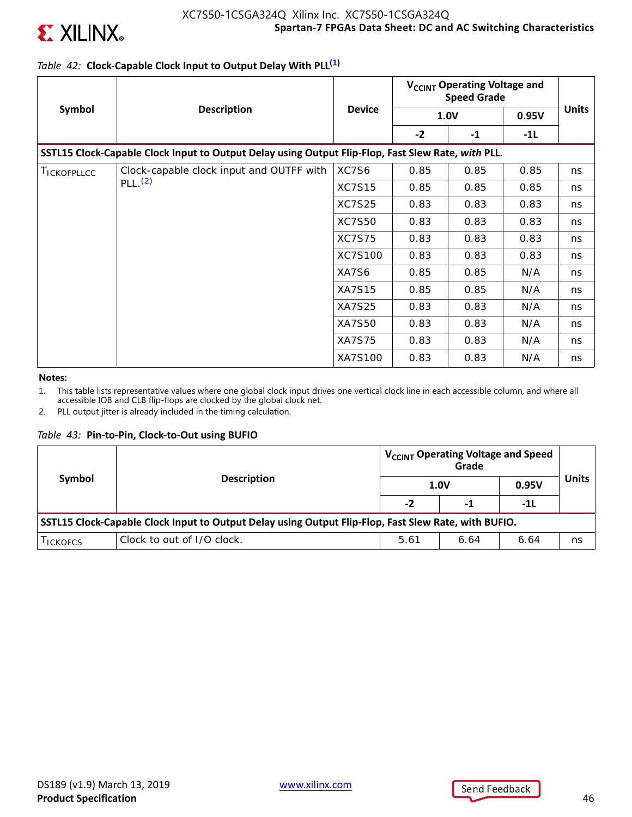

## *Table 42:* **Clock-Capable Clock Input to Output Delay With PLL(1)**

|                    |                                                                                                    |               | V <sub>CCINT</sub> Operating Voltage and<br><b>Speed Grade</b> |             |       |              |
|--------------------|----------------------------------------------------------------------------------------------------|---------------|----------------------------------------------------------------|-------------|-------|--------------|
| Symbol             | <b>Description</b>                                                                                 | <b>Device</b> |                                                                | <b>1.0V</b> | 0.95V | <b>Units</b> |
|                    |                                                                                                    |               | $-2$                                                           | $-1$        | -1L   |              |
|                    | SSTL15 Clock-Capable Clock Input to Output Delay using Output Flip-Flop, Fast Slew Rate, with PLL. |               |                                                                |             |       |              |
| <b>TICKOFPLLCC</b> | Clock-capable clock input and OUTFF with                                                           | XC7S6         | 0.85                                                           | 0.85        | 0.85  | ns           |
|                    | PLL.(2)                                                                                            | <b>XC7S15</b> | 0.85                                                           | 0.85        | 0.85  | ns           |
|                    |                                                                                                    | <b>XC7S25</b> | 0.83                                                           | 0.83        | 0.83  | ns           |
|                    |                                                                                                    | <b>XC7S50</b> | 0.83                                                           | 0.83        | 0.83  | ns           |
|                    |                                                                                                    | <b>XC7S75</b> | 0.83                                                           | 0.83        | 0.83  | ns           |
|                    |                                                                                                    | XC7S100       | 0.83                                                           | 0.83        | 0.83  | ns           |
|                    |                                                                                                    | XA7S6         | 0.85                                                           | 0.85        | N/A   | ns           |
|                    |                                                                                                    | <b>XA7S15</b> | 0.85                                                           | 0.85        | N/A   | ns           |
|                    |                                                                                                    | <b>XA7S25</b> | 0.83                                                           | 0.83        | N/A   | ns           |
|                    |                                                                                                    | <b>XA7S50</b> | 0.83                                                           | 0.83        | N/A   | ns           |
|                    |                                                                                                    | <b>XA7S75</b> | 0.83                                                           | 0.83        | N/A   | ns           |
|                    |                                                                                                    | XA7S100       | 0.83                                                           | 0.83        | N/A   | ns           |

#### **Notes:**

1. This table lists representative values where one global clock input drives one vertical clock line in each accessible column, and where all accessible IOB and CLB flip-flops are clocked by the global clock net.

2. PLL output jitter is already included in the timing calculation.

### *Table 43:* **Pin-to-Pin, Clock-to-Out using BUFIO**

| Symbol                                                                                               | <b>Description</b>         | V <sub>CCINT</sub> Operating Voltage and Speed<br>Grade<br>0.95V<br><b>1.0V</b> |      |      |    |  |
|------------------------------------------------------------------------------------------------------|----------------------------|---------------------------------------------------------------------------------|------|------|----|--|
|                                                                                                      |                            | $-2$                                                                            | -1   | -11  |    |  |
| SSTL15 Clock-Capable Clock Input to Output Delay using Output Flip-Flop, Fast Slew Rate, with BUFIO. |                            |                                                                                 |      |      |    |  |
| <b>ICKOFCS</b>                                                                                       | Clock to out of I/O clock. | 5.61                                                                            | 6.64 | 6.64 | ns |  |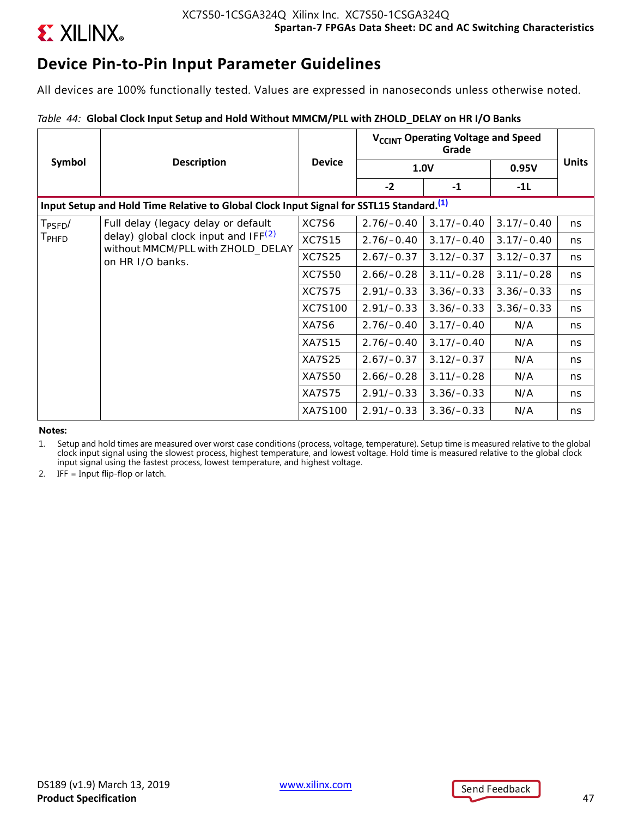

## **Device Pin-to-Pin Input Parameter Guidelines**

All devices are 100% functionally tested. Values are expressed in nanoseconds unless otherwise noted.

### *Table 44:* **Global Clock Input Setup and Hold Without MMCM/PLL with ZHOLD\_DELAY on HR I/O Banks**

|                                                                                                     |                                                                                                |               | V <sub>CCINT</sub> Operating Voltage and Speed<br>Grade |              |              |              |  |  |
|-----------------------------------------------------------------------------------------------------|------------------------------------------------------------------------------------------------|---------------|---------------------------------------------------------|--------------|--------------|--------------|--|--|
| Symbol                                                                                              | <b>Description</b>                                                                             | <b>Device</b> | <b>1.0V</b>                                             |              | 0.95V        | <b>Units</b> |  |  |
|                                                                                                     |                                                                                                |               | $-2$                                                    | $-1$         | $-11$        |              |  |  |
| Input Setup and Hold Time Relative to Global Clock Input Signal for SSTL15 Standard. <sup>(1)</sup> |                                                                                                |               |                                                         |              |              |              |  |  |
| $T_{\text{PSFD}}/$                                                                                  | Full delay (legacy delay or default                                                            | XC7S6         | $2.76/-0.40$                                            | $3.17/-0.40$ | $3.17/-0.40$ | ns.          |  |  |
| T <sub>PHFD</sub>                                                                                   | delay) global clock input and $IF(2)$<br>without MMCM/PLL with ZHOLD_DELAY<br>on HR I/O banks. | <b>XC7S15</b> | $2.76/-0.40$                                            | $3.17/-0.40$ | $3.17/-0.40$ | ns.          |  |  |
|                                                                                                     |                                                                                                | <b>XC7S25</b> | $2.67/-0.37$                                            | $3.12/-0.37$ | $3.12/-0.37$ | ns.          |  |  |
|                                                                                                     |                                                                                                | XC7S50        | $2.66/-0.28$                                            | $3.11/-0.28$ | $3.11/-0.28$ | ns.          |  |  |
|                                                                                                     |                                                                                                | <b>XC7S75</b> | $2.91/-0.33$                                            | $3.36/-0.33$ | $3.36/-0.33$ | ns.          |  |  |
|                                                                                                     |                                                                                                | XC7S100       | $2.91/-0.33$                                            | $3.36/-0.33$ | $3.36/-0.33$ | ns.          |  |  |
|                                                                                                     |                                                                                                | XA7S6         | $2.76/-0.40$                                            | $3.17/-0.40$ | N/A          | ns           |  |  |
|                                                                                                     |                                                                                                | <b>XA7S15</b> | $2.76/-0.40$                                            | $3.17/-0.40$ | N/A          | ns.          |  |  |
|                                                                                                     |                                                                                                | <b>XA7S25</b> | $2.67/-0.37$                                            | $3.12/-0.37$ | N/A          | ns           |  |  |
|                                                                                                     |                                                                                                | XA7S50        | $2.66/-0.28$                                            | $3.11/-0.28$ | N/A          | ns.          |  |  |
|                                                                                                     |                                                                                                | <b>XA7S75</b> | $2.91/-0.33$                                            | $3.36/-0.33$ | N/A          | ns.          |  |  |
|                                                                                                     |                                                                                                | XA7S100       | $2.91/-0.33$                                            | $3.36/-0.33$ | N/A          | ns           |  |  |

**Notes:** 

1. Setup and hold times are measured over worst case conditions (process, voltage, temperature). Setup time is measured relative to the global clock input signal using the slowest process, highest temperature, and lowest voltage. Hold time is measured relative to the global clock input signal using the fastest process, lowest temperature, and highest voltage.

2. IFF = Input flip-flop or latch.



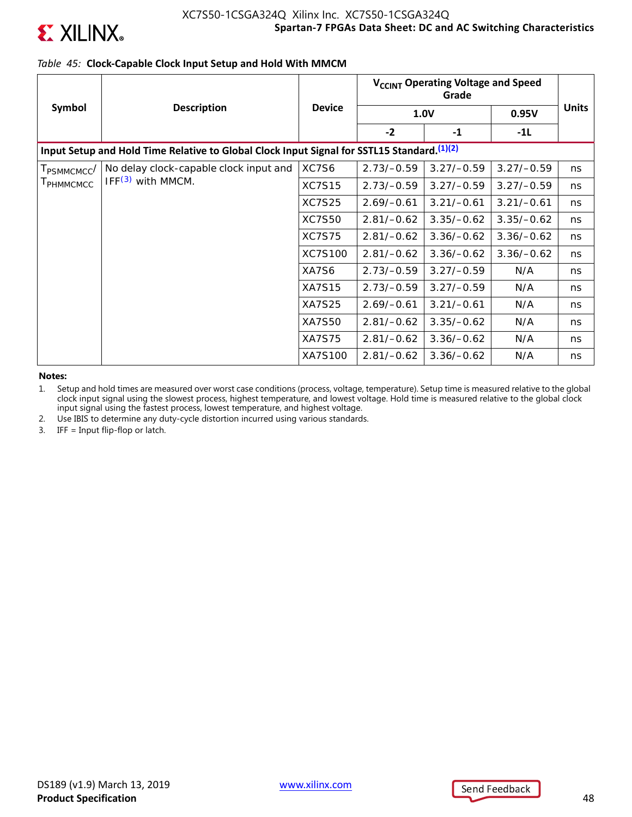

### *Table 45:* **Clock-Capable Clock Input Setup and Hold With MMCM**

|                                                                                             |                                        |               | V <sub>CCINT</sub> Operating Voltage and Speed |              |              |              |  |  |
|---------------------------------------------------------------------------------------------|----------------------------------------|---------------|------------------------------------------------|--------------|--------------|--------------|--|--|
| Symbol                                                                                      | <b>Description</b>                     | <b>Device</b> | 1.0V                                           |              | 0.95V        | <b>Units</b> |  |  |
|                                                                                             |                                        |               | $-2$                                           | $-1$         | $-1L$        |              |  |  |
| Input Setup and Hold Time Relative to Global Clock Input Signal for SSTL15 Standard. (1)(2) |                                        |               |                                                |              |              |              |  |  |
| T <sub>PSMMCMCC</sub> /                                                                     | No delay clock-capable clock input and | XC7S6         | $2.73/-0.59$                                   | $3.27/-0.59$ | $3.27/-0.59$ | ns           |  |  |
| <b>I</b> PHMMCMCC                                                                           | $IFF(3)$ with MMCM.                    | <b>XC7S15</b> | $2.73/-0.59$                                   | $3.27/-0.59$ | $3.27/-0.59$ | ns           |  |  |
|                                                                                             |                                        | <b>XC7S25</b> | $2.69/-0.61$                                   | $3.21/-0.61$ | $3.21/-0.61$ | ns           |  |  |
|                                                                                             |                                        | XC7S50        | $2.81/-0.62$                                   | $3.35/-0.62$ | $3.35/-0.62$ | ns           |  |  |
|                                                                                             |                                        | <b>XC7S75</b> | $2.81/-0.62$                                   | $3.36/-0.62$ | $3.36/-0.62$ | ns           |  |  |
|                                                                                             |                                        | XC7S100       | $2.81/-0.62$                                   | $3.36/-0.62$ | $3.36/-0.62$ | ns           |  |  |
|                                                                                             |                                        | XA7S6         | $2.73/-0.59$                                   | $3.27/-0.59$ | N/A          | ns           |  |  |
|                                                                                             |                                        | <b>XA7S15</b> | $2.73/-0.59$                                   | $3.27/-0.59$ | N/A          | ns           |  |  |
|                                                                                             |                                        | <b>XA7S25</b> | $2.69/-0.61$                                   | $3.21/-0.61$ | N/A          | ns           |  |  |
|                                                                                             |                                        | <b>XA7S50</b> | $2.81/-0.62$                                   | $3.35/-0.62$ | N/A          | ns           |  |  |
|                                                                                             |                                        | <b>XA7S75</b> | $2.81/-0.62$                                   | $3.36/-0.62$ | N/A          | ns           |  |  |
|                                                                                             |                                        | XA7S100       | $2.81/-0.62$                                   | $3.36/-0.62$ | N/A          | ns           |  |  |

**Notes:** 

1. Setup and hold times are measured over worst case conditions (process, voltage, temperature). Setup time is measured relative to the global clock input signal using the slowest process, highest temperature, and lowest voltage. Hold time is measured relative to the global clock input signal using the fastest process, lowest temperature, and highest voltage.

2. Use IBIS to determine any duty-cycle distortion incurred using various standards.

3. IFF = Input flip-flop or latch.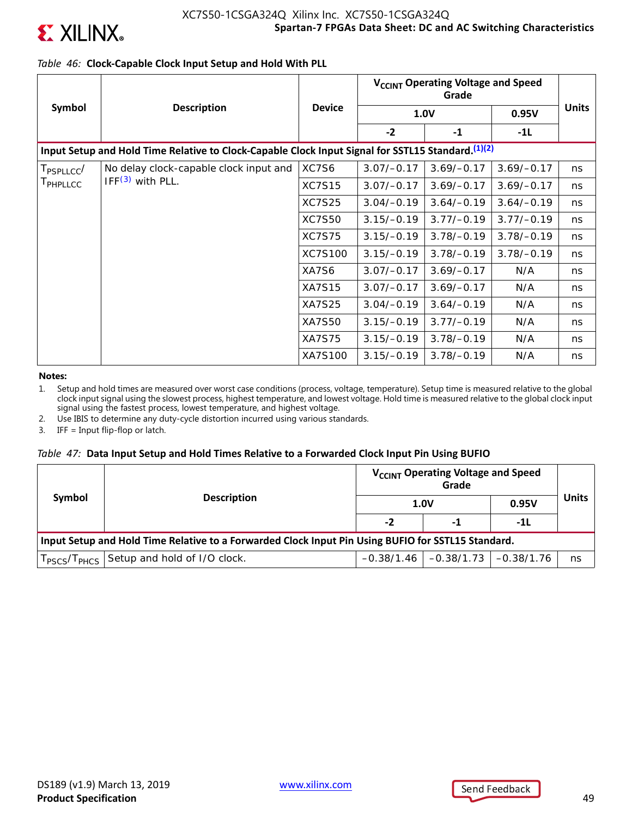

## *Table 46:* **Clock-Capable Clock Input Setup and Hold With PLL**

|                      |                                                                                                    |               | V <sub>CCINT</sub> Operating Voltage and Speed |              |              |              |
|----------------------|----------------------------------------------------------------------------------------------------|---------------|------------------------------------------------|--------------|--------------|--------------|
| Symbol               | <b>Description</b>                                                                                 | <b>Device</b> |                                                | <b>1.0V</b>  | 0.95V        | <b>Units</b> |
|                      |                                                                                                    |               | $-2$                                           | $-1$         | $-11$        |              |
|                      | Input Setup and Hold Time Relative to Clock-Capable Clock Input Signal for SSTL15 Standard. (1)(2) |               |                                                |              |              |              |
| $T_{\sf PSPLLCC} /$  | No delay clock-capable clock input and                                                             | XC7S6         | $3.07/-0.17$                                   | $3.69/-0.17$ | $3.69/-0.17$ | ns           |
| T <sub>PHPLLCC</sub> | $IFF(3)$ with PLL.                                                                                 | <b>XC7S15</b> | $3.07/-0.17$                                   | $3.69/-0.17$ | $3.69/-0.17$ | ns           |
|                      |                                                                                                    | <b>XC7S25</b> | $3.04/-0.19$                                   | $3.64/-0.19$ | $3.64/-0.19$ | ns           |
|                      |                                                                                                    | <b>XC7S50</b> | $3.15/-0.19$                                   | $3.77/-0.19$ | $3.77/-0.19$ | ns           |
|                      |                                                                                                    | <b>XC7S75</b> | $3.15/-0.19$                                   | $3.78/-0.19$ | $3.78/-0.19$ | ns           |
|                      |                                                                                                    | XC7S100       | $3.15/-0.19$                                   | $3.78/-0.19$ | $3.78/-0.19$ | ns           |
|                      |                                                                                                    | XA7S6         | $3.07/-0.17$                                   | $3.69/-0.17$ | N/A          | ns           |
|                      |                                                                                                    | <b>XA7S15</b> | $3.07/-0.17$                                   | $3.69/-0.17$ | N/A          | ns           |
|                      |                                                                                                    | XA7S25        | $3.04/-0.19$                                   | $3.64/-0.19$ | N/A          | ns           |
|                      |                                                                                                    | XA7S50        | $3.15/-0.19$                                   | $3.77/-0.19$ | N/A          | ns           |
|                      |                                                                                                    | <b>XA7S75</b> | $3.15/-0.19$                                   | $3.78/-0.19$ | N/A          | ns           |
|                      |                                                                                                    | XA7S100       | $3.15/-0.19$                                   | $3.78/-0.19$ | N/A          | ns           |

**Notes:** 

1. Setup and hold times are measured over worst case conditions (process, voltage, temperature). Setup time is measured relative to the global clock input signal using the slowest process, highest temperature, and lowest voltage. Hold time is measured relative to the global clock input signal using the fastest process, lowest temperature, and highest voltage.

2. Use IBIS to determine any duty-cycle distortion incurred using various standards.

3. IFF = Input flip-flop or latch.

### *Table 47:* **Data Input Setup and Hold Times Relative to a Forwarded Clock Input Pin Using BUFIO**

| Symbol                                                                                             |                                                                   |      | V <sub>CCINT</sub> Operating Voltage and Speed | <b>Units</b> |    |       |  |
|----------------------------------------------------------------------------------------------------|-------------------------------------------------------------------|------|------------------------------------------------|--------------|----|-------|--|
|                                                                                                    | <b>Description</b>                                                | 1.0V |                                                |              |    | 0.95V |  |
|                                                                                                    |                                                                   | -2   | -1                                             | -1L          |    |       |  |
| Input Setup and Hold Time Relative to a Forwarded Clock Input Pin Using BUFIO for SSTL15 Standard. |                                                                   |      |                                                |              |    |       |  |
|                                                                                                    | T <sub>PSCS</sub> /T <sub>PHCS</sub> Setup and hold of I/O clock. |      | $-0.38/1.46$ $-0.38/1.73$ $-0.38/1.76$         |              | ns |       |  |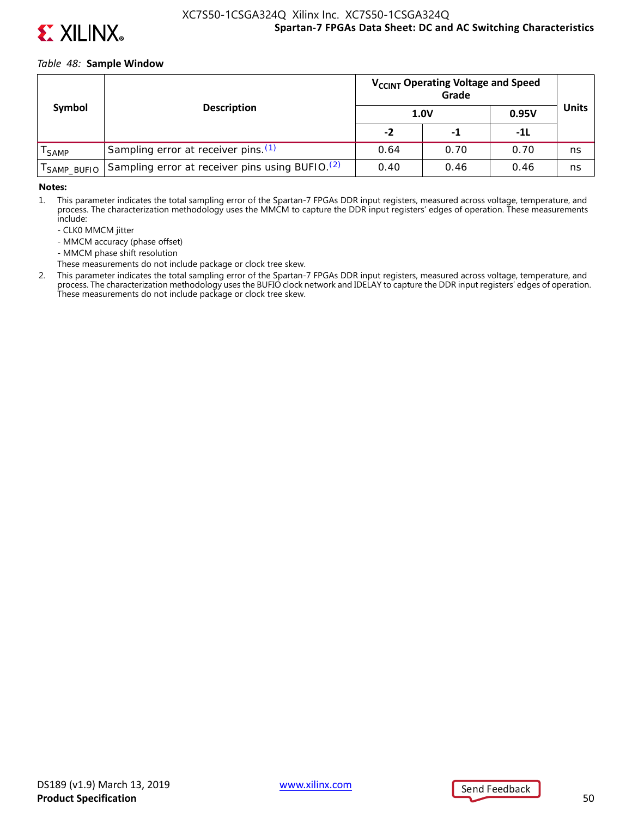

### *Table 48:* **Sample Window**

|                              |                                                             | V <sub>CCINT</sub> Operating Voltage and Speed |      |       |              |
|------------------------------|-------------------------------------------------------------|------------------------------------------------|------|-------|--------------|
| Symbol<br><b>Description</b> |                                                             |                                                | 1.0V | 0.95V | <b>Units</b> |
|                              |                                                             | -2                                             | -1   | -11   |              |
| <sup>I</sup> SAMP            | Sampling error at receiver pins. (1)                        | 0.64                                           | 0.70 | 0.70  | ns           |
| SAMP_BUFIO                   | Sampling error at receiver pins using BUFIO. <sup>(2)</sup> | 0.40                                           | 0.46 | 0.46  | ns           |

#### **Notes:**

1. This parameter indicates the total sampling error of the Spartan-7 FPGAs DDR input registers, measured across voltage, temperature, and process. The characterization methodology uses the MMCM to capture the DDR input registers' edges of operation. These measurements include:

- CLK0 MMCM jitter
- MMCM accuracy (phase offset)
- MMCM phase shift resolution
- These measurements do not include package or clock tree skew.
- 2. This parameter indicates the total sampling error of the Spartan-7 FPGAs DDR input registers, measured across voltage, temperature, and process. The characterization methodology uses the BUFIO clock network and IDELAY to capture the DDR input registers' edges of operation. These measurements do not include package or clock tree skew.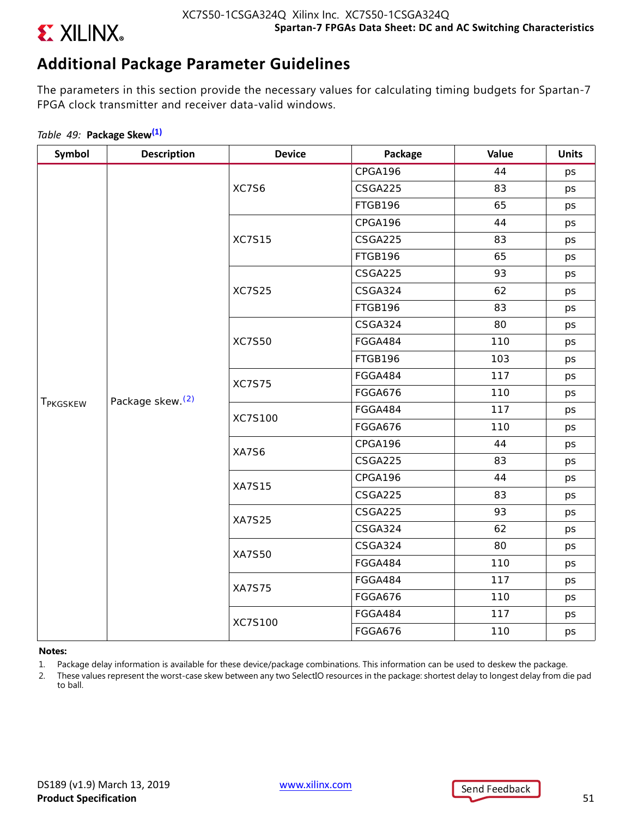

## **Additional Package Parameter Guidelines**

The parameters in this section provide the necessary values for calculating timing budgets for Spartan-7 FPGA clock transmitter and receiver data-valid windows.

### *Table 49:* **Package Skew(1)**

| Symbol               | <b>Description</b>           | <b>Device</b> | Package        | Value | <b>Units</b> |
|----------------------|------------------------------|---------------|----------------|-------|--------------|
|                      |                              |               | CPGA196        | 44    | ps           |
|                      |                              | XC7S6         | CSGA225        | 83    | ps           |
|                      |                              |               | FTGB196        | 65    | ps           |
|                      |                              |               | CPGA196        | 44    | ps           |
|                      |                              | <b>XC7S15</b> | CSGA225        | 83    | ps           |
|                      |                              |               | FTGB196        | 65    | ps           |
|                      |                              |               | CSGA225        | 93    | ps           |
|                      |                              | <b>XC7S25</b> | CSGA324        | 62    | ps           |
|                      |                              |               | FTGB196        | 83    | ps           |
|                      |                              |               | CSGA324        | 80    | ps           |
|                      | Package skew. <sup>(2)</sup> | <b>XC7S50</b> | FGGA484        | 110   | ps           |
|                      |                              |               | FTGB196        | 103   | ps           |
|                      |                              | <b>XC7S75</b> | FGGA484        | 117   | ps           |
|                      |                              |               | FGGA676        | 110   | ps           |
| T <sub>PKGSKEW</sub> |                              | XC7S100       | FGGA484        | 117   | ps           |
|                      |                              |               | <b>FGGA676</b> | 110   | ps           |
|                      |                              | XA7S6         | CPGA196        | 44    | ps           |
|                      |                              |               | CSGA225        | 83    | ps           |
|                      |                              | <b>XA7S15</b> | CPGA196        | 44    | ps           |
|                      |                              |               | CSGA225        | 83    | ps           |
|                      |                              | <b>XA7S25</b> | CSGA225        | 93    | ps           |
|                      |                              |               | CSGA324        | 62    | ps           |
|                      |                              | <b>XA7S50</b> | CSGA324        | 80    | ps           |
|                      |                              |               | FGGA484        | 110   | ps           |
|                      |                              | <b>XA7S75</b> | FGGA484        | 117   | ps           |
|                      |                              |               | FGGA676        | 110   | ps           |
|                      |                              | XC7S100       | FGGA484        | 117   | ps           |
|                      |                              |               | <b>FGGA676</b> | 110   | ps           |

### **Notes:**

- 1. Package delay information is available for these device/package combinations. This information can be used to deskew the package.
- 2. These values represent the worst-case skew between any two SelectIO resources in the package: shortest delay to longest delay from die pad to ball.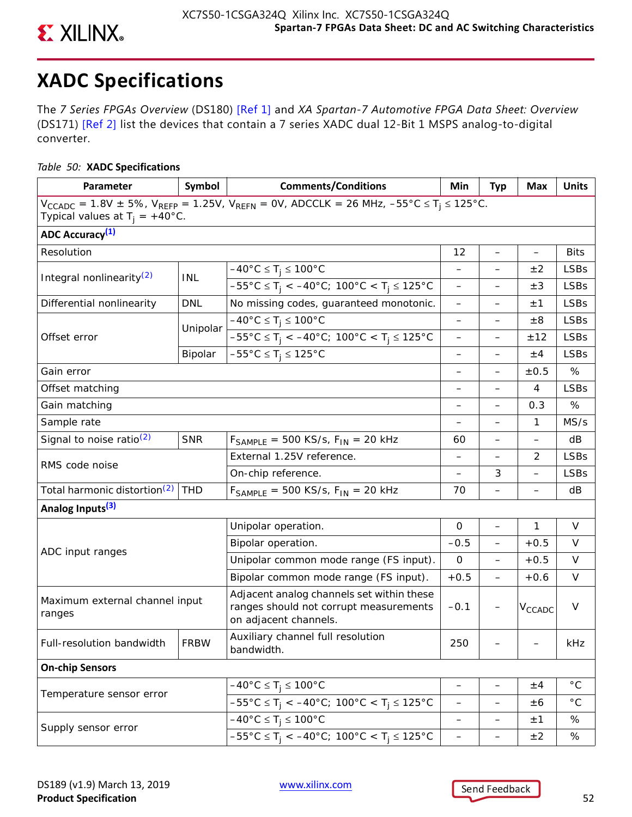

# **XADC Specifications**

The *7 Series FPGAs Overview* (DS180) [Ref 1] and *XA Spartan-7 Automotive FPGA Data Sheet: Overview* (DS171) [Ref 2] list the devices that contain a 7 series XADC dual 12-Bit 1 MSPS analog-to-digital converter.

## *Table 50:* **XADC Specifications**

| Parameter                                                                                                                                                                  | Symbol      | <b>Comments/Conditions</b>                                                                                                 | Min                      | <b>Typ</b>               | Max                | <b>Units</b> |  |  |
|----------------------------------------------------------------------------------------------------------------------------------------------------------------------------|-------------|----------------------------------------------------------------------------------------------------------------------------|--------------------------|--------------------------|--------------------|--------------|--|--|
| $V_{CCADC} = 1.8V \pm 5\%$ , $V_{REFP} = 1.25V$ , $V_{REFN} = 0V$ , ADCCLK = 26 MHz, $-55^{\circ}C \le T_i \le 125^{\circ}C$ .<br>Typical values at $T_i = +40^{\circ}C$ . |             |                                                                                                                            |                          |                          |                    |              |  |  |
| ADC Accuracy <sup>(1)</sup>                                                                                                                                                |             |                                                                                                                            |                          |                          |                    |              |  |  |
| Resolution                                                                                                                                                                 |             |                                                                                                                            | 12                       | $\overline{\phantom{0}}$ | $\qquad \qquad -$  | <b>Bits</b>  |  |  |
|                                                                                                                                                                            | <b>INL</b>  | $-40^{\circ}$ C $\leq T_i \leq 100^{\circ}$ C                                                                              | $\overline{\phantom{0}}$ | —                        | ±2                 | <b>LSBs</b>  |  |  |
| Integral nonlinearity <sup>(2)</sup>                                                                                                                                       |             | $-55^{\circ}$ C $\leq T_i < -40^{\circ}$ C; 100°C $\lt T_i \leq 125^{\circ}$ C                                             | —                        |                          | $\pm 3$            | <b>LSBs</b>  |  |  |
| Differential nonlinearity                                                                                                                                                  | <b>DNL</b>  | No missing codes, guaranteed monotonic.                                                                                    | —                        |                          | ±1                 | <b>LSBs</b>  |  |  |
|                                                                                                                                                                            |             | $-40^{\circ}$ C $\leq$ T <sub>i</sub> $\leq$ 100°C                                                                         | $\qquad \qquad -$        | $\overline{\phantom{0}}$ | $\pm 8$            | <b>LSBs</b>  |  |  |
| Offset error                                                                                                                                                               | Unipolar    | $-55^{\circ}$ C $\leq$ T <sub>i</sub> < $-40^{\circ}$ C; 100°C < T <sub>i</sub> $\leq$ 125°C                               | $\overline{\phantom{0}}$ | $\overline{\phantom{0}}$ | ±12                | <b>LSBs</b>  |  |  |
|                                                                                                                                                                            | Bipolar     | $-55^{\circ}$ C $\leq$ T <sub>i</sub> $\leq$ 125°C                                                                         | -                        | —                        | ±4                 | <b>LSBs</b>  |  |  |
| Gain error                                                                                                                                                                 |             |                                                                                                                            |                          |                          | $\pm 0.5$          | %            |  |  |
| Offset matching                                                                                                                                                            |             |                                                                                                                            | —                        | $\overline{\phantom{0}}$ | 4                  | <b>LSBs</b>  |  |  |
| Gain matching                                                                                                                                                              |             |                                                                                                                            |                          | $\overline{\phantom{0}}$ | 0.3                | %            |  |  |
| Sample rate                                                                                                                                                                |             |                                                                                                                            |                          |                          | 1                  | MS/s         |  |  |
| Signal to noise ratio $(2)$                                                                                                                                                | <b>SNR</b>  | $F_{SAMPI F}$ = 500 KS/s, $F_{IN}$ = 20 kHz                                                                                | 60                       |                          |                    | dB           |  |  |
|                                                                                                                                                                            |             | External 1.25V reference.                                                                                                  | —                        | $\overline{\phantom{0}}$ | 2                  | <b>LSBs</b>  |  |  |
| RMS code noise                                                                                                                                                             |             | On-chip reference.                                                                                                         | $\overline{\phantom{0}}$ | 3                        |                    | <b>LSBs</b>  |  |  |
| Total harmonic distortion <sup>(2)</sup>                                                                                                                                   | <b>THD</b>  | $F_{SAMPLE}$ = 500 KS/s, $F_{IN}$ = 20 kHz                                                                                 |                          | $\overline{\phantom{0}}$ |                    | dB           |  |  |
| Analog Inputs <sup>(3)</sup>                                                                                                                                               |             |                                                                                                                            |                          |                          |                    |              |  |  |
|                                                                                                                                                                            |             | Unipolar operation.                                                                                                        | $\mathbf 0$              | $\overline{\phantom{0}}$ | 1                  | $\vee$       |  |  |
|                                                                                                                                                                            |             | Bipolar operation.                                                                                                         | $-0.5$                   | $\overline{\phantom{0}}$ | $+0.5$             | V            |  |  |
| ADC input ranges                                                                                                                                                           |             | Unipolar common mode range (FS input).                                                                                     | 0                        | $\overline{\phantom{0}}$ | $+0.5$             | V            |  |  |
|                                                                                                                                                                            |             | Bipolar common mode range (FS input).                                                                                      | $+0.5$                   | $\overline{\phantom{0}}$ | $+0.6$             | $\vee$       |  |  |
| Maximum external channel input<br>ranges                                                                                                                                   |             | Adjacent analog channels set within these<br>ranges should not corrupt measurements<br>on adjacent channels.               | $-0.1$                   |                          | V <sub>CCADC</sub> | $\vee$       |  |  |
| Full-resolution bandwidth                                                                                                                                                  | <b>FRBW</b> | Auxiliary channel full resolution<br>bandwidth.                                                                            | 250                      |                          |                    | kHz          |  |  |
| <b>On-chip Sensors</b>                                                                                                                                                     |             |                                                                                                                            |                          |                          |                    |              |  |  |
|                                                                                                                                                                            |             | $-40^{\circ}$ C ≤ T <sub>j</sub> ≤ 100°C                                                                                   | —                        | -                        | ±4                 | $^{\circ}$ C |  |  |
| Temperature sensor error                                                                                                                                                   |             | $-55^{\circ}$ C $\leq$ T <sub>i</sub> $\lt$ $-40^{\circ}$ C; 100 $^{\circ}$ C $\lt$ T <sub>i</sub> $\leq$ 125 $^{\circ}$ C | $\qquad \qquad -$        | —                        | ±6                 | $^{\circ}$ C |  |  |
|                                                                                                                                                                            |             | $-40^{\circ}$ C $\leq T_i \leq 100^{\circ}$ C                                                                              | -                        | -                        | ±1                 | $\%$         |  |  |
| Supply sensor error                                                                                                                                                        |             | $-55^{\circ}$ C $\leq$ T <sub>j</sub> < $-40^{\circ}$ C; 100°C < T <sub>j</sub> $\leq$ 125°C                               | —                        | -                        | ±2                 | %            |  |  |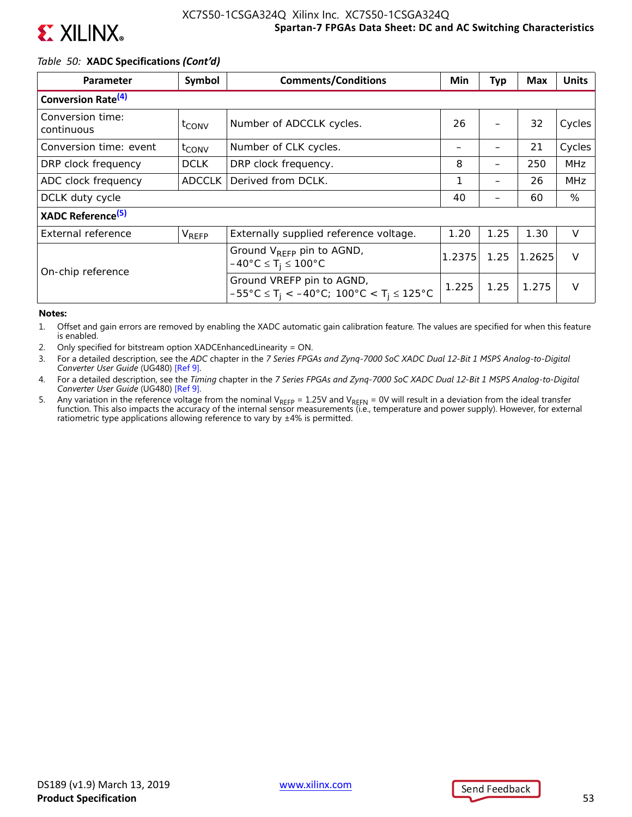

## *Table 50:* **XADC Specifications** *(Cont'd)*

| <b>Parameter</b>               | Symbol              | <b>Comments/Conditions</b>                                                                                                |        | Typ  | <b>Max</b> | <b>Units</b> |
|--------------------------------|---------------------|---------------------------------------------------------------------------------------------------------------------------|--------|------|------------|--------------|
| Conversion Rate <sup>(4)</sup> |                     |                                                                                                                           |        |      |            |              |
| Conversion time:<br>continuous | $t_{\mathsf{CONV}}$ | Number of ADCCLK cycles.                                                                                                  | 26     |      | 32         | Cycles       |
| Conversion time: event         | $t_{\text{CONV}}$   | Number of CLK cycles.                                                                                                     |        |      | 21         | Cycles       |
| DRP clock frequency            | <b>DCLK</b>         | DRP clock frequency.                                                                                                      | 8      | —    | 250        | <b>MHz</b>   |
| ADC clock frequency            | <b>ADCCLK</b>       | Derived from DCLK.                                                                                                        | 1      |      | 26         | <b>MHz</b>   |
| DCLK duty cycle                |                     |                                                                                                                           | 40     |      | 60         | %            |
| XADC Reference <sup>(5)</sup>  |                     |                                                                                                                           |        |      |            |              |
| External reference             | VREFP               | Externally supplied reference voltage.                                                                                    | 1.20   | 1.25 | 1.30       | V            |
| On-chip reference              |                     | Ground V <sub>REFP</sub> pin to AGND,<br>$-40^{\circ}$ C $\leq$ T <sub>i</sub> $\leq$ 100°C                               | 1.2375 | 1.25 | 1.2625     | $\vee$       |
|                                |                     | Ground VREFP pin to AGND,<br>$-55^{\circ}$ C $\leq$ T <sub>i</sub> < $-40^{\circ}$ C; 100°C < T <sub>i</sub> $\leq$ 125°C | 1.225  | 1.25 | 1.275      | $\vee$       |

### **Notes:**

1. Offset and gain errors are removed by enabling the XADC automatic gain calibration feature. The values are specified for when this feature is enabled.

- 2. Only specified for bitstream option XADCEnhancedLinearity = ON.
- 3. For a detailed description, see the *ADC* chapter in the *7 Series FPGAs and Zynq-7000 SoC XADC Dual 12-Bit 1 MSPS Analog-to-Digital Converter User Guide* (UG480) [Ref 9].
- 4. For a detailed description, see the *Timing* chapter in the *7 Series FPGAs and Zynq-7000 SoC XADC Dual 12-Bit 1 MSPS Analog-to-Digital Converter User Guide* (UG480) [Ref 9].
- 5. Any variation in the reference voltage from the nominal V<sub>REFP</sub> = 1.25V and V<sub>REFN</sub> = 0V will result in a deviation from the ideal transfer<br>function. This also impacts the accuracy of the internal sensor measurements ( ratiometric type applications allowing reference to vary by  $\pm 4\%$  is permitted.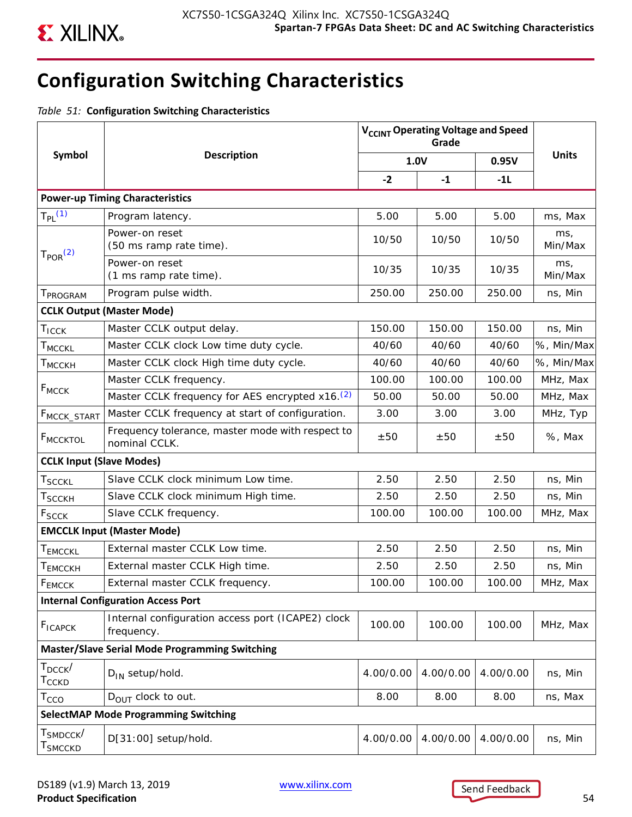

# **Configuration Switching Characteristics**

*Table 51:* **Configuration Switching Characteristics**

|                                                        |                                                                      | V <sub>CCINT</sub> Operating Voltage and Speed |           |           |                |  |
|--------------------------------------------------------|----------------------------------------------------------------------|------------------------------------------------|-----------|-----------|----------------|--|
| Symbol                                                 | <b>Description</b>                                                   | 1.0V                                           |           | 0.95V     | <b>Units</b>   |  |
|                                                        |                                                                      | $-2$                                           | $-1$      | $-11$     |                |  |
|                                                        | <b>Power-up Timing Characteristics</b>                               |                                                |           |           |                |  |
| $T_{PL}$ (1)                                           | Program latency.                                                     | 5.00                                           | 5.00      | 5.00      | ms, Max        |  |
|                                                        | Power-on reset<br>(50 ms ramp rate time).                            | 10/50                                          | 10/50     | 10/50     | ms,<br>Min/Max |  |
| T <sub>POR</sub> <sup>(2)</sup>                        | Power-on reset<br>(1 ms ramp rate time).                             | 10/35                                          | 10/35     | 10/35     | ms,<br>Min/Max |  |
| T <sub>PROGRAM</sub>                                   | Program pulse width.                                                 | 250.00                                         | 250.00    | 250.00    | ns, Min        |  |
|                                                        | <b>CCLK Output (Master Mode)</b>                                     |                                                |           |           |                |  |
| $T_{ICCK}$                                             | Master CCLK output delay.                                            | 150.00                                         | 150.00    | 150.00    | ns, Min        |  |
| <b>TMCCKL</b>                                          | Master CCLK clock Low time duty cycle.                               | 40/60                                          | 40/60     | 40/60     | %, Min/Max     |  |
| T <sub>MCCKH</sub>                                     | Master CCLK clock High time duty cycle.                              | 40/60                                          | 40/60     | 40/60     | %, Min/Max     |  |
|                                                        | Master CCLK frequency.                                               | 100.00                                         | 100.00    | 100.00    | MHz, Max       |  |
| $F_{MCCK}$                                             | Master CCLK frequency for AES encrypted x16. <sup>(2)</sup><br>50.00 |                                                | 50.00     | 50.00     | MHz, Max       |  |
| F <sub>MCCK</sub> _START                               | Master CCLK frequency at start of configuration.<br>3.00             |                                                | 3.00      | 3.00      | MHz, Typ       |  |
| F <sub>MCCKTOL</sub>                                   | Frequency tolerance, master mode with respect to<br>nominal CCLK.    | ±50                                            | ±50       | ±50       | %, Max         |  |
| <b>CCLK Input (Slave Modes)</b>                        |                                                                      |                                                |           |           |                |  |
| $\sf {T}_{\sf SCCKL}$                                  | Slave CCLK clock minimum Low time.                                   | 2.50                                           | 2.50      | 2.50      | ns, Min        |  |
| T <sub>SCCKH</sub>                                     | Slave CCLK clock minimum High time.                                  | 2.50                                           | 2.50      | 2.50      | ns, Min        |  |
| F <sub>SCCK</sub>                                      | Slave CCLK frequency.                                                | 100.00                                         | 100.00    | 100.00    | MHz, Max       |  |
|                                                        | <b>EMCCLK Input (Master Mode)</b>                                    |                                                |           |           |                |  |
| T <sub>EMCCKL</sub>                                    | External master CCLK Low time.                                       | 2.50                                           | 2.50      | 2.50      | ns, Min        |  |
| Т <sub>ЕМССКН</sub>                                    | External master CCLK High time.                                      | 2.50                                           | 2.50      | 2.50      | ns, Min        |  |
| FEMCCK                                                 | External master CCLK frequency.                                      | 100.00                                         | 100.00    | 100.00    | MHz, Max       |  |
|                                                        | <b>Internal Configuration Access Port</b>                            |                                                |           |           |                |  |
| <b>F<sub>ICAPCK</sub></b>                              | Internal configuration access port (ICAPE2) clock<br>frequency.      | 100.00                                         | 100.00    | 100.00    | MHz, Max       |  |
|                                                        | <b>Master/Slave Serial Mode Programming Switching</b>                |                                                |           |           |                |  |
| $T_{DCCK}$<br>Т $_{\rm CCKD}$                          | $D_{IN}$ setup/hold.                                                 | 4.00/0.00                                      | 4.00/0.00 | 4.00/0.00 | ns, Min        |  |
| $T_{CCO}$                                              | $D_{OIII}$ clock to out.                                             | 8.00                                           | 8.00      | 8.00      | ns, Max        |  |
|                                                        | <b>SelectMAP Mode Programming Switching</b>                          |                                                |           |           |                |  |
| $\mathsf{T}_{\mathsf{SMDCCK}}/$<br>T <sub>SMCCKD</sub> | D[31:00] setup/hold.                                                 | 4.00/0.00                                      | 4.00/0.00 | 4.00/0.00 | ns, Min        |  |

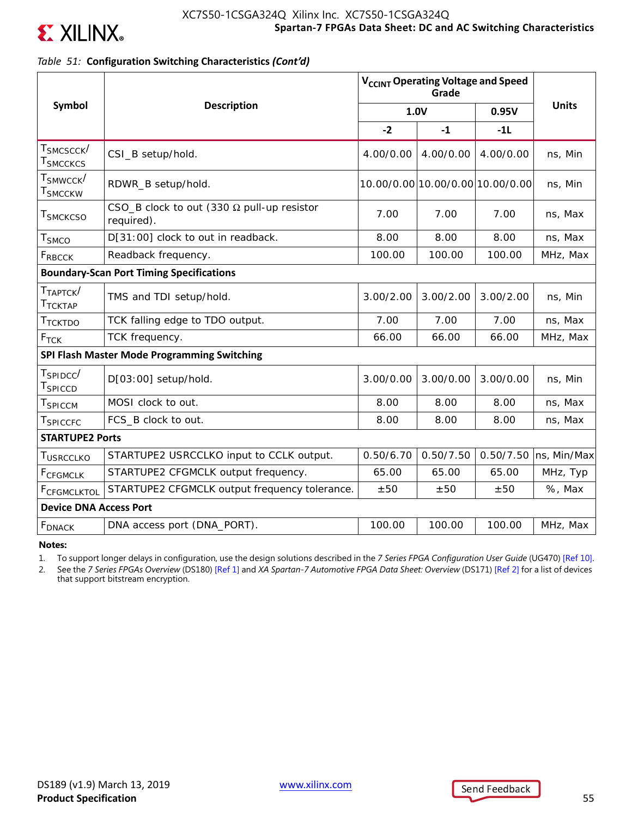

## *Table 51:* **Configuration Switching Characteristics** *(Cont'd)*

|                                                        |                                                                 | V <sub>CCINT</sub> Operating Voltage and Speed |                                  |           |              |
|--------------------------------------------------------|-----------------------------------------------------------------|------------------------------------------------|----------------------------------|-----------|--------------|
| Symbol                                                 | <b>Description</b>                                              | 1.0V                                           |                                  | 0.95V     | <b>Units</b> |
|                                                        |                                                                 | $-2$                                           | $-1$                             | $-11$     |              |
| $\mathsf{T}_{\mathsf{SMCSCCK}}/$<br>$\sf{T}_{SMCCKCS}$ | CSI_B setup/hold.                                               | 4.00/0.00                                      | 4.00/0.00                        | 4.00/0.00 | ns, Min      |
| $\mathsf{T}_{\mathsf{SMWCCK}}$ /<br>$\sf{T}_{SMCCKW}$  | RDWR_B setup/hold.                                              |                                                | 10.00/0.00 10.00/0.00 10.00/0.00 |           | ns, Min      |
| T <sub>SMCKCSO</sub>                                   | CSO_B clock to out (330 $\Omega$ pull-up resistor<br>required). | 7.00                                           | 7.00                             | 7.00      | ns, Max      |
| $\mathsf{T}_{\mathsf{SMCO}}$                           | D[31:00] clock to out in readback.                              | 8.00                                           | 8.00                             | 8.00      | ns, Max      |
| <b>FRBCCK</b>                                          | Readback frequency.                                             | 100.00                                         | 100.00                           | 100.00    | MHz, Max     |
|                                                        | <b>Boundary-Scan Port Timing Specifications</b>                 |                                                |                                  |           |              |
| $T_{TAPTCK}$<br>$\mathsf{T}_{\mathsf{TCKTAP}}$         | TMS and TDI setup/hold.                                         | 3.00/2.00                                      | 3.00/2.00                        | 3.00/2.00 | ns, Min      |
| Ттсктро                                                | TCK falling edge to TDO output.                                 | 7.00                                           | 7.00                             | 7.00      | ns, Max      |
| $F_{TCK}$                                              | TCK frequency.                                                  | 66.00                                          | 66.00                            | 66.00     | MHz, Max     |
|                                                        | SPI Flash Master Mode Programming Switching                     |                                                |                                  |           |              |
| $T_{SPIDCC}$<br>T <sub>SPICCD</sub>                    | D[03:00] setup/hold.                                            | 3.00/0.00                                      | 3.00/0.00                        | 3.00/0.00 | ns, Min      |
| TSPICCM                                                | MOSI clock to out.                                              | 8.00                                           | 8.00                             | 8.00      | ns, Max      |
| T <sub>SPICCFC</sub>                                   | FCS_B clock to out.                                             | 8.00                                           | 8.00                             | 8.00      | ns, Max      |
| <b>STARTUPE2 Ports</b>                                 |                                                                 |                                                |                                  |           |              |
| T <sub>USRCCLKO</sub>                                  | STARTUPE2 USRCCLKO input to CCLK output.                        | 0.50/6.70                                      | 0.50/7.50                        | 0.50/7.50 | ns, Min/Max  |
| F <sub>CFGMCLK</sub>                                   | STARTUPE2 CFGMCLK output frequency.                             | 65.00                                          | 65.00                            | 65.00     | MHz, Typ     |
| FCFGMCLKTOL                                            | STARTUPE2 CFGMCLK output frequency tolerance.                   | ±50                                            | ±50                              | ±50       | %, Max       |
| <b>Device DNA Access Port</b>                          |                                                                 |                                                |                                  |           |              |
| <b>F</b> <sub>DNACK</sub>                              | DNA access port (DNA_PORT).                                     | 100.00                                         | 100.00                           | 100.00    | MHz, Max     |

**Notes:** 

1. To support longer delays in configuration, use the design solutions described in the *7 Series FPGA Configuration User Guide* (UG470) [Ref 10].

2. See the *7 Series FPGAs Overview* (DS180) [Ref 1] and *XA Spartan-7 Automotive FPGA Data Sheet: Overview* (DS171) [Ref 2] for a list of devices that support bitstream encryption.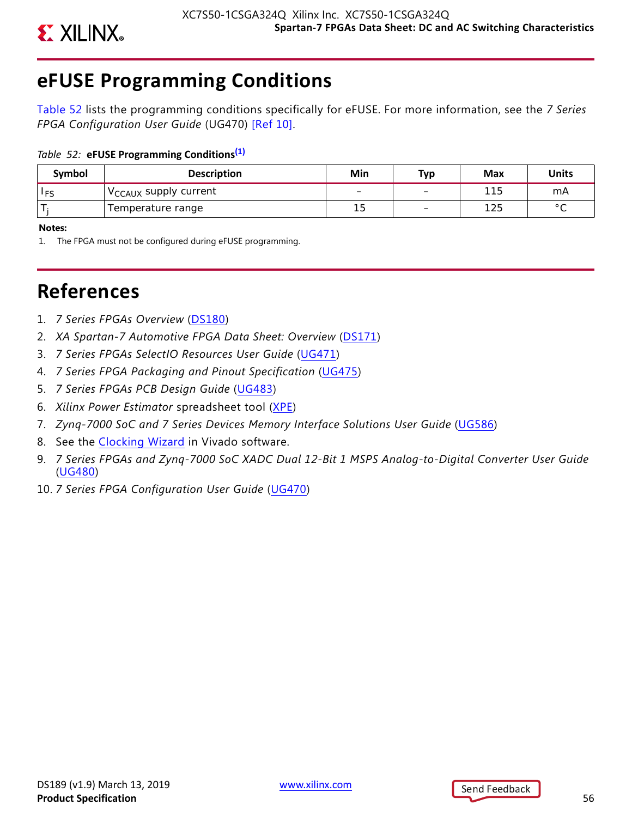

# **eFUSE Programming Conditions**

Table 52 lists the programming conditions specifically for eFUSE. For more information, see the *7 Series FPGA Configuration User Guide* (UG470) [Ref 10].

## *Table 52:* **eFUSE Programming Conditions(1)**

| Symbol     | <b>Description</b>                      | Min | Тур                      | Max | <b>Units</b>   |
|------------|-----------------------------------------|-----|--------------------------|-----|----------------|
| <b>IFS</b> | $\sqrt{C_{\text{CAUX}}}$ supply current |     | -                        | 115 | mA             |
|            | Temperature range                       | 15  | $\overline{\phantom{0}}$ | 125 | $\circ$ $\sim$ |

**Notes:** 

1. The FPGA must not be configured during eFUSE programming.

# **References**

- 1. *7 Series FPGAs Overview* [\(DS180](https://www.xilinx.com/cgi-bin/docs/ndoc?t=data_sheets;d=ds180_7Series_Overview.pdf))
- 2. *XA Spartan-7 Automotive FPGA Data Sheet: Overview* [\(DS171](https://www.xilinx.com/cgi-bin/docs/ndoc?t=data_sheets;d=ds171-xa-spartan7-overview.pdf))
- 3. *7 Series FPGAs SelectIO Resources User Guide* [\(UG471\)](https://www.xilinx.com/cgi-bin/docs/ndoc?t=user_guides;d=ug471_7Series_SelectIO.pdf)
- 4. *7 Series FPGA Packaging and Pinout Specification* ([UG475\)](https://www.xilinx.com/cgi-bin/docs/ndoc?t=user_guides;d=ug475_7Series_Pkg_Pinout.pdf)
- 5. *7 Series FPGAs PCB Design Guide* ([UG483](https://www.xilinx.com/cgi-bin/docs/ndoc?t=user_guides;d=ug483_7Series_PCB.pdf))
- 6. *Xilinx Power Estimator* spreadsheet tool [\(XPE\)](http://www.xilinx.com/products/technology/power/xpe.html)
- 7. *Zynq-7000 SoC and 7 Series Devices Memory Interface Solutions User Guide* ([UG586\)](https://www.xilinx.com/cgi-bin/docs/ipdoc?c=mig_7series;v=latest;d=ug586_7Series_MIS.pdf)
- 8. See the [Clocking Wizard](ttp://www.xilinx.com/products/intellectual-property/clocking_wizard.htm) in Vivado software.
- 9. *7 Series FPGAs and Zynq-7000 SoC XADC Dual 12-Bit 1 MSPS Analog-to-Digital Converter User Guide* ([UG480](https://www.xilinx.com/cgi-bin/docs/ndoc?t=user_guides;d=ug480_7Series_XADC.pdf))
- 10. *7 Series FPGA Configuration User Guide* ([UG470](https://www.xilinx.com/cgi-bin/docs/ndoc?t=user_guides;d=ug470_7Series_Config.pdf))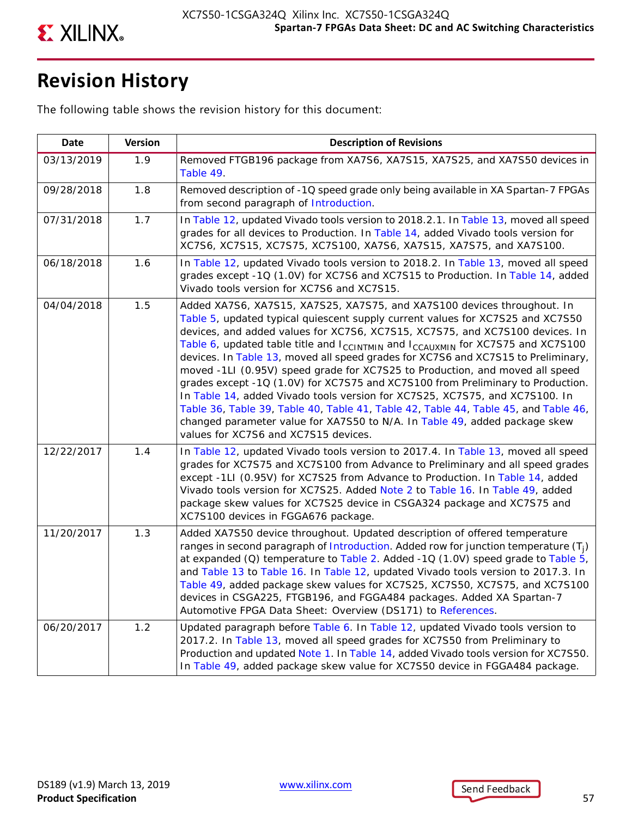

# **Revision History**

The following table shows the revision history for this document:

| <b>Date</b> | <b>Version</b> | <b>Description of Revisions</b>                                                                                                                                                                                                                                                                                                                                                                                                                                                                                                                                                                                                                                                                                                                                                                                                                                                            |
|-------------|----------------|--------------------------------------------------------------------------------------------------------------------------------------------------------------------------------------------------------------------------------------------------------------------------------------------------------------------------------------------------------------------------------------------------------------------------------------------------------------------------------------------------------------------------------------------------------------------------------------------------------------------------------------------------------------------------------------------------------------------------------------------------------------------------------------------------------------------------------------------------------------------------------------------|
| 03/13/2019  | 1.9            | Removed FTGB196 package from XA7S6, XA7S15, XA7S25, and XA7S50 devices in<br>Table 49.                                                                                                                                                                                                                                                                                                                                                                                                                                                                                                                                                                                                                                                                                                                                                                                                     |
| 09/28/2018  | 1.8            | Removed description of -1Q speed grade only being available in XA Spartan-7 FPGAs<br>from second paragraph of Introduction.                                                                                                                                                                                                                                                                                                                                                                                                                                                                                                                                                                                                                                                                                                                                                                |
| 07/31/2018  | 1.7            | In Table 12, updated Vivado tools version to 2018.2.1. In Table 13, moved all speed<br>grades for all devices to Production. In Table 14, added Vivado tools version for<br>XC7S6, XC7S15, XC7S75, XC7S100, XA7S6, XA7S15, XA7S75, and XA7S100.                                                                                                                                                                                                                                                                                                                                                                                                                                                                                                                                                                                                                                            |
| 06/18/2018  | 1.6            | In Table 12, updated Vivado tools version to 2018.2. In Table 13, moved all speed<br>grades except -1Q (1.0V) for XC7S6 and XC7S15 to Production. In Table 14, added<br>Vivado tools version for XC7S6 and XC7S15.                                                                                                                                                                                                                                                                                                                                                                                                                                                                                                                                                                                                                                                                         |
| 04/04/2018  | 1.5            | Added XA7S6, XA7S15, XA7S25, XA7S75, and XA7S100 devices throughout. In<br>Table 5, updated typical quiescent supply current values for XC7S25 and XC7S50<br>devices, and added values for XC7S6, XC7S15, XC7S75, and XC7S100 devices. In<br>Table 6, updated table title and $I_{CCLNTMIN}$ and $I_{CCAUXMIN}$ for XC7S75 and XC7S100<br>devices. In Table 13, moved all speed grades for XC7S6 and XC7S15 to Preliminary,<br>moved -1LI (0.95V) speed grade for XC7S25 to Production, and moved all speed<br>grades except -1Q (1.0V) for XC7S75 and XC7S100 from Preliminary to Production.<br>In Table 14, added Vivado tools version for XC7S25, XC7S75, and XC7S100. In<br>Table 36, Table 39, Table 40, Table 41, Table 42, Table 44, Table 45, and Table 46,<br>changed parameter value for XA7S50 to N/A. In Table 49, added package skew<br>values for XC7S6 and XC7S15 devices. |
| 12/22/2017  | 1.4            | In Table 12, updated Vivado tools version to 2017.4. In Table 13, moved all speed<br>grades for XC7S75 and XC7S100 from Advance to Preliminary and all speed grades<br>except -1LI (0.95V) for XC7S25 from Advance to Production. In Table 14, added<br>Vivado tools version for XC7S25. Added Note 2 to Table 16. In Table 49, added<br>package skew values for XC7S25 device in CSGA324 package and XC7S75 and<br>XC7S100 devices in FGGA676 package.                                                                                                                                                                                                                                                                                                                                                                                                                                    |
| 11/20/2017  | 1.3            | Added XA7S50 device throughout. Updated description of offered temperature<br>ranges in second paragraph of Introduction. Added row for junction temperature $(T_i)$<br>at expanded (Q) temperature to Table 2. Added -1Q (1.0V) speed grade to Table 5,<br>and Table 13 to Table 16. In Table 12, updated Vivado tools version to 2017.3. In<br>Table 49, added package skew values for XC7S25, XC7S50, XC7S75, and XC7S100<br>devices in CSGA225, FTGB196, and FGGA484 packages. Added XA Spartan-7<br>Automotive FPGA Data Sheet: Overview (DS171) to References.                                                                                                                                                                                                                                                                                                                       |
| 06/20/2017  | 1.2            | Updated paragraph before Table 6. In Table 12, updated Vivado tools version to<br>2017.2. In Table 13, moved all speed grades for XC7S50 from Preliminary to<br>Production and updated Note 1. In Table 14, added Vivado tools version for XC7S50.<br>In Table 49, added package skew value for XC7S50 device in FGGA484 package.                                                                                                                                                                                                                                                                                                                                                                                                                                                                                                                                                          |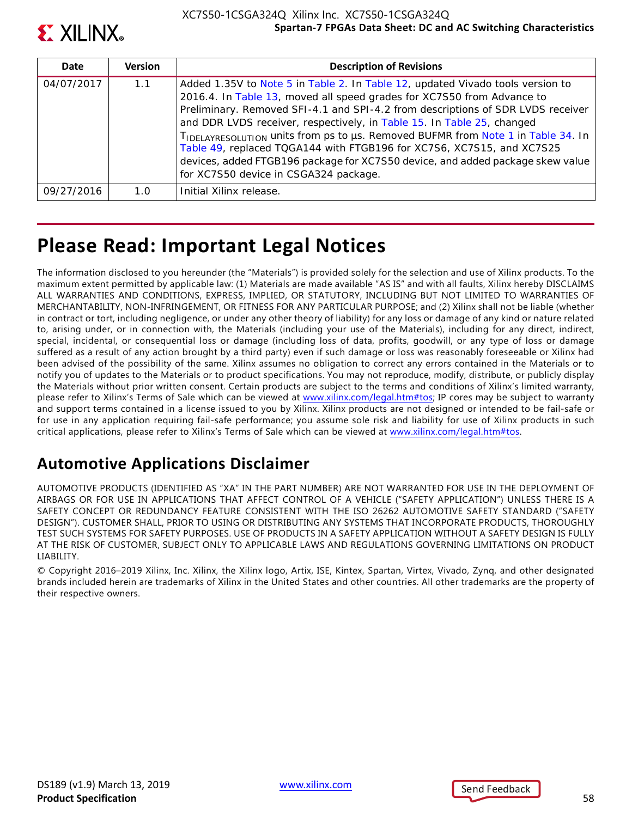

| Date       | <b>Version</b> | <b>Description of Revisions</b>                                                                                                                                                                                                                                                                                                                                                                                                                                                                                                                                                                               |
|------------|----------------|---------------------------------------------------------------------------------------------------------------------------------------------------------------------------------------------------------------------------------------------------------------------------------------------------------------------------------------------------------------------------------------------------------------------------------------------------------------------------------------------------------------------------------------------------------------------------------------------------------------|
| 04/07/2017 | 1.1            | Added 1.35V to Note 5 in Table 2. In Table 12, updated Vivado tools version to<br>2016.4. In Table 13, moved all speed grades for XC7S50 from Advance to<br>Preliminary. Removed SFI-4.1 and SPI-4.2 from descriptions of SDR LVDS receiver<br>and DDR LVDS receiver, respectively, in Table 15. In Table 25, changed<br>TIDELAYRESOLUTION UNITS from ps to us. Removed BUFMR from Note 1 in Table 34. In<br>Table 49, replaced TQGA144 with FTGB196 for XC7S6, XC7S15, and XC7S25<br>devices, added FTGB196 package for XC7S50 device, and added package skew value<br>for XC7S50 device in CSGA324 package. |
| 09/27/2016 | 1 N            | Initial Xilinx release.                                                                                                                                                                                                                                                                                                                                                                                                                                                                                                                                                                                       |

# **Please Read: Important Legal Notices**

The information disclosed to you hereunder (the "Materials") is provided solely for the selection and use of Xilinx products. To the maximum extent permitted by applicable law: (1) Materials are made available "AS IS" and with all faults, Xilinx hereby DISCLAIMS ALL WARRANTIES AND CONDITIONS, EXPRESS, IMPLIED, OR STATUTORY, INCLUDING BUT NOT LIMITED TO WARRANTIES OF MERCHANTABILITY, NON-INFRINGEMENT, OR FITNESS FOR ANY PARTICULAR PURPOSE; and (2) Xilinx shall not be liable (whether in contract or tort, including negligence, or under any other theory of liability) for any loss or damage of any kind or nature related to, arising under, or in connection with, the Materials (including your use of the Materials), including for any direct, indirect, special, incidental, or consequential loss or damage (including loss of data, profits, goodwill, or any type of loss or damage suffered as a result of any action brought by a third party) even if such damage or loss was reasonably foreseeable or Xilinx had been advised of the possibility of the same. Xilinx assumes no obligation to correct any errors contained in the Materials or to notify you of updates to the Materials or to product specifications. You may not reproduce, modify, distribute, or publicly display the Materials without prior written consent. Certain products are subject to the terms and conditions of Xilinx's limited warranty, please refer to Xilinx's Terms of Sale which can be viewed at [www.xilinx.com/legal.htm#tos;](www.xilinx.com/legal.htm#tos) IP cores may be subject to warranty and support terms contained in a license issued to you by Xilinx. Xilinx products are not designed or intended to be fail-safe or for use in any application requiring fail-safe performance; you assume sole risk and liability for use of Xilinx products in such critical applications, please refer to Xilinx's Terms of Sale which can be viewed at [www.xilinx.com/legal.htm#tos.](www.xilinx.com/legal.htm#tos)

## **Automotive Applications Disclaimer**

AUTOMOTIVE PRODUCTS (IDENTIFIED AS "XA" IN THE PART NUMBER) ARE NOT WARRANTED FOR USE IN THE DEPLOYMENT OF AIRBAGS OR FOR USE IN APPLICATIONS THAT AFFECT CONTROL OF A VEHICLE ("SAFETY APPLICATION") UNLESS THERE IS A SAFETY CONCEPT OR REDUNDANCY FEATURE CONSISTENT WITH THE ISO 26262 AUTOMOTIVE SAFETY STANDARD ("SAFETY DESIGN"). CUSTOMER SHALL, PRIOR TO USING OR DISTRIBUTING ANY SYSTEMS THAT INCORPORATE PRODUCTS, THOROUGHLY TEST SUCH SYSTEMS FOR SAFETY PURPOSES. USE OF PRODUCTS IN A SAFETY APPLICATION WITHOUT A SAFETY DESIGN IS FULLY AT THE RISK OF CUSTOMER, SUBJECT ONLY TO APPLICABLE LAWS AND REGULATIONS GOVERNING LIMITATIONS ON PRODUCT LIABILITY.

© Copyright 2016–2019 Xilinx, Inc. Xilinx, the Xilinx logo, Artix, ISE, Kintex, Spartan, Virtex, Vivado, Zynq, and other designated brands included herein are trademarks of Xilinx in the United States and other countries. All other trademarks are the property of their respective owners.